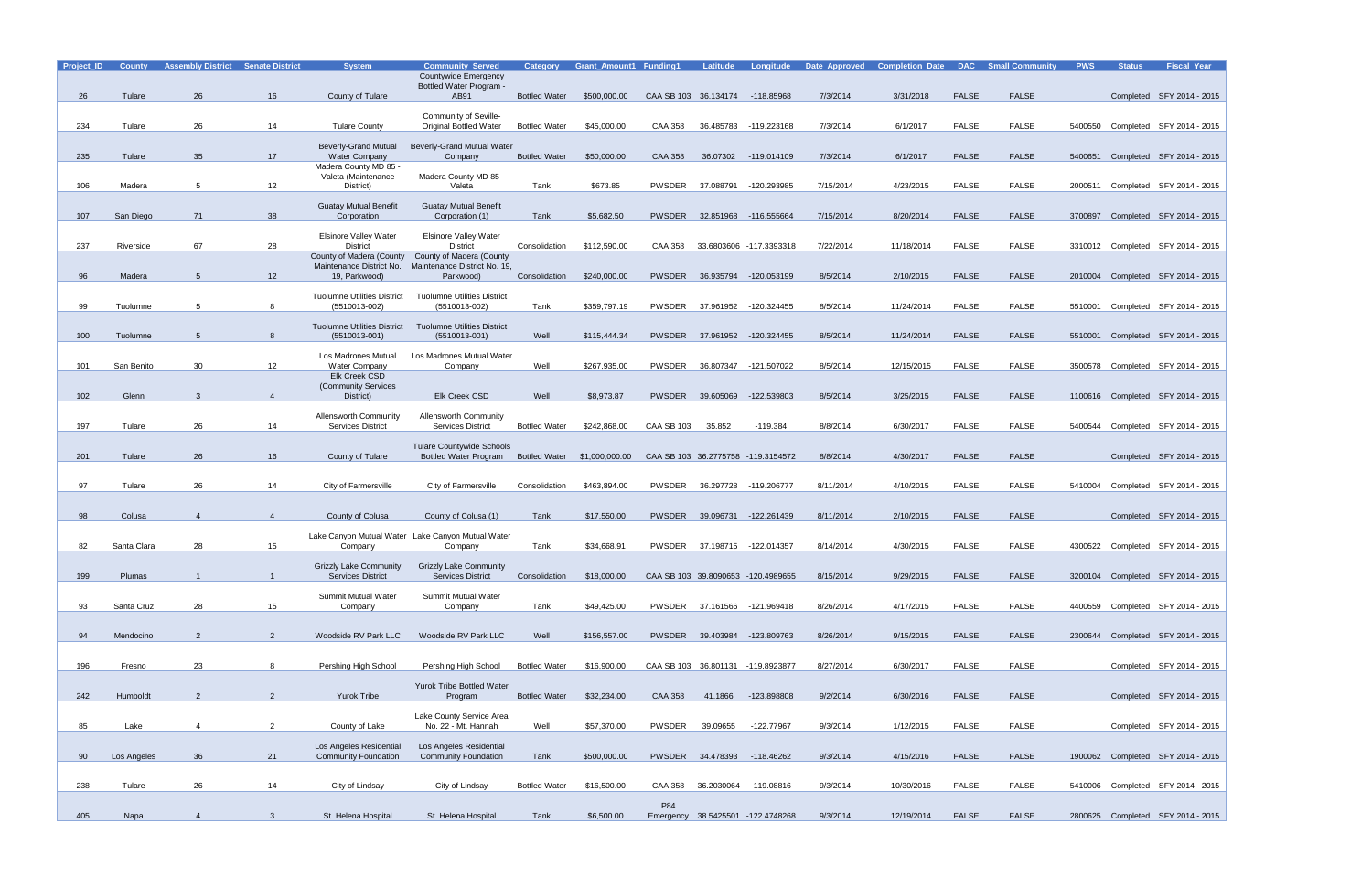| Project_ID | <b>County</b> | <b>Assembly District</b> | <b>Senate District</b> | <b>System</b>                                             | <b>Community Served</b><br>Countywide Emergency                  | <b>Category</b>      | <b>Grant Amount1 Funding1</b> |                                 | Latitude   | Longitude                          | Date Approved | <b>Completion Date</b> | <b>DAC</b>   | <b>Small Community</b> | <b>PWS</b> | <b>Status</b> | <b>Fiscal Year</b>                |
|------------|---------------|--------------------------|------------------------|-----------------------------------------------------------|------------------------------------------------------------------|----------------------|-------------------------------|---------------------------------|------------|------------------------------------|---------------|------------------------|--------------|------------------------|------------|---------------|-----------------------------------|
| 26         | Tulare        | 26                       | 16                     | County of Tulare                                          | Bottled Water Program -<br>AB91                                  | <b>Bottled Water</b> | \$500,000.00                  | CAA SB 103 36.134174 -118.85968 |            |                                    | 7/3/2014      | 3/31/2018              | <b>FALSE</b> | <b>FALSE</b>           |            |               | Completed SFY 2014 - 2015         |
|            |               |                          |                        |                                                           | Community of Seville-                                            |                      |                               |                                 |            |                                    |               |                        |              |                        |            |               |                                   |
| 234        | Tulare        | 26                       | 14                     | <b>Tulare County</b>                                      | <b>Original Bottled Water</b>                                    | <b>Bottled Water</b> | \$45,000.00                   | <b>CAA 358</b>                  | 36.485783  | -119.223168                        | 7/3/2014      | 6/1/2017               | <b>FALSE</b> | <b>FALSE</b>           | 5400550    |               | Completed SFY 2014 - 2015         |
|            |               |                          |                        | <b>Beverly-Grand Mutual</b>                               | <b>Beverly-Grand Mutual Water</b>                                |                      |                               |                                 |            |                                    |               |                        |              |                        |            |               |                                   |
| 235        | Tulare        | 35                       | 17                     | <b>Water Company</b><br>Madera County MD 85 -             | Company                                                          | <b>Bottled Water</b> | \$50,000.00                   | CAA 358                         | 36.07302   | -119.014109                        | 7/3/2014      | 6/1/2017               | <b>FALSE</b> | <b>FALSE</b>           | 5400651    |               | Completed SFY 2014 - 2015         |
| 106        | Madera        | 5                        | 12                     | Valeta (Maintenance<br>District)                          | Madera County MD 85 -<br>Valeta                                  | Tank                 | \$673.85                      | PWSDER                          | 37.088791  | -120.293985                        | 7/15/2014     | 4/23/2015              | <b>FALSE</b> | <b>FALSE</b>           |            |               | 2000511 Completed SFY 2014 - 2015 |
| 107        | San Diego     | 71                       | 38                     | <b>Guatay Mutual Benefit</b><br>Corporation               | <b>Guatay Mutual Benefit</b><br>Corporation (1)                  | Tank                 | \$5,682.50                    | PWSDER                          |            | 32.851968 -116.555664              | 7/15/2014     | 8/20/2014              | <b>FALSE</b> | <b>FALSE</b>           | 3700897    |               | Completed SFY 2014 - 2015         |
|            |               |                          |                        | <b>Elsinore Valley Water</b>                              | <b>Elsinore Valley Water</b>                                     |                      |                               |                                 |            |                                    |               |                        |              |                        |            |               |                                   |
| 237        | Riverside     | 67                       | 28                     | <b>District</b><br>County of Madera (County               | <b>District</b><br>County of Madera (County                      | Consolidation        | \$112,590.00                  | CAA 358                         |            | 33.6803606 -117.3393318            | 7/22/2014     | 11/18/2014             | <b>FALSE</b> | <b>FALSE</b>           |            |               | 3310012 Completed SFY 2014 - 2015 |
| 96         | Madera        | 5                        | 12                     | Maintenance District No.<br>19, Parkwood)                 | Maintenance District No. 19,<br>Parkwood)                        | Consolidation        | \$240,000.00                  | <b>PWSDER</b>                   | 36.935794  | -120.053199                        | 8/5/2014      | 2/10/2015              | <b>FALSE</b> | <b>FALSE</b>           |            |               | 2010004 Completed SFY 2014 - 2015 |
|            |               |                          |                        | <b>Tuolumne Utilities District</b>                        | <b>Tuolumne Utilities District</b>                               |                      |                               |                                 |            |                                    |               |                        |              |                        |            |               |                                   |
| 99         | Tuolumne      | 5                        | 8                      | (5510013-002)                                             | (5510013-002)                                                    | Tank                 | \$359,797.19                  | PWSDER                          | 37.961952  | -120.324455                        | 8/5/2014      | 11/24/2014             | <b>FALSE</b> | FALSE                  | 5510001    |               | Completed SFY 2014 - 2015         |
| 100        | Tuolumne      | 5                        | 8                      | <b>Tuolumne Utilities District</b><br>$(5510013 - 001)$   | <b>Tuolumne Utilities District</b><br>$(5510013 - 001)$          | Well                 | \$115,444,34                  |                                 |            | PWSDER 37.961952 -120.324455       | 8/5/2014      | 11/24/2014             | <b>FALSE</b> | <b>FALSE</b>           |            |               | 5510001 Completed SFY 2014 - 2015 |
|            |               |                          |                        | Los Madrones Mutual                                       | Los Madrones Mutual Water                                        |                      |                               |                                 |            |                                    |               |                        |              |                        |            |               |                                   |
| 101        | San Benito    | 30                       | 12                     | <b>Water Company</b>                                      | Company                                                          | Well                 | \$267,935.00                  | PWSDER                          | 36.807347  | -121.507022                        | 8/5/2014      | 12/15/2015             | <b>FALSE</b> | FALSE                  |            |               | 3500578 Completed SFY 2014 - 2015 |
|            |               |                          |                        | <b>Elk Creek CSD</b><br>(Community Services               |                                                                  |                      |                               |                                 |            |                                    |               |                        |              |                        |            |               |                                   |
| 102        | Glenn         | 3                        | $\overline{4}$         | District)                                                 | Elk Creek CSD                                                    | Well                 | \$8,973.87                    | PWSDER                          | 39.605069  | -122.539803                        | 8/5/2014      | 3/25/2015              | <b>FALSE</b> | <b>FALSE</b>           |            |               | 1100616 Completed SFY 2014 - 2015 |
| 197        | Tulare        | 26                       | 14                     | <b>Allensworth Community</b><br><b>Services District</b>  | <b>Allensworth Community</b><br><b>Services District</b>         | <b>Bottled Water</b> | \$242,868.00                  | <b>CAA SB 103</b>               | 35.852     | $-119.384$                         | 8/8/2014      | 6/30/2017              | <b>FALSE</b> | <b>FALSE</b>           | 5400544    |               | Completed SFY 2014 - 2015         |
| 201        | Tulare        | 26                       | 16                     | County of Tulare                                          | <b>Tulare Countywide Schools</b><br><b>Bottled Water Program</b> |                      | Bottled Water \$1,000,000.00  |                                 |            | CAA SB 103 36.2775758 -119.3154572 | 8/8/2014      | 4/30/2017              | <b>FALSE</b> | <b>FALSE</b>           |            |               | Completed SFY 2014 - 2015         |
|            |               |                          |                        |                                                           |                                                                  |                      |                               |                                 |            |                                    |               |                        |              |                        |            |               |                                   |
| 97         | Tulare        | 26                       | 14                     | City of Farmersville                                      | City of Farmersville                                             | Consolidation        | \$463,894.00                  | PWSDER                          | 36.297728  | -119.206777                        | 8/11/2014     | 4/10/2015              | <b>FALSE</b> | <b>FALSE</b>           | 5410004    |               | Completed SFY 2014 - 2015         |
| 98         | Colusa        | $\overline{4}$           | $\overline{4}$         | County of Colusa                                          | County of Colusa (1)                                             | Tank                 | \$17,550.00                   | PWSDER                          |            | 39.096731 -122.261439              | 8/11/2014     | 2/10/2015              | <b>FALSE</b> | <b>FALSE</b>           |            |               | Completed SFY 2014 - 2015         |
|            |               |                          |                        |                                                           | Lake Canyon Mutual Water Lake Canyon Mutual Water                |                      |                               |                                 |            |                                    |               |                        |              |                        |            |               |                                   |
| 82         | Santa Clara   | 28                       | 15                     | Company                                                   | Company                                                          | Tank                 | \$34,668.91                   | PWSDER                          |            | 37.198715 -122.014357              | 8/14/2014     | 4/30/2015              | <b>FALSE</b> | <b>FALSE</b>           |            |               | 4300522 Completed SFY 2014 - 2015 |
| 199        | <b>Plumas</b> |                          |                        | <b>Grizzly Lake Community</b><br><b>Services District</b> | <b>Grizzly Lake Community</b><br><b>Services District</b>        | Consolidation        | \$18,000.00                   |                                 |            | CAA SB 103 39.8090653 -120.4989655 | 8/15/2014     | 9/29/2015              | <b>FALSE</b> | <b>FALSE</b>           |            |               | 3200104 Completed SFY 2014 - 2015 |
|            |               |                          |                        | Summit Mutual Water                                       | Summit Mutual Water                                              |                      |                               |                                 |            |                                    |               |                        |              |                        |            |               |                                   |
| 93         | Santa Cruz    | 28                       | 15                     | Company                                                   | Company                                                          | Tank                 | \$49,425.00                   |                                 |            | PWSDER 37.161566 -121.969418       | 8/26/2014     | 4/17/2015              | <b>FALSE</b> | <b>FALSE</b>           |            |               | 4400559 Completed SFY 2014 - 2015 |
|            | Mendocino     | 2                        | 2                      |                                                           | Woodside RV Park LLC                                             | Well                 |                               |                                 |            | PWSDER 39.403984 -123.809763       | 8/26/2014     | 9/15/2015              | <b>FALSE</b> | FALSE                  |            |               | 2300644 Completed SFY 2014 - 2015 |
| 94         |               |                          |                        | Woodside RV Park LLC                                      |                                                                  |                      | \$156,557.00                  |                                 |            |                                    |               |                        |              |                        |            |               |                                   |
| 196        | Fresno        | 23                       | 8                      | Pershing High School                                      | Pershing High School                                             | <b>Bottled Water</b> | \$16,900.00                   |                                 |            | CAA SB 103 36.801131 -119.8923877  | 8/27/2014     | 6/30/2017              | <b>FALSE</b> | <b>FALSE</b>           |            |               | Completed SFY 2014 - 2015         |
|            |               |                          |                        |                                                           | <b>Yurok Tribe Bottled Water</b>                                 |                      |                               |                                 |            |                                    |               |                        |              |                        |            |               |                                   |
| 242        | Humboldt      | 2                        | $\overline{2}$         | <b>Yurok Tribe</b>                                        | Program                                                          | <b>Bottled Water</b> | \$32,234.00                   | <b>CAA 358</b>                  | 41.1866    | -123.898808                        | 9/2/2014      | 6/30/2016              | <b>FALSE</b> | <b>FALSE</b>           |            |               | Completed SFY 2014 - 2015         |
| 85         | Lake          | $\overline{4}$           | $\overline{a}$         | County of Lake                                            | Lake County Service Area<br>No. 22 - Mt. Hannah                  | Well                 | \$57,370.00                   | PWSDER                          | 39.09655   | -122.77967                         | 9/3/2014      | 1/12/2015              | FALSE        | FALSE                  |            |               | Completed SFY 2014 - 2015         |
| 90         | Los Angeles   | 36                       | 21                     | Los Angeles Residential<br><b>Community Foundation</b>    | Los Angeles Residential<br><b>Community Foundation</b>           | Tank                 | \$500,000.00                  |                                 |            | PWSDER 34.478393 -118.46262        | 9/3/2014      | 4/15/2016              | <b>FALSE</b> | <b>FALSE</b>           |            |               | 1900062 Completed SFY 2014 - 2015 |
|            |               |                          |                        |                                                           |                                                                  |                      |                               |                                 |            |                                    |               |                        |              |                        |            |               |                                   |
| 238        | Tulare        | 26                       | 14                     | City of Lindsay                                           | City of Lindsay                                                  | <b>Bottled Water</b> | \$16,500.00                   | CAA 358                         | 36.2030064 | -119.08816                         | 9/3/2014      | 10/30/2016             | FALSE        | FALSE                  |            |               | 5410006 Completed SFY 2014 - 2015 |
| 405        | Napa          | $\overline{4}$           | $\mathbf{3}$           | St. Helena Hospital                                       | St. Helena Hospital                                              | Tank                 | \$6,500.00                    | P84                             |            | Emergency 38.5425501 -122.4748268  | 9/3/2014      | 12/19/2014             | <b>FALSE</b> | <b>FALSE</b>           |            |               | 2800625 Completed SFY 2014 - 2015 |
|            |               |                          |                        |                                                           |                                                                  |                      |                               |                                 |            |                                    |               |                        |              |                        |            |               |                                   |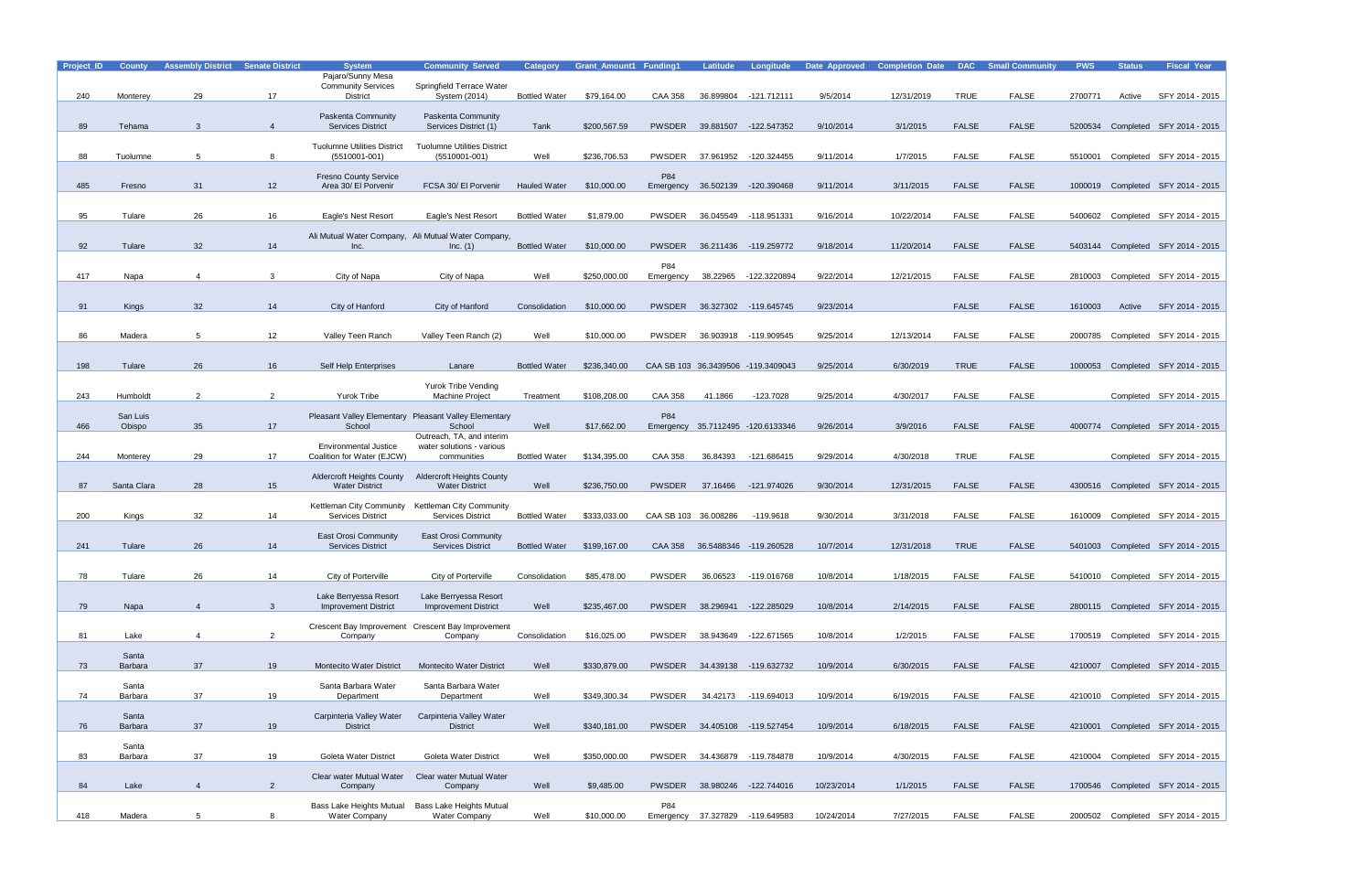| Project_ID | <b>County</b>      | <b>Assembly District</b> | <b>Senate District</b> | <b>System</b>                                                                 | <b>Community Served</b>                                         | <b>Category</b>      | <b>Grant Amount1 Funding1</b> |                      | <b>Latitude</b> | Longitude                          | Date Approved | <b>Completion Date</b> |              | <b>DAC</b> Small Community | <b>PWS</b> | <b>Status</b> | <b>Fiscal Year</b>                |
|------------|--------------------|--------------------------|------------------------|-------------------------------------------------------------------------------|-----------------------------------------------------------------|----------------------|-------------------------------|----------------------|-----------------|------------------------------------|---------------|------------------------|--------------|----------------------------|------------|---------------|-----------------------------------|
|            |                    |                          |                        | Pajaro/Sunny Mesa<br><b>Community Services</b>                                | Springfield Terrace Water                                       |                      |                               |                      |                 |                                    |               |                        |              |                            |            |               |                                   |
| 240        | Monterey           | 29                       | 17                     | <b>District</b>                                                               | System (2014)                                                   | <b>Bottled Water</b> | \$79,164.00                   | <b>CAA 358</b>       | 36.899804       | -121.712111                        | 9/5/2014      | 12/31/2019             | <b>TRUE</b>  | <b>FALSE</b>               | 2700771    | Active        | SFY 2014 - 2015                   |
|            |                    |                          |                        | Paskenta Community                                                            | <b>Paskenta Community</b>                                       |                      |                               |                      |                 |                                    |               |                        |              |                            |            |               |                                   |
| 89         | Tehama             | 3                        | $\overline{4}$         | <b>Services District</b>                                                      | Services District (1)                                           | Tank                 | \$200,567.59                  | <b>PWSDER</b>        | 39.881507       | -122.547352                        | 9/10/2014     | 3/1/2015               | <b>FALSE</b> | <b>FALSE</b>               |            |               | 5200534 Completed SFY 2014 - 2015 |
|            |                    |                          |                        | <b>Tuolumne Utilities District</b>                                            | <b>Tuolumne Utilities District</b>                              |                      |                               |                      |                 |                                    |               |                        |              |                            |            |               |                                   |
| 88         | Tuolumne           | 5                        | 8                      | (5510001-001)                                                                 | $(5510001 - 001)$                                               | Well                 | \$236,706.53                  | <b>PWSDER</b>        | 37.961952       | -120.324455                        | 9/11/2014     | 1/7/2015               | <b>FALSE</b> | <b>FALSE</b>               | 5510001    |               | Completed SFY 2014 - 2015         |
|            |                    |                          |                        | <b>Fresno County Service</b>                                                  |                                                                 |                      |                               | P84                  |                 |                                    |               |                        |              |                            |            |               |                                   |
| 485        | Fresno             | 31                       | 12                     | Area 30/ El Porvenir                                                          | FCSA 30/ El Porvenir                                            | <b>Hauled Water</b>  | \$10,000.00                   | Emergency            |                 | 36.502139 -120.390468              | 9/11/2014     | 3/11/2015              | <b>FALSE</b> | <b>FALSE</b>               |            |               | 1000019 Completed SFY 2014 - 2015 |
|            |                    |                          |                        |                                                                               |                                                                 |                      |                               |                      |                 |                                    |               |                        |              |                            |            |               |                                   |
| 95         | Tulare             | 26                       | 16                     | Eagle's Nest Resort                                                           | Eagle's Nest Resort                                             | <b>Bottled Water</b> | \$1,879.00                    | <b>PWSDER</b>        |                 | 36.045549 -118.951331              | 9/16/2014     | 10/22/2014             | <b>FALSE</b> | <b>FALSE</b>               |            |               | 5400602 Completed SFY 2014 - 2015 |
|            |                    |                          |                        | Ali Mutual Water Company, Ali Mutual Water Company,                           |                                                                 |                      |                               |                      |                 |                                    |               |                        |              |                            |            |               |                                   |
| 92         | Tulare             | 32                       | 14                     | Inc.                                                                          | Inc. (1)                                                        | <b>Bottled Water</b> | \$10,000.00                   | <b>PWSDER</b>        |                 | 36.211436 -119.259772              | 9/18/2014     | 11/20/2014             | <b>FALSE</b> | <b>FALSE</b>               |            |               | 5403144 Completed SFY 2014 - 2015 |
| 417        |                    |                          |                        |                                                                               |                                                                 | Well                 | \$250,000.00                  | P84                  |                 | -122.3220894                       | 9/22/2014     | 12/21/2015             | FALSE        | FALSE                      |            |               |                                   |
|            | Napa               | $\overline{4}$           | 3                      | City of Napa                                                                  | City of Napa                                                    |                      |                               | Emergency            | 38.22965        |                                    |               |                        |              |                            | 2810003    |               | Completed SFY 2014 - 2015         |
| 91         |                    | 32                       | 14                     | City of Hanford                                                               | City of Hanford                                                 | Consolidation        | \$10,000.00                   | PWSDER               |                 | 36.327302 -119.645745              | 9/23/2014     |                        | <b>FALSE</b> | <b>FALSE</b>               | 1610003    |               | SFY 2014 - 2015                   |
|            | Kings              |                          |                        |                                                                               |                                                                 |                      |                               |                      |                 |                                    |               |                        |              |                            |            | Active        |                                   |
| 86         | Madera             | 5                        | 12                     | Valley Teen Ranch                                                             | Valley Teen Ranch (2)                                           | Well                 | \$10,000.00                   | <b>PWSDER</b>        |                 | 36.903918 -119.909545              | 9/25/2014     | 12/13/2014             | <b>FALSE</b> | <b>FALSE</b>               | 2000785    |               | Completed SFY 2014 - 2015         |
|            |                    |                          |                        |                                                                               |                                                                 |                      |                               |                      |                 |                                    |               |                        |              |                            |            |               |                                   |
| 198        | Tulare             | 26                       | 16                     | Self Help Enterprises                                                         | Lanare                                                          | <b>Bottled Water</b> | \$236,340.00                  |                      |                 | CAA SB 103 36.3439506 -119.3409043 | 9/25/2014     | 6/30/2019              | <b>TRUE</b>  | <b>FALSE</b>               | 1000053    |               | Completed SFY 2014 - 2015         |
|            |                    |                          |                        |                                                                               |                                                                 |                      |                               |                      |                 |                                    |               |                        |              |                            |            |               |                                   |
| 243        | Humboldt           | 2                        | 2                      | Yurok Tribe                                                                   | <b>Yurok Tribe Vending</b><br><b>Machine Project</b>            | Treatment            | \$108,208.00                  | CAA 358              | 41.1866         | $-123.7028$                        | 9/25/2014     | 4/30/2017              | <b>FALSE</b> | <b>FALSE</b>               |            |               | Completed SFY 2014 - 2015         |
|            |                    |                          |                        |                                                                               |                                                                 |                      |                               |                      |                 |                                    |               |                        |              |                            |            |               |                                   |
| 466        | San Luis<br>Obispo | 35                       | 17                     | School                                                                        | Pleasant Valley Elementary Pleasant Valley Elementary<br>School | Well                 | \$17,662.00                   | P84                  |                 | Emergency 35.7112495 -120.6133346  | 9/26/2014     | 3/9/2016               | <b>FALSE</b> | <b>FALSE</b>               |            |               | 4000774 Completed SFY 2014 - 2015 |
|            |                    |                          |                        |                                                                               | Outreach, TA, and interim                                       |                      |                               |                      |                 |                                    |               |                        |              |                            |            |               |                                   |
| 244        | Monterey           | 29                       | 17                     | <b>Environmental Justice</b><br>Coalition for Water (EJCW)                    | water solutions - various<br>communities                        | <b>Bottled Water</b> | \$134,395.00                  | <b>CAA 358</b>       | 36.84393        | -121.686415                        | 9/29/2014     | 4/30/2018              | <b>TRUE</b>  | <b>FALSE</b>               |            |               | Completed SFY 2014 - 2015         |
|            |                    |                          |                        |                                                                               |                                                                 |                      |                               |                      |                 |                                    |               |                        |              |                            |            |               |                                   |
| 87         | Santa Clara        | 28                       | 15                     | <b>Aldercroft Heights County</b><br><b>Water District</b>                     | <b>Aldercroft Heights County</b><br><b>Water District</b>       | Well                 | \$236,750.00                  | PWSDER               | 37.16466        | -121.974026                        | 9/30/2014     | 12/31/2015             | <b>FALSE</b> | <b>FALSE</b>               | 4300516    |               | Completed SFY 2014 - 2015         |
|            |                    |                          |                        |                                                                               |                                                                 |                      |                               |                      |                 |                                    |               |                        |              |                            |            |               |                                   |
| 200        | Kings              | 32                       | 14                     | Kettleman City Community Kettleman City Community<br><b>Services District</b> | <b>Services District</b>                                        | <b>Bottled Water</b> | \$333,033.00                  | CAA SB 103 36.008286 |                 | $-119.9618$                        | 9/30/2014     | 3/31/2018              | <b>FALSE</b> | <b>FALSE</b>               | 1610009    |               | Completed SFY 2014 - 2015         |
|            |                    |                          |                        | East Orosi Community                                                          | East Orosi Community                                            |                      |                               |                      |                 |                                    |               |                        |              |                            |            |               |                                   |
| 241        | Tulare             | 26                       | 14                     | <b>Services District</b>                                                      | <b>Services District</b>                                        | <b>Bottled Water</b> | \$199,167.00                  |                      |                 | CAA 358 36.5488346 -119.260528     | 10/7/2014     | 12/31/2018             | <b>TRUE</b>  | <b>FALSE</b>               |            |               | 5401003 Completed SFY 2014 - 2015 |
|            |                    |                          |                        |                                                                               |                                                                 |                      |                               |                      |                 |                                    |               |                        |              |                            |            |               |                                   |
| 78         | Tulare             | 26                       | 14                     | City of Porterville                                                           | City of Porterville                                             | Consolidation        | \$85,478.00                   | PWSDER               | 36.06523        | -119.016768                        | 10/8/2014     | 1/18/2015              | <b>FALSE</b> | <b>FALSE</b>               |            |               | 5410010 Completed SFY 2014 - 2015 |
|            |                    |                          |                        | Lake Berryessa Resort                                                         | Lake Berryessa Resort                                           |                      |                               |                      |                 |                                    |               |                        |              |                            |            |               |                                   |
| 79         | Napa               | $\overline{4}$           | $\mathbf{3}$           | <b>Improvement District</b>                                                   | <b>Improvement District</b>                                     | Well                 | \$235,467.00                  |                      |                 | PWSDER 38.296941 -122.285029       | 10/8/2014     | 2/14/2015              | <b>FALSE</b> | <b>FALSE</b>               |            |               | 2800115 Completed SFY 2014 - 2015 |
|            |                    |                          |                        |                                                                               | Crescent Bay Improvement Crescent Bay Improvement               |                      |                               |                      |                 |                                    |               |                        |              |                            |            |               |                                   |
| 81         | Lake               | $\overline{4}$           | $\overline{2}$         | Company                                                                       | Company                                                         | Consolidation        | \$16,025.00                   | PWSDER               |                 | 38.943649 -122.671565              | 10/8/2014     | 1/2/2015               | FALSE        | FALSE                      |            |               | 1700519 Completed SFY 2014 - 2015 |
|            | Santa              |                          |                        |                                                                               |                                                                 |                      |                               |                      |                 |                                    |               |                        |              |                            |            |               |                                   |
| 73         | Barbara            | 37                       | 19                     | <b>Montecito Water District</b>                                               | <b>Montecito Water District</b>                                 | Well                 | \$330,879.00                  |                      |                 | PWSDER 34.439138 -119.632732       | 10/9/2014     | 6/30/2015              | <b>FALSE</b> | <b>FALSE</b>               |            |               | 4210007 Completed SFY 2014 - 2015 |
|            | Santa              |                          |                        | Santa Barbara Water                                                           | Santa Barbara Water                                             |                      |                               |                      |                 |                                    |               |                        |              |                            |            |               |                                   |
| 74         | Barbara            | 37                       | 19                     | Department                                                                    | Department                                                      | Well                 | \$349,300.34                  | PWSDER               | 34.42173        | -119.694013                        | 10/9/2014     | 6/19/2015              | <b>FALSE</b> | FALSE                      |            |               | 4210010 Completed SFY 2014 - 2015 |
|            | Santa              |                          |                        | Carpinteria Valley Water                                                      | Carpinteria Valley Water                                        |                      |                               |                      |                 |                                    |               |                        |              |                            |            |               |                                   |
| 76         | Barbara            | 37                       | 19                     | <b>District</b>                                                               | <b>District</b>                                                 | Well                 | \$340,181.00                  |                      |                 | PWSDER 34.405108 -119.527454       | 10/9/2014     | 6/18/2015              | <b>FALSE</b> | <b>FALSE</b>               |            |               | 4210001 Completed SFY 2014 - 2015 |
|            | Santa              |                          |                        |                                                                               |                                                                 |                      |                               |                      |                 |                                    |               |                        |              |                            |            |               |                                   |
| 83         | Barbara            | 37                       | 19                     | Goleta Water District                                                         | Goleta Water District                                           | Well                 | \$350,000.00                  | PWSDER               |                 | 34.436879 -119.784878              | 10/9/2014     | 4/30/2015              | FALSE        | FALSE                      |            |               | 4210004 Completed SFY 2014 - 2015 |
|            |                    |                          |                        | Clear water Mutual Water                                                      | Clear water Mutual Water                                        |                      |                               |                      |                 |                                    |               |                        |              |                            |            |               |                                   |
| 84         | Lake               | $\overline{4}$           | $\overline{2}$         | Company                                                                       | Company                                                         | Well                 | \$9,485.00                    | <b>PWSDER</b>        |                 | 38.980246 -122.744016              | 10/23/2014    | 1/1/2015               | <b>FALSE</b> | <b>FALSE</b>               |            |               | 1700546 Completed SFY 2014 - 2015 |
|            |                    |                          |                        |                                                                               | Bass Lake Heights Mutual Bass Lake Heights Mutual               |                      |                               | P84                  |                 |                                    |               |                        |              |                            |            |               |                                   |
| 418        | Madera             | $5\overline{5}$          | 8                      | <b>Water Company</b>                                                          | <b>Water Company</b>                                            | Well                 | \$10,000.00                   |                      |                 | Emergency 37.327829 -119.649583    | 10/24/2014    | 7/27/2015              | <b>FALSE</b> | <b>FALSE</b>               |            |               | 2000502 Completed SFY 2014 - 2015 |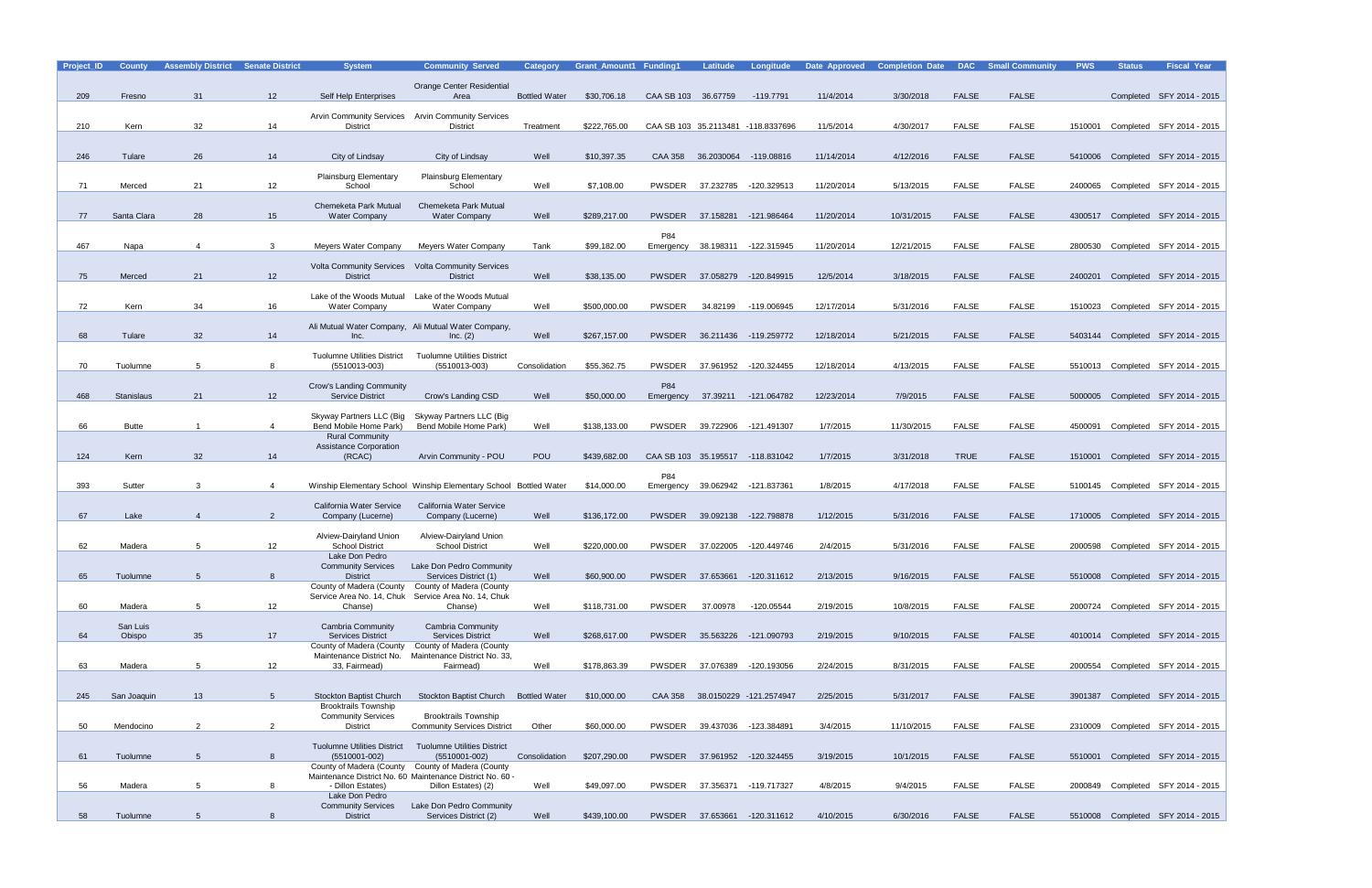| Project_ID | <b>County</b>     | <b>Assembly District Senate District</b> |                 | <b>System</b>                                            | <b>Community Served</b>                                                                                        | Category             | <b>Grant Amount1 Funding1</b> |                     | <b>Latitude</b>  | Longitude                          | <b>Date Approved</b> | <b>Completion Date</b> | <b>DAC</b>   | <b>Small Community</b> | <b>PWS</b> | <b>Status</b> | <b>Fiscal Year</b>                |
|------------|-------------------|------------------------------------------|-----------------|----------------------------------------------------------|----------------------------------------------------------------------------------------------------------------|----------------------|-------------------------------|---------------------|------------------|------------------------------------|----------------------|------------------------|--------------|------------------------|------------|---------------|-----------------------------------|
|            |                   |                                          |                 |                                                          | <b>Orange Center Residential</b>                                                                               |                      |                               |                     |                  |                                    |                      |                        |              |                        |            |               |                                   |
| 209        | Fresno            | 31                                       | 12 <sup>2</sup> | Self Help Enterprises                                    | Area                                                                                                           | <b>Bottled Water</b> | \$30,706.18                   | CAA SB 103 36.67759 |                  | $-119.7791$                        | 11/4/2014            | 3/30/2018              | <b>FALSE</b> | <b>FALSE</b>           |            |               | Completed SFY 2014 - 2015         |
|            |                   |                                          |                 | <b>Arvin Community Services</b>                          | <b>Arvin Community Services</b>                                                                                |                      |                               |                     |                  |                                    |                      |                        |              |                        |            |               |                                   |
| 210        | Kern              | 32                                       | 14              | District                                                 | <b>District</b>                                                                                                | Treatment            | \$222,765.00                  |                     |                  | CAA SB 103 35.2113481 -118.8337696 | 11/5/2014            | 4/30/2017              | <b>FALSE</b> | FALSE                  | 1510001    |               | Completed SFY 2014 - 2015         |
|            |                   |                                          |                 |                                                          |                                                                                                                |                      |                               |                     |                  |                                    |                      |                        |              |                        |            |               |                                   |
| 246        | Tulare            | 26                                       | 14              | City of Lindsay                                          | City of Lindsay                                                                                                | Well                 | \$10,397.35                   | CAA 358             |                  | 36.2030064 -119.08816              | 11/14/2014           | 4/12/2016              | <b>FALSE</b> | <b>FALSE</b>           | 5410006    |               | Completed SFY 2014 - 2015         |
|            |                   |                                          |                 |                                                          |                                                                                                                |                      |                               |                     |                  |                                    |                      |                        |              |                        |            |               |                                   |
| 71         | Merced            | 21                                       | 12              | Plainsburg Elementary<br>School                          | <b>Plainsburg Elementary</b><br>School                                                                         | Well                 | \$7,108.00                    | PWSDER              | 37.232785        | -120.329513                        | 11/20/2014           | 5/13/2015              | <b>FALSE</b> | FALSE                  | 2400065    |               | Completed SFY 2014 - 2015         |
|            |                   |                                          |                 |                                                          |                                                                                                                |                      |                               |                     |                  |                                    |                      |                        |              |                        |            |               |                                   |
| 77         | Santa Clara       | 28                                       | 15              | Chemeketa Park Mutual<br><b>Water Company</b>            | Chemeketa Park Mutual<br><b>Water Company</b>                                                                  | Well                 | \$289,217.00                  | <b>PWSDER</b>       |                  | 37.158281 -121.986464              | 11/20/2014           | 10/31/2015             | <b>FALSE</b> | <b>FALSE</b>           |            |               | 4300517 Completed SFY 2014 - 2015 |
|            |                   |                                          |                 |                                                          |                                                                                                                |                      |                               |                     |                  |                                    |                      |                        |              |                        |            |               |                                   |
| 467        |                   |                                          | 3               |                                                          |                                                                                                                | Tank                 |                               | P84                 |                  |                                    | 11/20/2014           | 12/21/2015             | <b>FALSE</b> | FALSE                  |            |               |                                   |
|            | Napa              |                                          |                 | Meyers Water Company                                     | <b>Meyers Water Company</b>                                                                                    |                      | \$99,182.00                   | Emergency           | 38.198311        | -122.315945                        |                      |                        |              |                        | 2800530    |               | Completed SFY 2014 - 2015         |
|            |                   |                                          |                 | <b>Volta Community Services</b>                          | <b>Volta Community Services</b>                                                                                |                      |                               |                     |                  |                                    |                      |                        |              |                        |            |               |                                   |
| 75         | Merced            | 21                                       | 12              | <b>District</b>                                          | <b>District</b>                                                                                                | Well                 | \$38,135.00                   | <b>PWSDER</b>       | 37.058279        | -120.849915                        | 12/5/2014            | 3/18/2015              | <b>FALSE</b> | <b>FALSE</b>           | 2400201    |               | Completed SFY 2014 - 2015         |
|            |                   |                                          |                 | Lake of the Woods Mutual                                 | Lake of the Woods Mutual                                                                                       |                      |                               |                     |                  |                                    |                      |                        |              |                        |            |               |                                   |
| 72         | Kern              | 34                                       | 16              | <b>Water Company</b>                                     | <b>Water Company</b>                                                                                           | Well                 | \$500.000.00                  | <b>PWSDER</b>       | 34.82199         | -119.006945                        | 12/17/2014           | 5/31/2016              | <b>FALSE</b> | FALSE                  |            |               | 1510023 Completed SFY 2014 - 2015 |
|            |                   |                                          |                 | Ali Mutual Water Company, Ali Mutual Water Company,      |                                                                                                                |                      |                               |                     |                  |                                    |                      |                        |              |                        |            |               |                                   |
| 68         | Tulare            | 32                                       | 14              | Inc.                                                     | Inc. (2)                                                                                                       | Well                 | \$267,157.00                  | <b>PWSDER</b>       |                  | 36.211436 -119.259772              | 12/18/2014           | 5/21/2015              | <b>FALSE</b> | <b>FALSE</b>           |            |               | 5403144 Completed SFY 2014 - 2015 |
|            |                   |                                          |                 | <b>Tuolumne Utilities District</b>                       | <b>Tuolumne Utilities District</b>                                                                             |                      |                               |                     |                  |                                    |                      |                        |              |                        |            |               |                                   |
| 70         | Tuolumne          | 5                                        |                 | (5510013-003)                                            | $(5510013 - 003)$                                                                                              | Consolidation        | \$55,362.75                   | <b>PWSDER</b>       | 37.961952        | -120.324455                        | 12/18/2014           | 4/13/2015              | <b>FALSE</b> | FALSE                  |            |               | 5510013 Completed SFY 2014 - 2015 |
|            |                   |                                          |                 | Crow's Landing Community                                 |                                                                                                                |                      |                               | P84                 |                  |                                    |                      |                        |              |                        |            |               |                                   |
| 468        | <b>Stanislaus</b> | 21                                       | 12              | <b>Service District</b>                                  | Crow's Landing CSD                                                                                             | Well                 | \$50,000.00                   | Emergency           | 37.39211         | -121.064782                        | 12/23/2014           | 7/9/2015               | <b>FALSE</b> | <b>FALSE</b>           |            |               | 5000005 Completed SFY 2014 - 2015 |
|            |                   |                                          |                 | Skyway Partners LLC (Big                                 | Skyway Partners LLC (Big                                                                                       |                      |                               |                     |                  |                                    |                      |                        |              |                        |            |               |                                   |
| 66         | <b>Butte</b>      |                                          | 4               | Bend Mobile Home Park)                                   | Bend Mobile Home Park)                                                                                         | Well                 | \$138,133.00                  | <b>PWSDER</b>       | 39.722906        | -121.491307                        | 1/7/2015             | 11/30/2015             | <b>FALSE</b> | FALSE                  | 4500091    |               | Completed SFY 2014 - 2015         |
|            |                   |                                          |                 | <b>Rural Community</b>                                   |                                                                                                                |                      |                               |                     |                  |                                    |                      |                        |              |                        |            |               |                                   |
| 124        | Kern              | 32                                       | 14              | <b>Assistance Corporation</b><br>(RCAC)                  | Arvin Community - POU                                                                                          | <b>POU</b>           | \$439,682.00                  |                     |                  | CAA SB 103 35.195517 -118.831042   | 1/7/2015             | 3/31/2018              | <b>TRUE</b>  | <b>FALSE</b>           |            |               | 1510001 Completed SFY 2014 - 2015 |
|            |                   |                                          |                 |                                                          |                                                                                                                |                      |                               |                     |                  |                                    |                      |                        |              |                        |            |               |                                   |
| 393        | Sutter            | 3                                        |                 |                                                          | Winship Elementary School Winship Elementary School Bottled Water                                              |                      | \$14,000.00                   | P84<br>Emergency    | 39.062942        | -121.837361                        | 1/8/2015             | 4/17/2018              | <b>FALSE</b> | FALSE                  |            |               | 5100145 Completed SFY 2014 - 2015 |
|            |                   |                                          |                 |                                                          |                                                                                                                |                      |                               |                     |                  |                                    |                      |                        |              |                        |            |               |                                   |
| 67         | Lake              |                                          | $\overline{2}$  | California Water Service<br>Company (Lucerne)            | California Water Service<br>Company (Lucerne)                                                                  | Well                 | \$136,172.00                  |                     | PWSDER 39.092138 | -122.798878                        | 1/12/2015            | 5/31/2016              | <b>FALSE</b> | <b>FALSE</b>           |            |               | 1710005 Completed SFY 2014 - 2015 |
|            |                   |                                          |                 |                                                          |                                                                                                                |                      |                               |                     |                  |                                    |                      |                        |              |                        |            |               |                                   |
| 62         | Madera            | 5                                        | 12              | <b>Alview-Dairyland Union</b><br><b>School District</b>  | Alview-Dairyland Union<br><b>School District</b>                                                               | Well                 | \$220,000.00                  | PWSDER              | 37.022005        | -120.449746                        | 2/4/2015             | 5/31/2016              | <b>FALSE</b> | FALSE                  | 2000598    |               | Completed SFY 2014 - 2015         |
|            |                   |                                          |                 | Lake Don Pedro                                           |                                                                                                                |                      |                               |                     |                  |                                    |                      |                        |              |                        |            |               |                                   |
|            |                   | $5\overline{5}$                          | 8               | <b>Community Services</b><br><b>District</b>             | Lake Don Pedro Community                                                                                       |                      |                               |                     |                  |                                    |                      |                        |              |                        |            |               |                                   |
| 65         | Tuolumne          |                                          |                 | County of Madera (County                                 | Services District (1)<br>County of Madera (County                                                              | Well                 | \$60,900.00                   |                     |                  | PWSDER 37.653661 -120.311612       | 2/13/2015            | 9/16/2015              | <b>FALSE</b> | <b>FALSE</b>           |            |               | 5510008 Completed SFY 2014 - 2015 |
|            |                   |                                          |                 | Service Area No. 14, Chuk                                | Service Area No. 14, Chuk                                                                                      |                      |                               |                     |                  |                                    |                      |                        |              |                        |            |               |                                   |
| 60         | Madera            | 5                                        | 12              | Chanse)                                                  | Chanse)                                                                                                        | Well                 | \$118,731.00                  | PWSDER              | 37.00978         | -120.05544                         | 2/19/2015            | 10/8/2015              | <b>FALSE</b> | FALSE                  |            |               | 2000724 Completed SFY 2014 - 2015 |
|            | San Luis          |                                          |                 | Cambria Community                                        | <b>Cambria Community</b>                                                                                       |                      |                               |                     |                  |                                    |                      |                        |              |                        |            |               |                                   |
| 64         | Obispo            | 35                                       | 17              | <b>Services District</b><br>County of Madera (County     | <b>Services District</b><br>County of Madera (County                                                           | Well                 | \$268,617.00                  |                     |                  | PWSDER 35.563226 -121.090793       | 2/19/2015            | 9/10/2015              | <b>FALSE</b> | <b>FALSE</b>           |            |               | 4010014 Completed SFY 2014 - 2015 |
|            |                   |                                          |                 |                                                          | Maintenance District No. Maintenance District No. 33,                                                          |                      |                               |                     |                  |                                    |                      |                        |              |                        |            |               |                                   |
| 63         | Madera            | 5                                        | 12              | 33, Fairmead)                                            | Fairmead)                                                                                                      | Well                 | \$178,863.39                  |                     | PWSDER 37.076389 | -120.193056                        | 2/24/2015            | 8/31/2015              | <b>FALSE</b> | FALSE                  |            |               | 2000554 Completed SFY 2014 - 2015 |
|            |                   |                                          |                 |                                                          |                                                                                                                |                      |                               |                     |                  |                                    |                      |                        |              |                        |            |               |                                   |
| 245        | San Joaquin       | 13                                       | 5               | <b>Stockton Baptist Church</b>                           | Stockton Baptist Church Bottled Water                                                                          |                      | \$10,000.00                   |                     |                  | CAA 358 38.0150229 -121.2574947    | 2/25/2015            | 5/31/2017              | <b>FALSE</b> | <b>FALSE</b>           |            |               | 3901387 Completed SFY 2014 - 2015 |
|            |                   |                                          |                 | <b>Brooktrails Township</b><br><b>Community Services</b> | <b>Brooktrails Township</b>                                                                                    |                      |                               |                     |                  |                                    |                      |                        |              |                        |            |               |                                   |
| 50         | Mendocino         | 2                                        | $\overline{2}$  | District                                                 | <b>Community Services District</b>                                                                             | Other                | \$60,000.00                   |                     | PWSDER 39.437036 | -123.384891                        | 3/4/2015             | 11/10/2015             | <b>FALSE</b> | FALSE                  |            |               | 2310009 Completed SFY 2014 - 2015 |
|            |                   |                                          |                 | <b>Tuolumne Utilities District</b>                       | <b>Tuolumne Utilities District</b>                                                                             |                      |                               |                     |                  |                                    |                      |                        |              |                        |            |               |                                   |
| 61         | Tuolumne          | 5 <sup>5</sup>                           | 8               | $(5510001 - 002)$                                        | $(5510001 - 002)$                                                                                              | Consolidation        | \$207,290.00                  |                     |                  | PWSDER 37.961952 -120.324455       | 3/19/2015            | 10/1/2015              | <b>FALSE</b> | <b>FALSE</b>           |            |               | 5510001 Completed SFY 2014 - 2015 |
|            |                   |                                          |                 |                                                          | County of Madera (County County of Madera (County<br>Maintenance District No. 60 Maintenance District No. 60 - |                      |                               |                     |                  |                                    |                      |                        |              |                        |            |               |                                   |
| 56         | Madera            | $5\overline{5}$                          | 8               | - Dillon Estates)                                        | Dillon Estates) (2)                                                                                            | Well                 | \$49,097.00                   |                     |                  | PWSDER 37.356371 -119.717327       | 4/8/2015             | 9/4/2015               | <b>FALSE</b> | <b>FALSE</b>           |            |               | 2000849 Completed SFY 2014 - 2015 |
|            |                   |                                          |                 | Lake Don Pedro                                           |                                                                                                                |                      |                               |                     |                  |                                    |                      |                        |              |                        |            |               |                                   |
| 58         | Tuolumne          | $5\overline{)}$                          | 8               | <b>Community Services</b><br><b>District</b>             | Lake Don Pedro Community<br>Services District (2)                                                              | Well                 | \$439,100.00                  |                     |                  | PWSDER 37.653661 -120.311612       | 4/10/2015            | 6/30/2016              | <b>FALSE</b> | <b>FALSE</b>           |            |               | 5510008 Completed SFY 2014 - 2015 |
|            |                   |                                          |                 |                                                          |                                                                                                                |                      |                               |                     |                  |                                    |                      |                        |              |                        |            |               |                                   |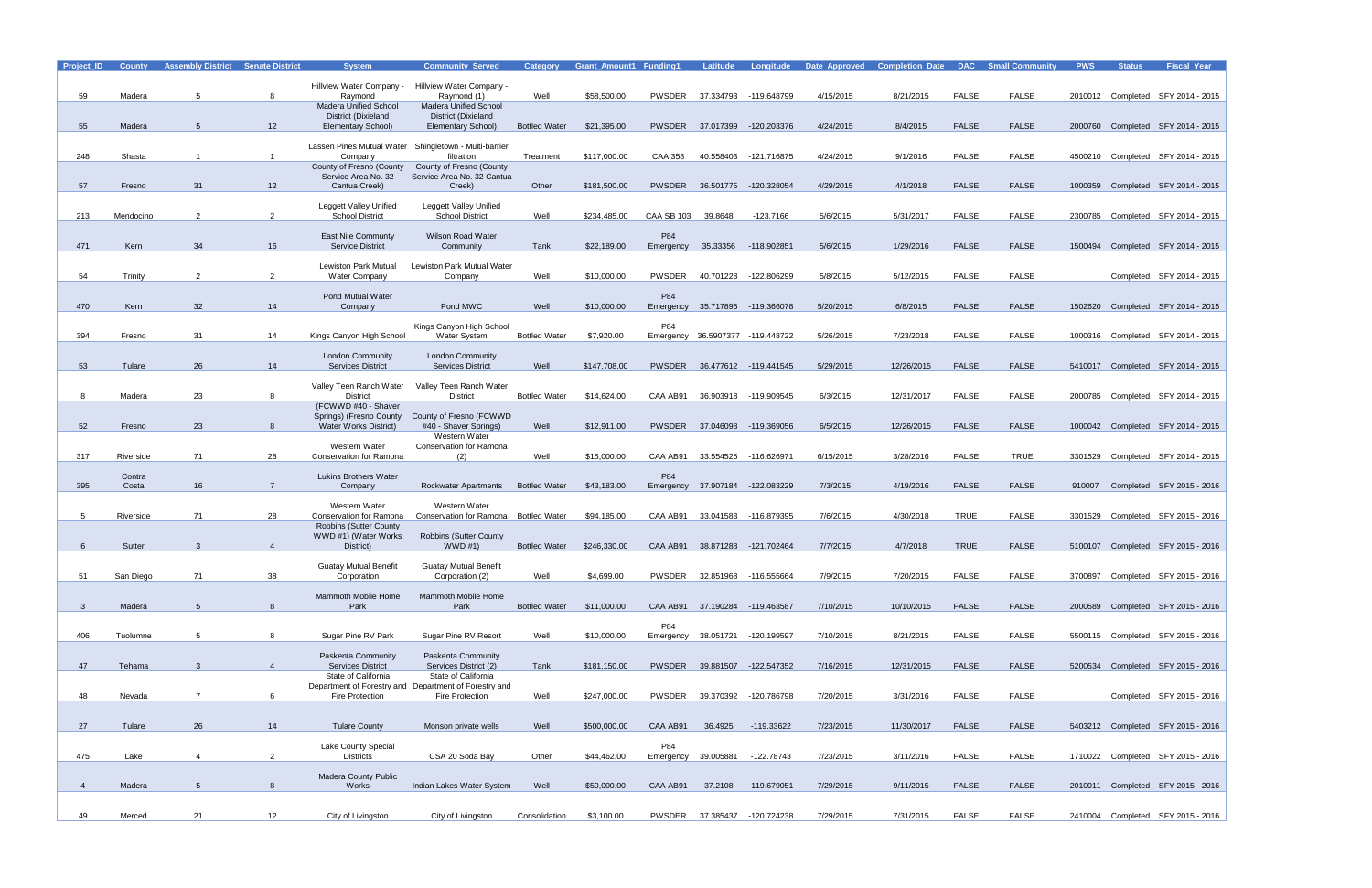| Project_ID     | <b>County</b> | <b>Assembly District Senate District</b> |                | <b>System</b>                                       | <b>Community Served</b>                                                  | <b>Category</b>      | <b>Grant Amount1 Funding1</b> |                     | Latitude         | Longitude                        | Date Approved | <b>Completion Date</b> | <b>DAC</b>   | <b>Small Community</b> | <b>PWS</b> | <b>Status</b> | <b>Fiscal Year</b>                |
|----------------|---------------|------------------------------------------|----------------|-----------------------------------------------------|--------------------------------------------------------------------------|----------------------|-------------------------------|---------------------|------------------|----------------------------------|---------------|------------------------|--------------|------------------------|------------|---------------|-----------------------------------|
|                |               |                                          |                | Hillview Water Company -                            | Hillview Water Company -                                                 |                      |                               |                     |                  |                                  |               |                        |              |                        |            |               |                                   |
| 59             | Madera        | 5                                        | 8              | Raymond                                             | Raymond (1)                                                              | Well                 | \$58,500.00                   | PWSDER              |                  | 37.334793 -119.648799            | 4/15/2015     | 8/21/2015              | <b>FALSE</b> | <b>FALSE</b>           |            |               | 2010012 Completed SFY 2014 - 2015 |
|                |               |                                          |                | <b>Madera Unified School</b>                        | <b>Madera Unified School</b>                                             |                      |                               |                     |                  |                                  |               |                        |              |                        |            |               |                                   |
| 55             | Madera        | 5                                        | 12             | District (Dixieland<br><b>Elementary School)</b>    | District (Dixieland<br><b>Elementary School)</b>                         | <b>Bottled Water</b> | \$21,395.00                   | <b>PWSDER</b>       |                  | 37.017399 -120.203376            | 4/24/2015     | 8/4/2015               | <b>FALSE</b> | <b>FALSE</b>           |            |               | 2000760 Completed SFY 2014 - 2015 |
|                |               |                                          |                |                                                     |                                                                          |                      |                               |                     |                  |                                  |               |                        |              |                        |            |               |                                   |
| 248            | Shasta        | -1                                       |                | Company                                             | Lassen Pines Mutual Water Shingletown - Multi-barrier<br>filtration      | Treatment            | \$117,000.00                  | <b>CAA 358</b>      | 40.558403        | -121.716875                      | 4/24/2015     | 9/1/2016               | <b>FALSE</b> | <b>FALSE</b>           |            |               | 4500210 Completed SFY 2014 - 2015 |
|                |               |                                          |                | County of Fresno (County                            | County of Fresno (County                                                 |                      |                               |                     |                  |                                  |               |                        |              |                        |            |               |                                   |
|                |               |                                          |                | Service Area No. 32                                 | Service Area No. 32 Cantua                                               |                      |                               |                     |                  |                                  |               |                        |              |                        |            |               |                                   |
| 57             | Fresno        | 31                                       | 12             | Cantua Creek)                                       | Creek)                                                                   | Other                | \$181,500.00                  |                     | PWSDER 36.501775 | -120.328054                      | 4/29/2015     | 4/1/2018               | <b>FALSE</b> | <b>FALSE</b>           |            |               | 1000359 Completed SFY 2014 - 2015 |
|                |               |                                          |                | <b>Leggett Valley Unified</b>                       | Leggett Valley Unified                                                   |                      |                               |                     |                  |                                  |               |                        |              |                        |            |               |                                   |
| 213            | Mendocino     | 2                                        | $\overline{2}$ | <b>School District</b>                              | <b>School District</b>                                                   | Well                 | \$234,485.00                  | <b>CAA SB 103</b>   | 39.8648          | $-123.7166$                      | 5/6/2015      | 5/31/2017              | <b>FALSE</b> | <b>FALSE</b>           |            |               | 2300785 Completed SFY 2014 - 2015 |
|                |               |                                          |                | <b>East Nile Communty</b>                           | Wilson Road Water                                                        |                      |                               | P84                 |                  |                                  |               |                        |              |                        |            |               |                                   |
| 471            | Kern          | 34                                       | 16             | <b>Service District</b>                             | Community                                                                | Tank                 | \$22,189.00                   | Emergency           | 35.33356         | -118.902851                      | 5/6/2015      | 1/29/2016              | <b>FALSE</b> | <b>FALSE</b>           |            |               | 1500494 Completed SFY 2014 - 2015 |
|                |               |                                          |                |                                                     |                                                                          |                      |                               |                     |                  |                                  |               |                        |              |                        |            |               |                                   |
| 54             | Trinity       | 2                                        | $\overline{2}$ | <b>Lewiston Park Mutual</b><br><b>Water Company</b> | Lewiston Park Mutual Water<br>Company                                    | Well                 | \$10,000.00                   | <b>PWSDER</b>       | 40.701228        | -122.806299                      | 5/8/2015      | 5/12/2015              | <b>FALSE</b> | <b>FALSE</b>           |            |               | Completed SFY 2014 - 2015         |
|                |               |                                          |                |                                                     |                                                                          |                      |                               |                     |                  |                                  |               |                        |              |                        |            |               |                                   |
|                |               |                                          |                | <b>Pond Mutual Water</b>                            |                                                                          |                      |                               | P84                 |                  |                                  |               |                        |              |                        |            |               |                                   |
| 470            | Kern          | 32                                       | 14             | Company                                             | Pond MWC                                                                 | Well                 | \$10,000.00                   | Emergency           |                  | 35.717895 -119.366078            | 5/20/2015     | 6/8/2015               | <b>FALSE</b> | <b>FALSE</b>           |            |               | 1502620 Completed SFY 2014 - 2015 |
|                |               |                                          |                |                                                     | Kings Canyon High School                                                 |                      |                               | P84                 |                  |                                  |               |                        |              |                        |            |               |                                   |
| 394            | Fresno        | 31                                       | 14             | Kings Canyon High School                            | <b>Water System</b>                                                      | <b>Bottled Water</b> | \$7,920.00                    |                     |                  | Emergency 36.5907377 -119.448722 | 5/26/2015     | 7/23/2018              | <b>FALSE</b> | <b>FALSE</b>           |            |               | 1000316 Completed SFY 2014 - 2015 |
|                |               |                                          |                | <b>London Community</b>                             | <b>London Community</b>                                                  |                      |                               |                     |                  |                                  |               |                        |              |                        |            |               |                                   |
| 53             | Tulare        | 26                                       | 14             | <b>Services District</b>                            | <b>Services District</b>                                                 | Well                 | \$147,708.00                  | <b>PWSDER</b>       |                  | 36.477612 -119.441545            | 5/29/2015     | 12/26/2015             | <b>FALSE</b> | <b>FALSE</b>           |            |               | 5410017 Completed SFY 2014 - 2015 |
|                |               |                                          |                | Valley Teen Ranch Water                             | Valley Teen Ranch Water                                                  |                      |                               |                     |                  |                                  |               |                        |              |                        |            |               |                                   |
| 8              | Madera        | 23                                       | 8              | <b>District</b>                                     | <b>District</b>                                                          | <b>Bottled Water</b> | \$14,624.00                   | CAA AB91            |                  | 36.903918 -119.909545            | 6/3/2015      | 12/31/2017             | <b>FALSE</b> | <b>FALSE</b>           |            |               | 2000785 Completed SFY 2014 - 2015 |
|                |               |                                          |                | (FCWWD #40 - Shaver                                 |                                                                          |                      |                               |                     |                  |                                  |               |                        |              |                        |            |               |                                   |
| 52             | Fresno        | 23                                       | 8              | Springs) (Fresno County<br>Water Works District)    | County of Fresno (FCWWD<br>#40 - Shaver Springs)                         | Well                 | \$12,911.00                   |                     |                  | PWSDER 37.046098 -119.369056     | 6/5/2015      | 12/26/2015             | <b>FALSE</b> | <b>FALSE</b>           |            |               | 1000042 Completed SFY 2014 - 2015 |
|                |               |                                          |                |                                                     | Western Water                                                            |                      |                               |                     |                  |                                  |               |                        |              |                        |            |               |                                   |
|                |               |                                          |                | Western Water                                       | <b>Conservation for Ramona</b>                                           |                      |                               |                     |                  |                                  |               |                        |              |                        |            |               |                                   |
| 317            | Riverside     | 71                                       | 28             | Conservation for Ramona                             | (2)                                                                      | Well                 | \$15,000.00                   | CAA AB91            |                  | 33.554525 -116.62697             | 6/15/2015     | 3/28/2016              | <b>FALSE</b> | <b>TRUE</b>            |            |               | 3301529 Completed SFY 2014 - 2015 |
|                | Contra        |                                          |                | <b>Lukins Brothers Water</b>                        |                                                                          |                      |                               | P84                 |                  |                                  |               |                        |              |                        |            |               |                                   |
| 395            | Costa         | 16                                       |                | Company                                             | <b>Rockwater Apartments</b>                                              | <b>Bottled Water</b> | \$43,183.00                   | Emergency           |                  | 37.907184 -122.083229            | 7/3/2015      | 4/19/2016              | <b>FALSE</b> | <b>FALSE</b>           | 910007     |               | Completed SFY 2015 - 2016         |
|                |               |                                          |                | Western Water                                       | Western Water                                                            |                      |                               |                     |                  |                                  |               |                        |              |                        |            |               |                                   |
| 5              | Riverside     | 71                                       | 28             | Conservation for Ramona                             | Conservation for Ramona Bottled Water                                    |                      | \$94,185.00                   | CAA AB91            | 33.041583        | -116.879395                      | 7/6/2015      | 4/30/2018              | <b>TRUE</b>  | <b>FALSE</b>           | 3301529    |               | Completed SFY 2015 - 2016         |
|                |               |                                          |                | <b>Robbins (Sutter County</b>                       |                                                                          |                      |                               |                     |                  |                                  |               |                        |              |                        |            |               |                                   |
| 6              | Sutter        | 3                                        | $\overline{4}$ | WWD #1) (Water Works<br>District)                   | <b>Robbins (Sutter County</b><br>WWD #1)                                 | <b>Bottled Water</b> | \$246,330.00                  | CAA AB91            |                  | 38.871288 -121.702464            | 7/7/2015      | 4/7/2018               | <b>TRUE</b>  | <b>FALSE</b>           |            |               | 5100107 Completed SFY 2015 - 2016 |
|                |               |                                          |                |                                                     |                                                                          |                      |                               |                     |                  |                                  |               |                        |              |                        |            |               |                                   |
|                |               |                                          |                | <b>Guatay Mutual Benefit</b>                        | <b>Guatay Mutual Benefit</b>                                             |                      |                               |                     |                  |                                  |               |                        |              |                        |            |               |                                   |
| 51             | San Diego     | 71                                       | 38             | Corporation                                         | Corporation (2)                                                          | Well                 | \$4,699.00                    |                     |                  | PWSDER 32.851968 -116.555664     | 7/9/2015      | 7/20/2015              | <b>FALSE</b> | <b>FALSE</b>           |            |               | 3700897 Completed SFY 2015 - 2016 |
|                |               |                                          |                | Mammoth Mobile Home                                 | Mammoth Mobile Home                                                      |                      |                               |                     |                  |                                  |               |                        |              |                        |            |               |                                   |
| 3 <sup>1</sup> | Madera        | 5                                        | 8              | Park                                                | Park                                                                     | <b>Bottled Water</b> | \$11,000.00                   |                     |                  | CAA AB91 37.190284 -119.463587   | 7/10/2015     | 10/10/2015             | <b>FALSE</b> | <b>FALSE</b>           |            |               | 2000589 Completed SFY 2015 - 2016 |
|                |               |                                          |                |                                                     |                                                                          |                      |                               | P84                 |                  |                                  |               |                        |              |                        |            |               |                                   |
| 406            | Tuolumne      | $5\overline{5}$                          | 8              | Sugar Pine RV Park                                  | Sugar Pine RV Resort                                                     | Well                 | \$10,000.00                   |                     |                  | Emergency 38.051721 -120.199597  | 7/10/2015     | 8/21/2015              | <b>FALSE</b> | <b>FALSE</b>           |            |               | 5500115 Completed SFY 2015 - 2016 |
|                |               |                                          |                | Paskenta Community                                  | <b>Paskenta Community</b>                                                |                      |                               |                     |                  |                                  |               |                        |              |                        |            |               |                                   |
| 47             | Tehama        | $\mathbf{3}$                             | $\overline{4}$ | <b>Services District</b>                            | Services District (2)                                                    | Tank                 | \$181,150.00                  |                     |                  | PWSDER 39.881507 -122.547352     | 7/16/2015     | 12/31/2015             | <b>FALSE</b> | <b>FALSE</b>           |            |               | 5200534 Completed SFY 2015 - 2016 |
|                |               |                                          |                | State of California                                 | State of California                                                      |                      |                               |                     |                  |                                  |               |                        |              |                        |            |               |                                   |
| 48             | Nevada        |                                          | 6              | <b>Fire Protection</b>                              | Department of Forestry and Department of Forestry and<br>Fire Protection | Well                 | \$247,000.00                  | PWSDER              | 39.370392        | -120.786798                      | 7/20/2015     | 3/31/2016              | <b>FALSE</b> | FALSE                  |            |               | Completed SFY 2015 - 2016         |
|                |               |                                          |                |                                                     |                                                                          |                      |                               |                     |                  |                                  |               |                        |              |                        |            |               |                                   |
|                |               |                                          |                |                                                     |                                                                          |                      |                               |                     |                  |                                  |               |                        |              |                        |            |               |                                   |
| 27             | Tulare        | 26                                       | 14             | <b>Tulare County</b>                                | Monson private wells                                                     | Well                 | \$500,000.00                  | CAA AB91            | 36.4925          | -119.33622                       | 7/23/2015     | 11/30/2017             | <b>FALSE</b> | <b>FALSE</b>           |            |               | 5403212 Completed SFY 2015 - 2016 |
|                |               |                                          |                | Lake County Special                                 |                                                                          |                      |                               | P84                 |                  |                                  |               |                        |              |                        |            |               |                                   |
| 475            | Lake          | $\overline{4}$                           | $\overline{2}$ | <b>Districts</b>                                    | CSA 20 Soda Bay                                                          | Other                | \$44,462.00                   | Emergency 39.005881 |                  | -122.78743                       | 7/23/2015     | 3/11/2016              | <b>FALSE</b> | <b>FALSE</b>           |            |               | 1710022 Completed SFY 2015 - 2016 |
|                |               |                                          |                | <b>Madera County Public</b>                         |                                                                          |                      |                               |                     |                  |                                  |               |                        |              |                        |            |               |                                   |
| $\overline{4}$ | Madera        | 5                                        | 8              | Works                                               | Indian Lakes Water System                                                | Well                 | \$50,000.00                   | CAA AB91            | 37.2108          | -119.679051                      | 7/29/2015     | 9/11/2015              | <b>FALSE</b> | <b>FALSE</b>           |            |               | 2010011 Completed SFY 2015 - 2016 |
|                |               |                                          |                |                                                     |                                                                          |                      |                               |                     |                  |                                  |               |                        |              |                        |            |               |                                   |
| 49             | Merced        | 21                                       | 12             | City of Livingston                                  | City of Livingston                                                       | Consolidation        | \$3,100.00                    |                     |                  | PWSDER 37.385437 -120.724238     | 7/29/2015     | 7/31/2015              | <b>FALSE</b> | FALSE                  |            |               | 2410004 Completed SFY 2015 - 2016 |
|                |               |                                          |                |                                                     |                                                                          |                      |                               |                     |                  |                                  |               |                        |              |                        |            |               |                                   |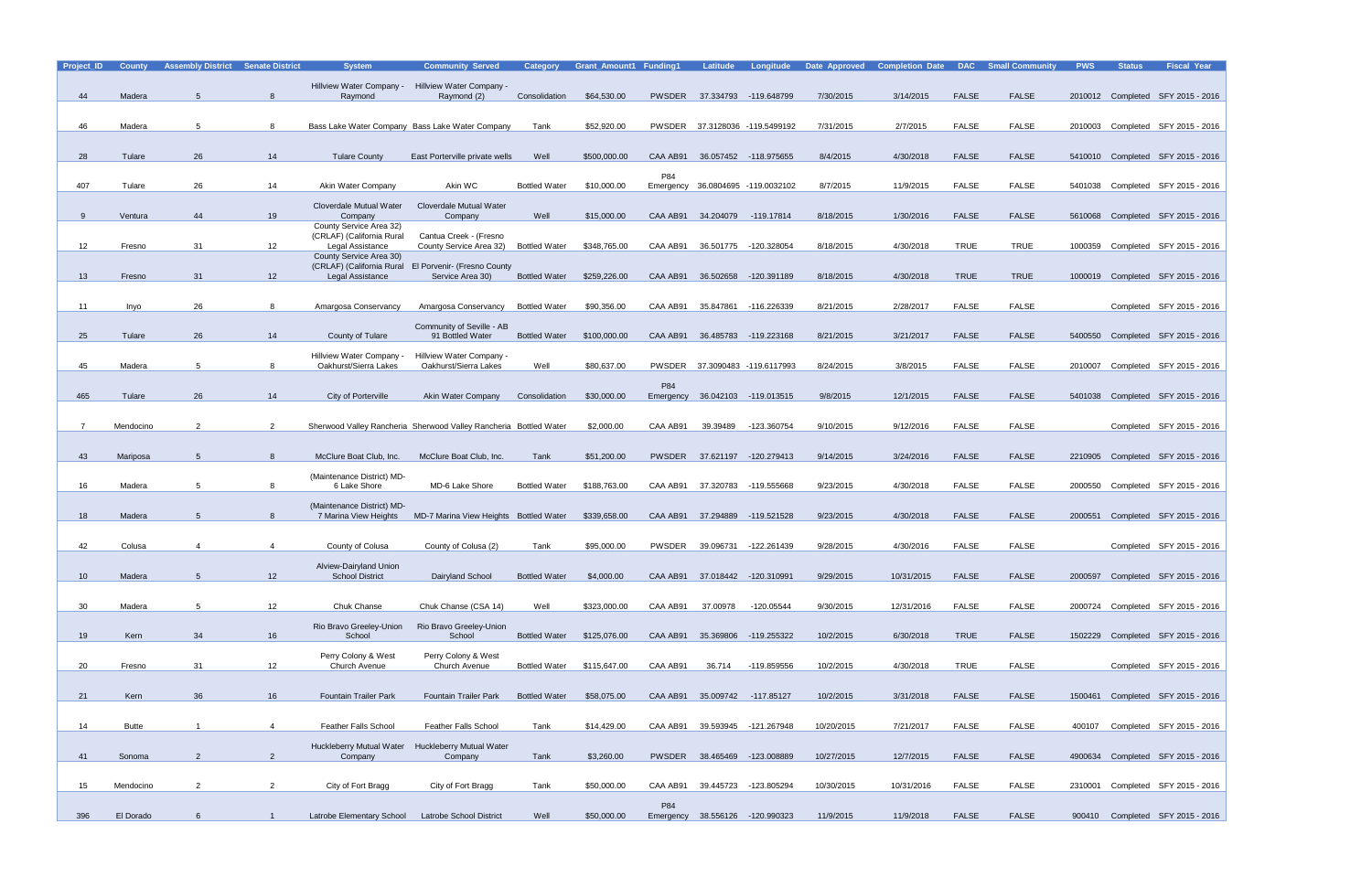| Project_ID      | <b>County</b> | <b>Assembly District Senate District</b> |                 | <b>System</b>                                          | <b>Community Served</b>                                           | Category             | <b>Grant Amount1 Funding1</b> |                  | <b>Latitude</b>               | Longitude                       | Date Approved | <b>Completion Date</b> | <b>DAC</b>   | <b>Small Community</b> | <b>PWS</b> | <b>Status</b> | <b>Fiscal Year</b>                |
|-----------------|---------------|------------------------------------------|-----------------|--------------------------------------------------------|-------------------------------------------------------------------|----------------------|-------------------------------|------------------|-------------------------------|---------------------------------|---------------|------------------------|--------------|------------------------|------------|---------------|-----------------------------------|
|                 |               |                                          |                 | Hillview Water Company -                               | Hillview Water Company -                                          |                      |                               |                  |                               |                                 |               |                        |              |                        |            |               |                                   |
| 44              | Madera        | 5                                        | 8               | Raymond                                                | Raymond (2)                                                       | Consolidation        | \$64,530.00                   | <b>PWSDER</b>    |                               | 37.334793 -119.648799           | 7/30/2015     | 3/14/2015              | <b>FALSE</b> | <b>FALSE</b>           |            |               | 2010012 Completed SFY 2015 - 2016 |
|                 |               |                                          |                 |                                                        |                                                                   |                      |                               |                  |                               |                                 |               |                        |              |                        |            |               |                                   |
| 46              | Madera        | 5                                        | 8               |                                                        | Bass Lake Water Company Bass Lake Water Company                   | Tank                 | \$52,920.00                   |                  |                               | PWSDER 37.3128036 -119.5499192  | 7/31/2015     | 2/7/2015               | <b>FALSE</b> | FALSE                  |            |               | 2010003 Completed SFY 2015 - 2016 |
|                 |               |                                          |                 |                                                        |                                                                   |                      |                               |                  |                               |                                 |               |                        |              |                        |            |               |                                   |
| 28              | Tulare        | 26                                       | 14              | <b>Tulare County</b>                                   | East Porterville private wells                                    | Well                 | \$500,000.00                  | CAA AB91         |                               | 36.057452 -118.975655           | 8/4/2015      | 4/30/2018              | <b>FALSE</b> | <b>FALSE</b>           |            |               | 5410010 Completed SFY 2015 - 2016 |
|                 |               |                                          |                 |                                                        |                                                                   |                      |                               |                  |                               |                                 |               |                        |              |                        |            |               |                                   |
| 407             | Tulare        | 26                                       | 14              | Akin Water Company                                     | Akin WC                                                           | <b>Bottled Water</b> | \$10,000.00                   | P84              |                               | 36.0804695 -119.0032102         | 8/7/2015      | 11/9/2015              | <b>FALSE</b> | FALSE                  | 5401038    |               | Completed SFY 2015 - 2016         |
|                 |               |                                          |                 |                                                        |                                                                   |                      |                               | Emergency        |                               |                                 |               |                        |              |                        |            |               |                                   |
|                 |               |                                          |                 | Cloverdale Mutual Water                                | Cloverdale Mutual Water                                           |                      |                               |                  |                               |                                 |               |                        |              |                        |            |               |                                   |
| $\mathbf{Q}$    | Ventura       | 44                                       | 19              | Company<br>County Service Area 32)                     | Company                                                           | Well                 | \$15,000.00                   | CAA AB91         | 34.204079                     | -119.17814                      | 8/18/2015     | 1/30/2016              | <b>FALSE</b> | <b>FALSE</b>           | 5610068    |               | Completed SFY 2015 - 2016         |
|                 |               |                                          |                 | (CRLAF) (California Rural                              | Cantua Creek - (Fresno                                            |                      |                               |                  |                               |                                 |               |                        |              |                        |            |               |                                   |
| 12              | Fresno        | 31                                       | 12              | Legal Assistance<br>County Service Area 30)            | County Service Area 32)                                           | <b>Bottled Water</b> | \$348,765.00                  | CAA AB91         | 36.501775                     | -120.328054                     | 8/18/2015     | 4/30/2018              | <b>TRUE</b>  | <b>TRUE</b>            | 1000359    |               | Completed SFY 2015 - 2016         |
|                 |               |                                          |                 | (CRLAF) (California Rural                              | <b>El Porvenir- (Fresno County</b>                                |                      |                               |                  |                               |                                 |               |                        |              |                        |            |               |                                   |
| 13 <sup>°</sup> | Fresno        | 31                                       | 12 <sup>2</sup> | Legal Assistance                                       | Service Area 30)                                                  | <b>Bottled Water</b> | \$259,226.00                  | CAA AB91         | 36.502658                     | -120.391189                     | 8/18/2015     | 4/30/2018              | <b>TRUE</b>  | <b>TRUE</b>            |            |               | 1000019 Completed SFY 2015 - 2016 |
|                 |               |                                          |                 |                                                        |                                                                   |                      |                               |                  |                               |                                 |               |                        |              |                        |            |               |                                   |
| 11              | Inyo          | 26                                       | 8               | Amargosa Conservancy                                   | Amargosa Conservancy                                              | <b>Bottled Water</b> | \$90,356.00                   | CAA AB91         | 35.847861                     | -116.226339                     | 8/21/2015     | 2/28/2017              | <b>FALSE</b> | <b>FALSE</b>           |            |               | Completed SFY 2015 - 2016         |
|                 |               |                                          |                 |                                                        | Community of Seville - AB                                         |                      |                               |                  |                               |                                 |               |                        |              |                        |            |               |                                   |
| 25              | Tulare        | 26                                       | 14              | County of Tulare                                       | 91 Bottled Water                                                  | <b>Bottled Water</b> | \$100,000.00                  |                  |                               | CAA AB91 36.485783 -119.223168  | 8/21/2015     | 3/21/2017              | <b>FALSE</b> | <b>FALSE</b>           | 5400550    |               | Completed SFY 2015 - 2016         |
|                 |               |                                          |                 |                                                        |                                                                   |                      |                               |                  |                               |                                 |               |                        |              |                        |            |               |                                   |
| 45              | Madera        | 5                                        | 8               | <b>Hillview Water Company</b><br>Oakhurst/Sierra Lakes | Hillview Water Company -<br>Oakhurst/Sierra Lakes                 | Well                 | \$80,637.00                   | PWSDER           |                               | 37.3090483 -119.6117993         | 8/24/2015     | 3/8/2015               | <b>FALSE</b> | FALSE                  | 2010007    |               | Completed SFY 2015 - 2016         |
|                 |               |                                          |                 |                                                        |                                                                   |                      |                               |                  |                               |                                 |               |                        |              |                        |            |               |                                   |
| 465             | Tulare        | 26                                       | 14              | City of Porterville                                    | Akin Water Company                                                | Consolidation        | \$30,000.00                   | P84<br>Emergency |                               | 36.042103 -119.013515           | 9/8/2015      | 12/1/2015              | <b>FALSE</b> | <b>FALSE</b>           | 5401038    |               | Completed SFY 2015 - 2016         |
|                 |               |                                          |                 |                                                        |                                                                   |                      |                               |                  |                               |                                 |               |                        |              |                        |            |               |                                   |
|                 | Mendocino     | $\overline{2}$                           | $\overline{2}$  |                                                        | Sherwood Valley Rancheria Sherwood Valley Rancheria Bottled Water |                      | \$2,000.00                    | CAA AB91         | 39.39489                      | -123.360754                     | 9/10/2015     | 9/12/2016              | <b>FALSE</b> | <b>FALSE</b>           |            |               | Completed SFY 2015 - 2016         |
|                 |               |                                          |                 |                                                        |                                                                   |                      |                               |                  |                               |                                 |               |                        |              |                        |            |               |                                   |
|                 |               |                                          |                 |                                                        |                                                                   |                      |                               |                  |                               |                                 |               |                        |              |                        |            |               |                                   |
| 43              | Mariposa      | 5                                        | 8               | McClure Boat Club, Inc.                                | McClure Boat Club, Inc.                                           | Tank                 | \$51,200.00                   | PWSDER           |                               | 37.621197 -120.279413           | 9/14/2015     | 3/24/2016              | <b>FALSE</b> | <b>FALSE</b>           |            |               | 2210905 Completed SFY 2015 - 2016 |
|                 |               |                                          |                 | (Maintenance District) MD-                             |                                                                   |                      |                               |                  |                               |                                 |               |                        |              |                        |            |               |                                   |
| 16              | Madera        | 5                                        |                 | 6 Lake Shore                                           | MD-6 Lake Shore                                                   | <b>Bottled Water</b> | \$188,763.00                  | CAA AB91         | 37.320783                     | -119.555668                     | 9/23/2015     | 4/30/2018              | <b>FALSE</b> | FALSE                  | 2000550    |               | Completed SFY 2015 - 2016         |
|                 |               |                                          |                 | (Maintenance District) MD-                             |                                                                   |                      |                               |                  |                               |                                 |               |                        |              |                        |            |               |                                   |
| 18              | Madera        | 5                                        | 8               | 7 Marina View Heights                                  | MD-7 Marina View Heights Bottled Water                            |                      | \$339,658.00                  | CAA AB91         | 37.294889                     | -119.521528                     | 9/23/2015     | 4/30/2018              | <b>FALSE</b> | FALSE                  | 2000551    |               | Completed SFY 2015 - 2016         |
|                 |               |                                          |                 |                                                        |                                                                   |                      |                               |                  |                               |                                 |               |                        |              |                        |            |               |                                   |
| 42              | Colusa        | $\overline{4}$                           | 4               | County of Colusa                                       | County of Colusa (2)                                              | Tank                 | \$95,000.00                   | PWSDER           | 39.096731                     | -122.261439                     | 9/28/2015     | 4/30/2016              | <b>FALSE</b> | <b>FALSE</b>           |            |               | Completed SFY 2015 - 2016         |
|                 |               |                                          |                 | Alview-Dairyland Union                                 |                                                                   |                      |                               |                  |                               |                                 |               |                        |              |                        |            |               |                                   |
| 10 <sup>1</sup> | Madera        | 5                                        | 12              | <b>School District</b>                                 | Dairyland School                                                  | <b>Bottled Water</b> | \$4,000.00                    |                  |                               | CAA AB91 37.018442 -120.310991  | 9/29/2015     | 10/31/2015             | <b>FALSE</b> | FALSE                  |            |               | 2000597 Completed SFY 2015 - 2016 |
|                 |               |                                          |                 |                                                        |                                                                   |                      |                               |                  |                               |                                 |               |                        |              |                        |            |               |                                   |
| 30 <sup>°</sup> | Madera        | $5\overline{5}$                          | 12              | Chuk Chanse                                            | Chuk Chanse (CSA 14)                                              | Well                 | \$323,000.00                  | CAA AB91         | 37.00978                      | -120.05544                      | 9/30/2015     | 12/31/2016             | <b>FALSE</b> | FALSE                  |            |               | 2000724 Completed SFY 2015 - 2016 |
|                 |               |                                          |                 | Rio Bravo Greeley-Union                                | Rio Bravo Greeley-Union                                           |                      |                               |                  |                               |                                 |               |                        |              |                        |            |               |                                   |
| 19              | Kern          | 34                                       | 16              | School                                                 | School                                                            | <b>Bottled Water</b> | \$125,076.00                  |                  |                               | CAA AB91 35.369806 -119.255322  | 10/2/2015     | 6/30/2018              | <b>TRUE</b>  | <b>FALSE</b>           |            |               | 1502229 Completed SFY 2015 - 2016 |
|                 |               |                                          |                 |                                                        |                                                                   |                      |                               |                  |                               |                                 |               |                        |              |                        |            |               |                                   |
| 20              | Fresno        | 31                                       | 12              | Perry Colony & West<br>Church Avenue                   | Perry Colony & West<br>Church Avenue                              | <b>Bottled Water</b> | \$115,647.00                  | CAA AB91         | 36.714                        | -119.859556                     | 10/2/2015     | 4/30/2018              | <b>TRUE</b>  | FALSE                  |            |               | Completed SFY 2015 - 2016         |
|                 |               |                                          |                 |                                                        |                                                                   |                      |                               |                  |                               |                                 |               |                        |              |                        |            |               |                                   |
| 21              | Kern          | 36                                       | 16              | <b>Fountain Trailer Park</b>                           | <b>Fountain Trailer Park</b>                                      | <b>Bottled Water</b> | \$58,075.00                   |                  | CAA AB91 35.009742 -117.85127 |                                 | 10/2/2015     | 3/31/2018              | <b>FALSE</b> | FALSE                  |            |               | 1500461 Completed SFY 2015 - 2016 |
|                 |               |                                          |                 |                                                        |                                                                   |                      |                               |                  |                               |                                 |               |                        |              |                        |            |               |                                   |
|                 | <b>Butte</b>  |                                          | $\overline{4}$  |                                                        |                                                                   | Tank                 | \$14,429.00                   |                  |                               | 39.593945 -121.267948           | 10/20/2015    | 7/21/2017              | <b>FALSE</b> | FALSE                  |            |               |                                   |
| 14              |               |                                          |                 | <b>Feather Falls School</b>                            | <b>Feather Falls School</b>                                       |                      |                               | CAA AB91         |                               |                                 |               |                        |              |                        | 400107     |               | Completed SFY 2015 - 2016         |
|                 |               |                                          |                 | <b>Huckleberry Mutual Water</b>                        | <b>Huckleberry Mutual Water</b>                                   |                      |                               |                  |                               |                                 |               |                        |              |                        |            |               |                                   |
| 41              | Sonoma        | 2                                        | $\overline{2}$  | Company                                                | Company                                                           | Tank                 | \$3,260.00                    |                  |                               | PWSDER 38.465469 -123.008889    | 10/27/2015    | 12/7/2015              | <b>FALSE</b> | <b>FALSE</b>           |            |               | 4900634 Completed SFY 2015 - 2016 |
|                 |               |                                          |                 |                                                        |                                                                   |                      |                               |                  |                               |                                 |               |                        |              |                        |            |               |                                   |
| 15 <sub>1</sub> | Mendocino     | $\overline{2}$                           | $\overline{2}$  | City of Fort Bragg                                     | City of Fort Bragg                                                | Tank                 | \$50,000.00                   | CAA AB91         |                               | 39.445723 -123.805294           | 10/30/2015    | 10/31/2016             | <b>FALSE</b> | FALSE                  |            |               | 2310001 Completed SFY 2015 - 2016 |
|                 |               |                                          |                 |                                                        |                                                                   |                      |                               | P84              |                               |                                 |               |                        |              |                        |            |               |                                   |
| 396             | El Dorado     | $6\overline{6}$                          | $\overline{1}$  | Latrobe Elementary School                              | <b>Latrobe School District</b>                                    | Well                 | \$50,000.00                   |                  |                               | Emergency 38.556126 -120.990323 | 11/9/2015     | 11/9/2018              | <b>FALSE</b> | <b>FALSE</b>           |            |               | 900410 Completed SFY 2015 - 2016  |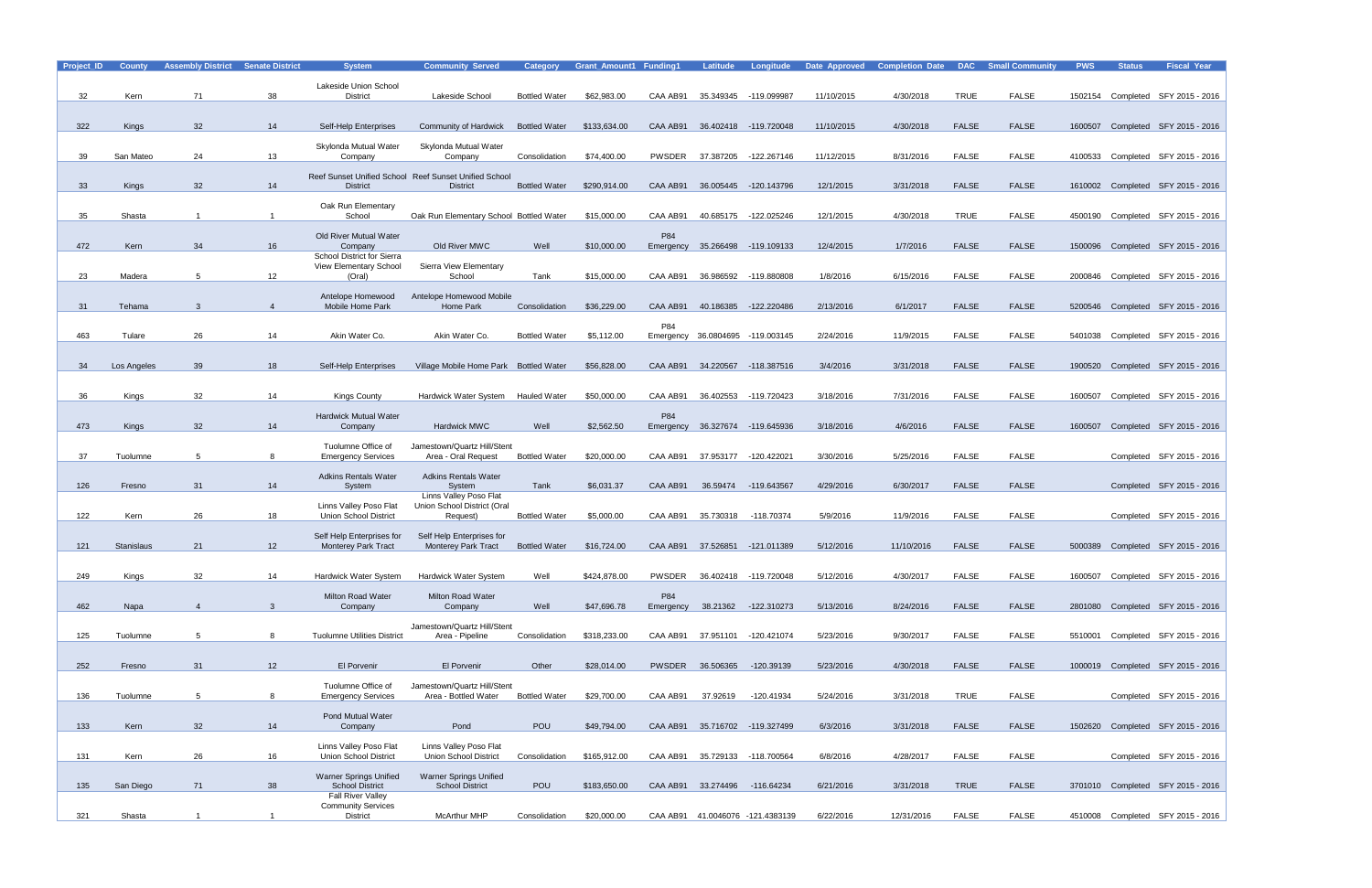| Project_ID | <b>County</b>     | <b>Assembly District</b> | <b>Senate District</b> | <b>System</b>                                   | <b>Community Served</b>                                                  | <b>Category</b>      | <b>Grant Amount1 Funding1</b> |               | Latitude                       | <b>Longitude</b>                 | Date Approved | <b>Completion Date</b> |              | <b>DAC</b> Small Community | <b>PWS</b> | <b>Status</b> | <b>Fiscal Year</b>                |
|------------|-------------------|--------------------------|------------------------|-------------------------------------------------|--------------------------------------------------------------------------|----------------------|-------------------------------|---------------|--------------------------------|----------------------------------|---------------|------------------------|--------------|----------------------------|------------|---------------|-----------------------------------|
|            |                   |                          |                        | Lakeside Union School                           |                                                                          |                      |                               |               |                                |                                  |               |                        |              |                            |            |               |                                   |
| 32         | Kern              | 71                       | 38                     | <b>District</b>                                 | Lakeside School                                                          | <b>Bottled Water</b> | \$62,983.00                   | CAA AB91      |                                | 35.349345 -119.099987            | 11/10/2015    | 4/30/2018              | <b>TRUE</b>  | <b>FALSE</b>               | 1502154    |               | Completed SFY 2015 - 2016         |
|            |                   |                          |                        |                                                 |                                                                          |                      |                               |               |                                |                                  |               |                        |              |                            |            |               |                                   |
| 322        | <b>Kings</b>      | 32                       | 14                     | Self-Help Enterprises                           | Community of Hardwick                                                    | <b>Bottled Water</b> | \$133,634.00                  | CAA AB91      |                                | 36.402418 -119.720048            | 11/10/2015    | 4/30/2018              | <b>FALSE</b> | <b>FALSE</b>               |            |               | 1600507 Completed SFY 2015 - 2016 |
|            |                   |                          |                        |                                                 |                                                                          |                      |                               |               |                                |                                  |               |                        |              |                            |            |               |                                   |
| 39         | San Mateo         | 24                       | 13                     | Skylonda Mutual Water<br>Company                | Skylonda Mutual Water<br>Company                                         | Consolidation        | \$74,400.00                   | <b>PWSDER</b> | 37.387205                      | -122.267146                      | 11/12/2015    | 8/31/2016              | <b>FALSE</b> | <b>FALSE</b>               | 4100533    |               | Completed SFY 2015 - 2016         |
|            |                   |                          |                        |                                                 |                                                                          |                      |                               |               |                                |                                  |               |                        |              |                            |            |               |                                   |
| 33         | <b>Kings</b>      | 32                       | 14                     | <b>District</b>                                 | Reef Sunset Unified School Reef Sunset Unified School<br><b>District</b> | <b>Bottled Water</b> | \$290,914.00                  | CAA AB91      | 36.005445                      | -120.143796                      | 12/1/2015     | 3/31/2018              | <b>FALSE</b> | <b>FALSE</b>               |            |               | 1610002 Completed SFY 2015 - 2016 |
|            |                   |                          |                        |                                                 |                                                                          |                      |                               |               |                                |                                  |               |                        |              |                            |            |               |                                   |
|            |                   |                          |                        | Oak Run Elementary                              |                                                                          |                      |                               |               |                                |                                  |               |                        |              |                            |            |               |                                   |
| 35         | Shasta            |                          |                        | School                                          | Oak Run Elementary School Bottled Water                                  |                      | \$15,000.00                   | CAA AB91      | 40.685175                      | -122.025246                      | 12/1/2015     | 4/30/2018              | <b>TRUE</b>  | <b>FALSE</b>               | 4500190    |               | Completed SFY 2015 - 2016         |
|            |                   |                          |                        | Old River Mutual Water                          |                                                                          |                      |                               | P84           |                                |                                  |               |                        |              |                            |            |               |                                   |
| 472        | Kern              | 34                       | 16                     | Company<br>School District for Sierra           | Old River MWC                                                            | Well                 | \$10,000.00                   | Emergency     |                                | 35.266498 -119.109133            | 12/4/2015     | 1/7/2016               | <b>FALSE</b> | <b>FALSE</b>               |            |               | 1500096 Completed SFY 2015 - 2016 |
|            |                   |                          |                        | View Elementary School                          | Sierra View Elementary                                                   |                      |                               |               |                                |                                  |               |                        |              |                            |            |               |                                   |
| 23         | Madera            | 5                        | 12                     | (Oral)                                          | School                                                                   | Tank                 | \$15,000.00                   | CAA AB91      | 36.986592                      | -119.880808                      | 1/8/2016      | 6/15/2016              | <b>FALSE</b> | <b>FALSE</b>               | 2000846    |               | Completed SFY 2015 - 2016         |
|            |                   |                          |                        | Antelope Homewood                               | Antelope Homewood Mobile                                                 |                      |                               |               |                                |                                  |               |                        |              |                            |            |               |                                   |
| 31         | Tehama            | 3                        | $\overline{4}$         | Mobile Home Park                                | Home Park                                                                | Consolidation        | \$36,229.00                   | CAA AB91      |                                | 40.186385 -122.220486            | 2/13/2016     | 6/1/2017               | <b>FALSE</b> | <b>FALSE</b>               |            |               | 5200546 Completed SFY 2015 - 2016 |
|            |                   |                          |                        |                                                 |                                                                          |                      |                               | P84           |                                |                                  |               |                        |              |                            |            |               |                                   |
| 463        | Tulare            | 26                       | 14                     | Akin Water Co.                                  | Akin Water Co.                                                           | <b>Bottled Water</b> | \$5,112.00                    |               |                                | Emergency 36.0804695 -119.003145 | 2/24/2016     | 11/9/2015              | <b>FALSE</b> | <b>FALSE</b>               |            |               | 5401038 Completed SFY 2015 - 2016 |
|            |                   |                          |                        |                                                 |                                                                          |                      |                               |               |                                |                                  |               |                        |              |                            |            |               |                                   |
| 34         | Los Angeles       | 39                       | 18                     | Self-Help Enterprises                           | Village Mobile Home Park Bottled Water                                   |                      | \$56,828.00                   | CAA AB91      |                                | 34.220567 -118.387516            | 3/4/2016      | 3/31/2018              | <b>FALSE</b> | <b>FALSE</b>               | 1900520    |               | Completed SFY 2015 - 2016         |
|            |                   |                          |                        |                                                 |                                                                          |                      |                               |               |                                |                                  |               |                        |              |                            |            |               |                                   |
| 36         | Kings             | 32                       | 14                     | <b>Kings County</b>                             | Hardwick Water System                                                    | <b>Hauled Water</b>  | \$50,000.00                   | CAA AB91      | 36.402553                      | -119.720423                      | 3/18/2016     | 7/31/2016              | <b>FALSE</b> | <b>FALSE</b>               | 1600507    |               | Completed SFY 2015 - 2016         |
|            |                   |                          |                        |                                                 |                                                                          |                      |                               |               |                                |                                  |               |                        |              |                            |            |               |                                   |
| 473        | <b>Kings</b>      | 32                       | 14                     | <b>Hardwick Mutual Water</b><br>Company         | Hardwick MWC                                                             | Well                 | \$2,562.50                    | P84           |                                | 36.327674 -119.645936            | 3/18/2016     | 4/6/2016               | <b>FALSE</b> | <b>FALSE</b>               | 1600507    |               | Completed SFY 2015 - 2016         |
|            |                   |                          |                        |                                                 |                                                                          |                      |                               | Emergency     |                                |                                  |               |                        |              |                            |            |               |                                   |
|            |                   |                          |                        | Tuolumne Office of                              | Jamestown/Quartz Hill/Stent                                              |                      |                               |               |                                |                                  |               |                        |              |                            |            |               |                                   |
| 37         | Tuolumne          | 5                        | 8                      | <b>Emergency Services</b>                       | Area - Oral Request                                                      | <b>Bottled Water</b> | \$20,000.00                   | CAA AB91      | 37.953177                      | -120.422021                      | 3/30/2016     | 5/25/2016              | <b>FALSE</b> | <b>FALSE</b>               |            |               | Completed SFY 2015 - 2016         |
|            |                   |                          |                        | <b>Adkins Rentals Water</b>                     | <b>Adkins Rentals Water</b>                                              |                      |                               |               |                                |                                  |               |                        |              |                            |            |               |                                   |
| 126        | Fresno            | 31                       | 14                     | System                                          | System<br><b>Linns Valley Poso Flat</b>                                  | Tank                 | \$6,031.37                    | CAA AB91      |                                | 36.59474 -119.643567             | 4/29/2016     | 6/30/2017              | <b>FALSE</b> | <b>FALSE</b>               |            |               | Completed SFY 2015 - 2016         |
|            |                   |                          |                        | Linns Valley Poso Flat                          | Union School District (Oral                                              |                      |                               |               |                                |                                  |               |                        |              |                            |            |               |                                   |
| 122        | Kern              | 26                       | 18                     | <b>Union School District</b>                    | Request)                                                                 | <b>Bottled Water</b> | \$5,000.00                    | CAA AB91      | 35.730318                      | -118.70374                       | 5/9/2016      | 11/9/2016              | <b>FALSE</b> | <b>FALSE</b>               |            |               | Completed SFY 2015 - 2016         |
|            |                   |                          |                        | Self Help Enterprises for                       | Self Help Enterprises for                                                |                      |                               |               |                                |                                  |               |                        |              |                            |            |               |                                   |
| 121        | <b>Stanislaus</b> | 21                       | 12                     | <b>Monterey Park Tract</b>                      | <b>Monterey Park Tract</b>                                               | <b>Bottled Water</b> | \$16,724.00                   | CAA AB91      |                                | 37.526851 -121.011389            | 5/12/2016     | 11/10/2016             | <b>FALSE</b> | <b>FALSE</b>               | 5000389    |               | Completed SFY 2015 - 2016         |
|            |                   |                          |                        |                                                 |                                                                          |                      |                               |               |                                |                                  |               |                        |              |                            |            |               |                                   |
| 249        | Kings             | 32                       | 14                     | Hardwick Water System                           | <b>Hardwick Water System</b>                                             | Well                 | \$424,878.00                  | PWSDER        |                                | 36.402418 -119.720048            | 5/12/2016     | 4/30/2017              | <b>FALSE</b> | <b>FALSE</b>               |            |               | 1600507 Completed SFY 2015 - 2016 |
|            |                   |                          |                        | Milton Road Water                               | Milton Road Water                                                        |                      |                               | P84           |                                |                                  |               |                        |              |                            |            |               |                                   |
| 462        | Napa              | $\overline{4}$           | 3                      | Company                                         | Company                                                                  | Well                 | \$47,696.78                   |               |                                | Emergency 38.21362 -122.310273   | 5/13/2016     | 8/24/2016              | <b>FALSE</b> | <b>FALSE</b>               |            |               | 2801080 Completed SFY 2015 - 2016 |
|            |                   |                          |                        |                                                 |                                                                          |                      |                               |               |                                |                                  |               |                        |              |                            |            |               |                                   |
| 125        | Tuolumne          | $5^{\circ}$              | 8                      | <b>Tuolumne Utilities District</b>              | Jamestown/Quartz Hill/Stent<br>Area - Pipeline                           | Consolidation        | \$318,233.00                  |               | CAA AB91 37.951101 -120.421074 |                                  | 5/23/2016     | 9/30/2017              | <b>FALSE</b> | FALSE                      |            |               | 5510001 Completed SFY 2015 - 2016 |
|            |                   |                          |                        |                                                 |                                                                          |                      |                               |               |                                |                                  |               |                        |              |                            |            |               |                                   |
| 252        | Fresno            | 31                       | 12                     | El Porvenir                                     | El Porvenir                                                              | Other                | \$28,014.00                   |               | PWSDER 36.506365               | -120.39139                       | 5/23/2016     | 4/30/2018              | <b>FALSE</b> | <b>FALSE</b>               |            |               | 1000019 Completed SFY 2015 - 2016 |
|            |                   |                          |                        |                                                 |                                                                          |                      |                               |               |                                |                                  |               |                        |              |                            |            |               |                                   |
|            |                   |                          |                        | Tuolumne Office of<br><b>Emergency Services</b> | Jamestown/Quartz Hill/Stent                                              |                      |                               |               |                                |                                  |               |                        |              |                            |            |               |                                   |
| 136        | Tuolumne          | $5\overline{)}$          | 8                      |                                                 | Area - Bottled Water                                                     | <b>Bottled Water</b> | \$29,700.00                   | CAA AB91      | 37.92619                       | -120.41934                       | 5/24/2016     | 3/31/2018              | <b>TRUE</b>  | FALSE                      |            |               | Completed SFY 2015 - 2016         |
|            |                   |                          |                        | Pond Mutual Water                               |                                                                          |                      |                               |               |                                |                                  |               |                        |              |                            |            |               |                                   |
| 133        | Kern              | 32                       | 14                     | Company                                         | Pond                                                                     | <b>POU</b>           | \$49,794.00                   |               |                                | CAA AB91 35.716702 -119.327499   | 6/3/2016      | 3/31/2018              | <b>FALSE</b> | <b>FALSE</b>               |            |               | 1502620 Completed SFY 2015 - 2016 |
|            |                   |                          |                        | Linns Valley Poso Flat                          | Linns Valley Poso Flat                                                   |                      |                               |               |                                |                                  |               |                        |              |                            |            |               |                                   |
| 131        | Kern              | 26                       | 16                     | <b>Union School District</b>                    | <b>Union School District</b>                                             | Consolidation        | \$165,912.00                  | CAA AB91      |                                | 35.729133 -118.700564            | 6/8/2016      | 4/28/2017              | <b>FALSE</b> | <b>FALSE</b>               |            |               | Completed SFY 2015 - 2016         |
|            |                   |                          |                        | <b>Warner Springs Unified</b>                   | <b>Warner Springs Unified</b>                                            |                      |                               |               |                                |                                  |               |                        |              |                            |            |               |                                   |
| 135        | San Diego         | 71                       | 38                     | <b>School District</b>                          | <b>School District</b>                                                   | <b>POU</b>           | \$183,650.00                  |               | CAA AB91 33.274496 -116.64234  |                                  | 6/21/2016     | 3/31/2018              | <b>TRUE</b>  | <b>FALSE</b>               |            |               | 3701010 Completed SFY 2015 - 2016 |
|            |                   |                          |                        | Fall River Valley<br><b>Community Services</b>  |                                                                          |                      |                               |               |                                |                                  |               |                        |              |                            |            |               |                                   |
| 321        | Shasta            | $\mathbf{1}$             |                        | District                                        | <b>McArthur MHP</b>                                                      | Consolidation        | \$20,000.00                   |               |                                | CAA AB91 41.0046076 -121.4383139 | 6/22/2016     | 12/31/2016             | <b>FALSE</b> | FALSE                      |            |               | 4510008 Completed SFY 2015 - 2016 |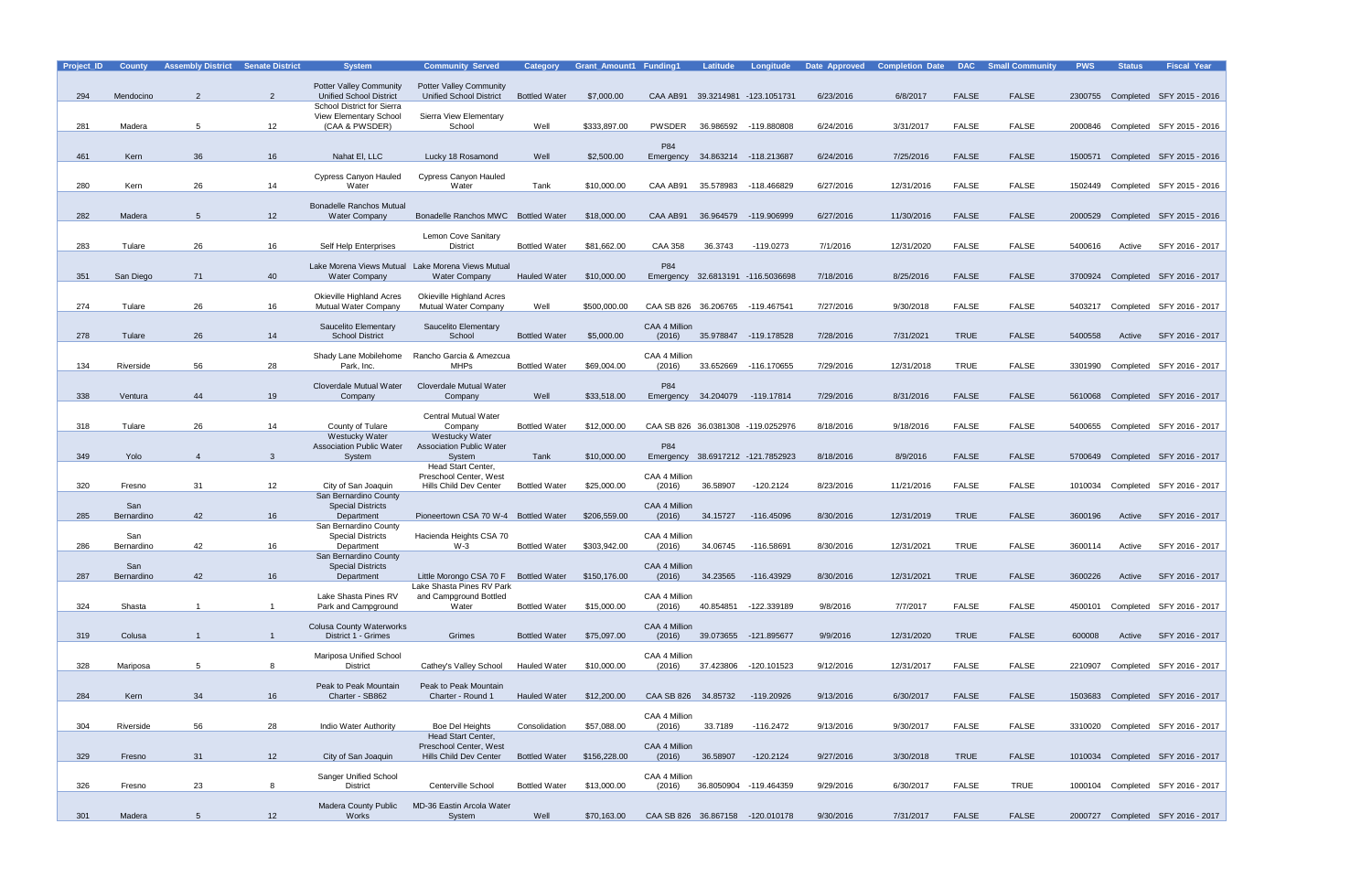| Project_ID | <b>County</b>     | <b>Assembly District</b> | <b>Senate District</b> | <b>System</b>                                                             | <b>Community Served</b>                                            | <b>Category</b>      | <b>Grant Amount1 Funding1</b> |                         | Latitude             | Longitude                          | Date Approved | <b>Completion Date</b> | <b>DAC</b>   | <b>Small Community</b> | <b>PWS</b> | <b>Status</b> | <b>Fiscal Year</b>                |
|------------|-------------------|--------------------------|------------------------|---------------------------------------------------------------------------|--------------------------------------------------------------------|----------------------|-------------------------------|-------------------------|----------------------|------------------------------------|---------------|------------------------|--------------|------------------------|------------|---------------|-----------------------------------|
|            |                   |                          |                        | <b>Potter Valley Community</b>                                            | <b>Potter Valley Community</b>                                     |                      |                               |                         |                      |                                    |               |                        |              |                        |            |               |                                   |
| 294        | Mendocino         | $\mathcal{P}$            | 2                      | <b>Unified School District</b>                                            | <b>Unified School District</b>                                     | <b>Bottled Water</b> | \$7,000.00                    |                         |                      | CAA AB91 39.3214981 -123.1051731   | 6/23/2016     | 6/8/2017               | <b>FALSE</b> | <b>FALSE</b>           |            |               | 2300755 Completed SFY 2015 - 2016 |
|            |                   |                          |                        | School District for Sierra                                                |                                                                    |                      |                               |                         |                      |                                    |               |                        |              |                        |            |               |                                   |
| 281        | Madera            | 5                        | 12                     | <b>View Elementary School</b><br>(CAA & PWSDER)                           | Sierra View Elementary<br>School                                   | Well                 | \$333.897.00                  | <b>PWSDER</b>           |                      | 36.986592 -119.880808              | 6/24/2016     | 3/31/2017              | <b>FALSE</b> | <b>FALSE</b>           |            |               | 2000846 Completed SFY 2015 - 2016 |
|            |                   |                          |                        |                                                                           |                                                                    |                      |                               |                         |                      |                                    |               |                        |              |                        |            |               |                                   |
| 461        | Kern              | 36                       | 16                     | Nahat El, LLC                                                             | Lucky 18 Rosamond                                                  | Well                 | \$2,500.00                    | P84                     |                      | 34.863214 -118.213687              | 6/24/2016     | 7/25/2016              | <b>FALSE</b> | <b>FALSE</b>           | 1500571    |               | Completed SFY 2015 - 2016         |
|            |                   |                          |                        |                                                                           |                                                                    |                      |                               | Emergency               |                      |                                    |               |                        |              |                        |            |               |                                   |
|            |                   |                          |                        | <b>Cypress Canyon Hauled</b>                                              | Cypress Canyon Hauled                                              |                      |                               |                         |                      |                                    |               |                        |              |                        |            |               |                                   |
| 280        | Kern              | 26                       | 14                     | Water                                                                     | Water                                                              | Tank                 | \$10,000.00                   | CAA AB91                | 35.578983            | -118.466829                        | 6/27/2016     | 12/31/2016             | <b>FALSE</b> | <b>FALSE</b>           |            |               | 1502449 Completed SFY 2015 - 2016 |
|            |                   |                          |                        | <b>Bonadelle Ranchos Mutual</b>                                           |                                                                    |                      |                               |                         |                      |                                    |               |                        |              |                        |            |               |                                   |
| 282        | Madera            | 5                        | 12 <sup>2</sup>        | <b>Water Company</b>                                                      | Bonadelle Ranchos MWC Bottled Water                                |                      | \$18,000.00                   | CAA AB91                |                      | 36.964579 -119.906999              | 6/27/2016     | 11/30/2016             | <b>FALSE</b> | <b>FALSE</b>           | 2000529    |               | Completed SFY 2015 - 2016         |
|            |                   |                          |                        |                                                                           | Lemon Cove Sanitary                                                |                      |                               |                         |                      |                                    |               |                        |              |                        |            |               |                                   |
| 283        | Tulare            | 26                       | 16                     | Self Help Enterprises                                                     | <b>District</b>                                                    | <b>Bottled Water</b> | \$81,662.00                   | <b>CAA 358</b>          | 36.3743              | $-119.0273$                        | 7/1/2016      | 12/31/2020             | <b>FALSE</b> | <b>FALSE</b>           | 5400616    | Active        | SFY 2016 - 2017                   |
|            |                   |                          |                        |                                                                           |                                                                    |                      |                               |                         |                      |                                    |               |                        |              |                        |            |               |                                   |
| 351        | San Diego         | 71                       | 40                     | Lake Morena Views Mutual Lake Morena Views Mutual<br><b>Water Company</b> | <b>Water Company</b>                                               | Hauled Water         | \$10,000.00                   | P84                     |                      | Emergency 32.6813191 -116.5036698  | 7/18/2016     | 8/25/2016              | <b>FALSE</b> | <b>FALSE</b>           |            |               | 3700924 Completed SFY 2016 - 2017 |
|            |                   |                          |                        |                                                                           |                                                                    |                      |                               |                         |                      |                                    |               |                        |              |                        |            |               |                                   |
|            |                   |                          |                        | <b>Okieville Highland Acres</b>                                           | <b>Okieville Highland Acres</b>                                    |                      |                               |                         |                      |                                    |               |                        |              |                        |            |               |                                   |
| 274        | Tulare            | 26                       | 16                     | Mutual Water Company                                                      | Mutual Water Company                                               | Well                 | \$500,000.00                  |                         | CAA SB 826 36.206765 | -119.467541                        | 7/27/2016     | 9/30/2018              | <b>FALSE</b> | <b>FALSE</b>           | 5403217    |               | Completed SFY 2016 - 2017         |
|            |                   |                          |                        | Saucelito Elementary                                                      | Saucelito Elementary                                               |                      |                               | CAA 4 Million           |                      |                                    |               |                        |              |                        |            |               |                                   |
| 278        | Tulare            | 26                       | 14                     | <b>School District</b>                                                    | School                                                             | <b>Bottled Water</b> | \$5,000.00                    | (2016)                  |                      | 35.978847 -119.178528              | 7/28/2016     | 7/31/2021              | <b>TRUE</b>  | <b>FALSE</b>           | 5400558    | Active        | SFY 2016 - 2017                   |
|            |                   |                          |                        | Shady Lane Mobilehome                                                     | Rancho Garcia & Amezcua                                            |                      |                               | CAA 4 Million           |                      |                                    |               |                        |              |                        |            |               |                                   |
| 134        | Riverside         | 56                       | 28                     | Park, Inc.                                                                | <b>MHPs</b>                                                        | <b>Bottled Water</b> | \$69,004.00                   | (2016)                  | 33.652669            | -116.170655                        | 7/29/2016     | 12/31/2018             | <b>TRUE</b>  | <b>FALSE</b>           | 3301990    |               | Completed SFY 2016 - 2017         |
|            |                   |                          |                        | Cloverdale Mutual Water                                                   | <b>Cloverdale Mutual Water</b>                                     |                      |                               | P84                     |                      |                                    |               |                        |              |                        |            |               |                                   |
| 338        | Ventura           | 44                       | 19                     | Company                                                                   | Company                                                            | Well                 | \$33,518.00                   |                         | Emergency 34.204079  | -119.17814                         | 7/29/2016     | 8/31/2016              | <b>FALSE</b> | <b>FALSE</b>           |            |               | 5610068 Completed SFY 2016 - 2017 |
|            |                   |                          |                        |                                                                           |                                                                    |                      |                               |                         |                      |                                    |               |                        |              |                        |            |               |                                   |
| 318        | Tulare            | 26                       | 14                     | County of Tulare                                                          | Central Mutual Water<br>Company                                    | <b>Bottled Water</b> | \$12,000.00                   |                         |                      | CAA SB 826 36.0381308 -119.0252976 | 8/18/2016     | 9/18/2016              | <b>FALSE</b> | <b>FALSE</b>           | 5400655    |               | Completed SFY 2016 - 2017         |
|            |                   |                          |                        | <b>Westucky Water</b>                                                     | <b>Westucky Water</b>                                              |                      |                               |                         |                      |                                    |               |                        |              |                        |            |               |                                   |
|            |                   |                          |                        | <b>Association Public Water</b>                                           | <b>Association Public Water</b>                                    |                      |                               | P84                     |                      |                                    |               |                        |              |                        |            |               |                                   |
| 349        | Yolo              | $\overline{4}$           | $\mathbf{3}$           | System                                                                    | System<br>Head Start Center,                                       | Tank                 | \$10,000.00                   |                         |                      | Emergency 38.6917212 -121.7852923  | 8/18/2016     | 8/9/2016               | <b>FALSE</b> | <b>FALSE</b>           |            |               | 5700649 Completed SFY 2016 - 2017 |
|            |                   |                          |                        |                                                                           | Preschool Center, West                                             |                      |                               | CAA 4 Million           |                      |                                    |               |                        |              |                        |            |               |                                   |
| 320        | Fresno            | 31                       | 12                     | City of San Joaquin                                                       | Hills Child Dev Center                                             | <b>Bottled Water</b> | \$25,000.00                   | (2016)                  | 36.58907             | -120.2124                          | 8/23/2016     | 11/21/2016             | <b>FALSE</b> | <b>FALSE</b>           | 1010034    |               | Completed SFY 2016 - 2017         |
|            | San               |                          |                        | San Bernardino County<br><b>Special Districts</b>                         |                                                                    |                      |                               | CAA 4 Million           |                      |                                    |               |                        |              |                        |            |               |                                   |
| 285        | Bernardino        | 42                       | 16                     | Department                                                                | Pioneertown CSA 70 W-4 Bottled Water                               |                      | \$206,559.00                  | (2016)                  | 34.15727             | -116.45096                         | 8/30/2016     | 12/31/2019             | <b>TRUE</b>  | <b>FALSE</b>           | 3600196    | Active        | SFY 2016 - 2017                   |
|            |                   |                          |                        | San Bernardino County                                                     |                                                                    |                      |                               |                         |                      |                                    |               |                        |              |                        |            |               |                                   |
| 286        | San<br>Bernardino | 42                       | 16                     | <b>Special Districts</b><br>Department                                    | Hacienda Heights CSA 70<br>$W-3$                                   | <b>Bottled Water</b> | \$303,942.00                  | CAA 4 Million<br>(2016) | 34.06745             | -116.58691                         | 8/30/2016     | 12/31/2021             | <b>TRUE</b>  | <b>FALSE</b>           | 3600114    | Active        | SFY 2016 - 2017                   |
|            |                   |                          |                        | San Bernardino County                                                     |                                                                    |                      |                               |                         |                      |                                    |               |                        |              |                        |            |               |                                   |
| 287        | San               | 42                       |                        | <b>Special Districts</b><br>Department                                    |                                                                    |                      |                               | CAA 4 Million<br>(2016) |                      |                                    |               |                        | <b>TRUE</b>  | <b>FALSE</b>           |            |               | SFY 2016 - 2017                   |
|            | Bernardino        |                          | 16                     |                                                                           | Little Morongo CSA 70 F Bottled Water<br>Lake Shasta Pines RV Park |                      | \$150,176.00                  |                         | 34.23565             | -116.43929                         | 8/30/2016     | 12/31/2021             |              |                        | 3600226    | Active        |                                   |
|            |                   |                          |                        | Lake Shasta Pines RV                                                      | and Campground Bottled                                             |                      |                               | CAA 4 Million           |                      |                                    |               |                        |              |                        |            |               |                                   |
| 324        | Shasta            | $\overline{1}$           | $\overline{1}$         | Park and Campground                                                       | Water                                                              | <b>Bottled Water</b> | \$15,000.00                   | (2016)                  |                      | 40.854851 -122.339189              | 9/8/2016      | 7/7/2017               | <b>FALSE</b> | <b>FALSE</b>           |            |               | 4500101 Completed SFY 2016 - 2017 |
|            |                   |                          |                        | <b>Colusa County Waterworks</b>                                           |                                                                    |                      |                               | CAA 4 Million           |                      |                                    |               |                        |              |                        |            |               |                                   |
| 319        | Colusa            |                          | $\mathbf{1}$           | District 1 - Grimes                                                       | Grimes                                                             | <b>Bottled Water</b> | \$75,097.00                   | (2016)                  |                      | 39.073655 -121.895677              | 9/9/2016      | 12/31/2020             | <b>TRUE</b>  | <b>FALSE</b>           | 600008     | Active        | SFY 2016 - 2017                   |
|            |                   |                          |                        | Mariposa Unified School                                                   |                                                                    |                      |                               | CAA 4 Million           |                      |                                    |               |                        |              |                        |            |               |                                   |
| 328        | Mariposa          | 5                        | 8                      | <b>District</b>                                                           | Cathey's Valley School                                             | <b>Hauled Water</b>  | \$10,000.00                   | (2016)                  |                      | 37.423806 -120.101523              | 9/12/2016     | 12/31/2017             | <b>FALSE</b> | <b>FALSE</b>           |            |               | 2210907 Completed SFY 2016 - 2017 |
|            |                   |                          |                        |                                                                           |                                                                    |                      |                               |                         |                      |                                    |               |                        |              |                        |            |               |                                   |
| 284        | Kern              | 34                       | 16                     | Peak to Peak Mountain<br>Charter - SB862                                  | Peak to Peak Mountain<br>Charter - Round 1                         | Hauled Water         | \$12,200.00                   | CAA SB 826 34.85732     |                      | -119.20926                         | 9/13/2016     | 6/30/2017              | <b>FALSE</b> | <b>FALSE</b>           |            |               | 1503683 Completed SFY 2016 - 2017 |
|            |                   |                          |                        |                                                                           |                                                                    |                      |                               |                         |                      |                                    |               |                        |              |                        |            |               |                                   |
|            |                   |                          |                        |                                                                           |                                                                    |                      |                               | CAA 4 Million           |                      |                                    |               |                        |              |                        |            |               |                                   |
| 304        | Riverside         | 56                       | 28                     | Indio Water Authority                                                     | <b>Boe Del Heights</b><br>Head Start Center,                       | Consolidation        | \$57,088.00                   | (2016)                  | 33.7189              | $-116.2472$                        | 9/13/2016     | 9/30/2017              | <b>FALSE</b> | FALSE                  |            |               | 3310020 Completed SFY 2016 - 2017 |
|            |                   |                          |                        |                                                                           | Preschool Center, West                                             |                      |                               | CAA 4 Million           |                      |                                    |               |                        |              |                        |            |               |                                   |
| 329        | Fresno            | 31                       | 12 <sup>7</sup>        | City of San Joaquin                                                       | Hills Child Dev Center                                             | <b>Bottled Water</b> | \$156,228.00                  | (2016)                  | 36.58907             | $-120.2124$                        | 9/27/2016     | 3/30/2018              | <b>TRUE</b>  | <b>FALSE</b>           |            |               | 1010034 Completed SFY 2016 - 2017 |
|            |                   |                          |                        | <b>Sanger Unified School</b>                                              |                                                                    |                      |                               | CAA 4 Million           |                      |                                    |               |                        |              |                        |            |               |                                   |
| 326        | Fresno            | 23                       | 8                      | <b>District</b>                                                           | Centerville School                                                 | <b>Bottled Water</b> | \$13,000.00                   | (2016)                  |                      | 36.8050904 -119.464359             | 9/29/2016     | 6/30/2017              | <b>FALSE</b> | TRUE                   |            |               | 1000104 Completed SFY 2016 - 2017 |
|            |                   |                          |                        | <b>Madera County Public</b>                                               | MD-36 Eastin Arcola Water                                          |                      |                               |                         |                      |                                    |               |                        |              |                        |            |               |                                   |
| 301        | Madera            | $5\overline{)}$          | 12                     | Works                                                                     | System                                                             | Well                 | \$70,163.00                   |                         |                      | CAA SB 826 36.867158 -120.010178   | 9/30/2016     | 7/31/2017              | <b>FALSE</b> | <b>FALSE</b>           |            |               | 2000727 Completed SFY 2016 - 2017 |
|            |                   |                          |                        |                                                                           |                                                                    |                      |                               |                         |                      |                                    |               |                        |              |                        |            |               |                                   |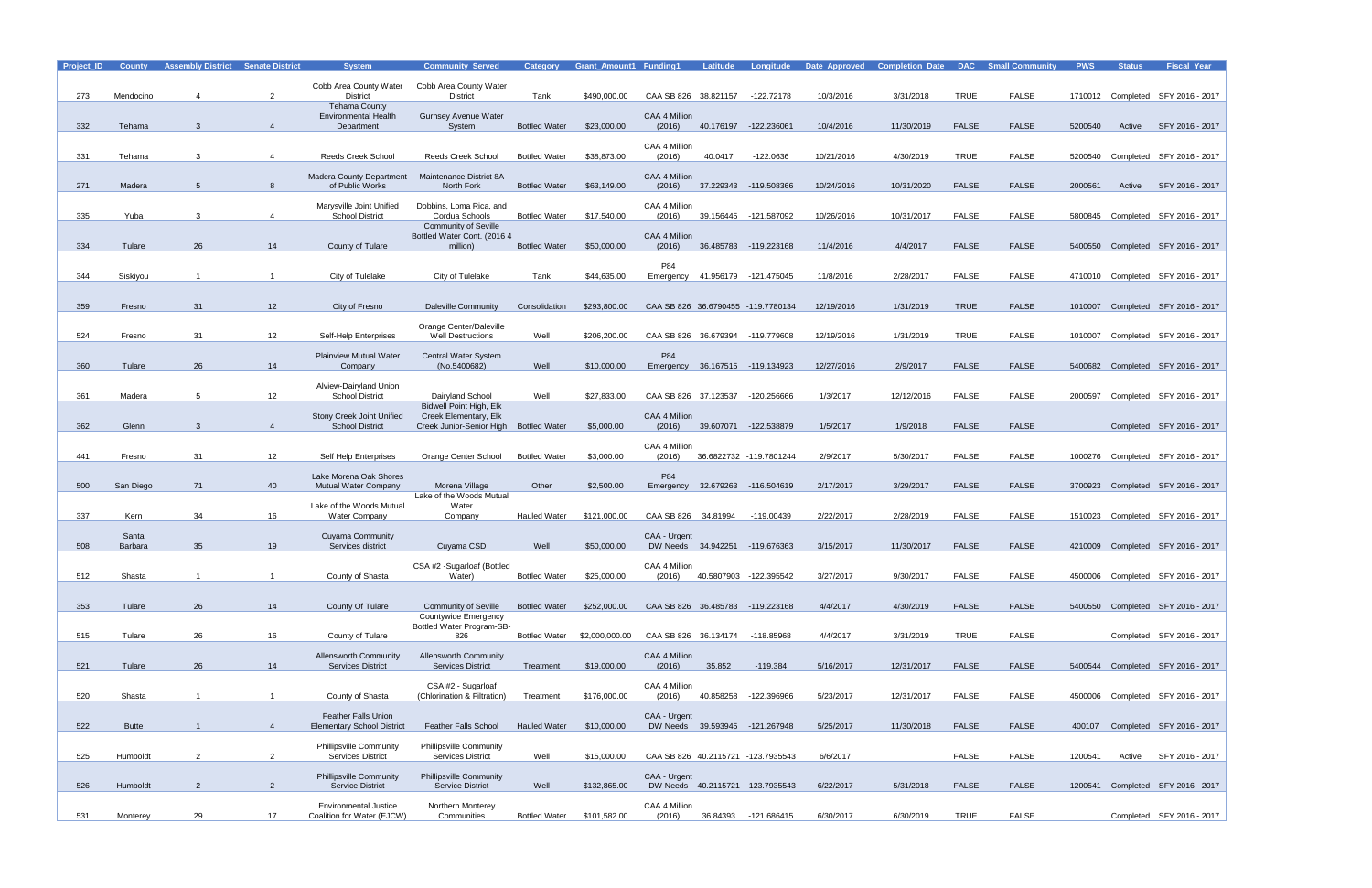| Project_ID | <b>County</b>           | <b>Assembly District Senate District</b> |                 | <b>System</b>                                       | <b>Community Served</b>                                 | <b>Category</b>      | <b>Grant Amount1 Funding1</b> |                         | Latitude | Longitude                          | Date Approved | <b>Completion Date</b> | <b>DAC</b>   | <b>Small Community</b> | <b>PWS</b> | <b>Status</b> | <b>Fiscal Year</b>                |
|------------|-------------------------|------------------------------------------|-----------------|-----------------------------------------------------|---------------------------------------------------------|----------------------|-------------------------------|-------------------------|----------|------------------------------------|---------------|------------------------|--------------|------------------------|------------|---------------|-----------------------------------|
|            |                         |                                          |                 | Cobb Area County Water                              | Cobb Area County Water                                  |                      |                               |                         |          |                                    |               |                        |              |                        |            |               |                                   |
| 273        | Mendocino               |                                          | 2               | <b>District</b>                                     | <b>District</b>                                         | Tank                 | \$490,000.00                  | CAA SB 826 38.821157    |          | -122.72178                         | 10/3/2016     | 3/31/2018              | <b>TRUE</b>  | <b>FALSE</b>           |            |               | 1710012 Completed SFY 2016 - 2017 |
|            |                         |                                          |                 | <b>Tehama County</b><br><b>Environmental Health</b> | Gurnsey Avenue Water                                    |                      |                               | CAA 4 Million           |          |                                    |               |                        |              |                        |            |               |                                   |
| 332        | Tehama                  |                                          | $\overline{4}$  | Department                                          | System                                                  | <b>Bottled Water</b> | \$23,000.00                   | (2016)                  |          | 40.176197 -122.236061              | 10/4/2016     | 11/30/2019             | <b>FALSE</b> | <b>FALSE</b>           | 5200540    | Active        | SFY 2016 - 2017                   |
|            |                         |                                          |                 |                                                     |                                                         |                      |                               | CAA 4 Million           |          |                                    |               |                        |              |                        |            |               |                                   |
| 331        | Tehama                  | -3                                       | -4              | Reeds Creek School                                  | <b>Reeds Creek School</b>                               | <b>Bottled Water</b> | \$38,873.00                   | (2016)                  | 40.0417  | $-122.0636$                        | 10/21/2016    | 4/30/2019              | <b>TRUE</b>  | <b>FALSE</b>           | 5200540    |               | Completed SFY 2016 - 2017         |
|            |                         |                                          |                 |                                                     |                                                         |                      |                               |                         |          |                                    |               |                        |              |                        |            |               |                                   |
| 271        | Madera                  |                                          | 8               | <b>Madera County Department</b><br>of Public Works  | Maintenance District 8A<br>North Fork                   | <b>Bottled Water</b> | \$63,149.00                   | CAA 4 Million<br>(2016) |          | 37.229343 -119.508366              | 10/24/2016    | 10/31/2020             | <b>FALSE</b> | <b>FALSE</b>           | 2000561    | Active        | SFY 2016 - 2017                   |
|            |                         |                                          |                 |                                                     |                                                         |                      |                               |                         |          |                                    |               |                        |              |                        |            |               |                                   |
| 335        | Yuba                    | -3                                       | $\overline{4}$  | Marysville Joint Unified<br><b>School District</b>  | Dobbins, Loma Rica, and<br>Cordua Schools               | <b>Bottled Water</b> | \$17,540.00                   | CAA 4 Million<br>(2016) |          | 39.156445 -121.587092              | 10/26/2016    | 10/31/2017             | <b>FALSE</b> | <b>FALSE</b>           | 5800845    |               | Completed SFY 2016 - 2017         |
|            |                         |                                          |                 |                                                     | <b>Community of Seville</b>                             |                      |                               |                         |          |                                    |               |                        |              |                        |            |               |                                   |
| 334        | Tulare                  | 26                                       | 14              | County of Tulare                                    | Bottled Water Cont. (2016 4<br>million)                 | <b>Bottled Water</b> | \$50,000.00                   | CAA 4 Million<br>(2016) |          | 36.485783 -119.223168              | 11/4/2016     | 4/4/2017               | <b>FALSE</b> | <b>FALSE</b>           |            |               | 5400550 Completed SFY 2016 - 2017 |
|            |                         |                                          |                 |                                                     |                                                         |                      |                               |                         |          |                                    |               |                        |              |                        |            |               |                                   |
| 344        | Siskiyou                |                                          |                 | City of Tulelake                                    | City of Tulelake                                        | Tank                 | \$44,635.00                   | P84                     |          | Emergency 41.956179 -121.475045    | 11/8/2016     | 2/28/2017              | <b>FALSE</b> | <b>FALSE</b>           |            |               | 4710010 Completed SFY 2016 - 2017 |
|            |                         |                                          |                 |                                                     |                                                         |                      |                               |                         |          |                                    |               |                        |              |                        |            |               |                                   |
|            |                         |                                          |                 |                                                     |                                                         |                      |                               |                         |          |                                    |               |                        |              |                        |            |               |                                   |
| 359        | Fresno                  | 31                                       | 12 <sup>°</sup> | City of Fresno                                      | <b>Daleville Community</b>                              | Consolidation        | \$293,800.00                  |                         |          | CAA SB 826 36.6790455 -119.7780134 | 12/19/2016    | 1/31/2019              | <b>TRUE</b>  | <b>FALSE</b>           | 1010007    |               | Completed SFY 2016 - 2017         |
|            |                         |                                          |                 |                                                     | Orange Center/Daleville                                 |                      |                               |                         |          |                                    |               |                        |              |                        |            |               |                                   |
| 524        | Fresno                  | 31                                       | 12 <sup>°</sup> | Self-Help Enterprises                               | <b>Well Destructions</b>                                | Well                 | \$206,200.00                  |                         |          | CAA SB 826 36.679394 -119.779608   | 12/19/2016    | 1/31/2019              | <b>TRUE</b>  | <b>FALSE</b>           |            |               | 1010007 Completed SFY 2016 - 2017 |
|            |                         |                                          |                 | <b>Plainview Mutual Water</b>                       | <b>Central Water System</b>                             |                      |                               | P84                     |          |                                    |               |                        |              |                        |            |               |                                   |
| 360        | Tulare                  | 26                                       | 14              | Company                                             | (No.5400682)                                            | Well                 | \$10,000.00                   |                         |          | Emergency 36.167515 -119.134923    | 12/27/2016    | 2/9/2017               | <b>FALSE</b> | <b>FALSE</b>           |            |               | 5400682 Completed SFY 2016 - 2017 |
|            |                         |                                          |                 | Alview-Dairyland Union                              |                                                         |                      |                               |                         |          |                                    |               |                        |              |                        |            |               |                                   |
| 361        | Madera                  | 5                                        | 12              | <b>School District</b>                              | Dairyland School                                        | Well                 | \$27,833.00                   | CAA SB 826 37.123537    |          | -120.256666                        | 1/3/2017      | 12/12/2016             | <b>FALSE</b> | <b>FALSE</b>           | 2000597    |               | Completed SFY 2016 - 2017         |
|            |                         |                                          |                 | Stony Creek Joint Unified                           | <b>Bidwell Point High, Elk</b><br>Creek Elementary, Elk |                      |                               | CAA 4 Million           |          |                                    |               |                        |              |                        |            |               |                                   |
| 362        | Glenn                   | -3                                       | $\overline{4}$  | <b>School District</b>                              | Creek Junior-Senior High                                | <b>Bottled Water</b> | \$5,000.00                    | (2016)                  |          | 39.607071 -122.538879              | 1/5/2017      | 1/9/2018               | <b>FALSE</b> | <b>FALSE</b>           |            |               | Completed SFY 2016 - 2017         |
|            |                         |                                          |                 |                                                     |                                                         |                      |                               | CAA 4 Million           |          |                                    |               |                        |              |                        |            |               |                                   |
| 441        | Fresno                  | 31                                       | 12              | Self Help Enterprises                               | Orange Center School                                    | <b>Bottled Water</b> | \$3,000.00                    | (2016)                  |          | 36.6822732 -119.7801244            | 2/9/2017      | 5/30/2017              | <b>FALSE</b> | <b>FALSE</b>           |            |               | 1000276 Completed SFY 2016 - 2017 |
|            |                         |                                          |                 | Lake Morena Oak Shores                              |                                                         |                      |                               | P84                     |          |                                    |               |                        |              |                        |            |               |                                   |
| 500        | San Diego               | 71                                       | 40              | <b>Mutual Water Company</b>                         | Morena Village                                          | Other                | \$2,500.00                    | Emergency               |          | 32.679263 -116.504619              | 2/17/2017     | 3/29/2017              | <b>FALSE</b> | <b>FALSE</b>           |            |               | 3700923 Completed SFY 2016 - 2017 |
|            |                         |                                          |                 |                                                     | Lake of the Woods Mutual                                |                      |                               |                         |          |                                    |               |                        |              |                        |            |               |                                   |
| 337        | Kern                    | 34                                       | 16              | Lake of the Woods Mutual<br><b>Water Company</b>    | Water<br>Company                                        | <b>Hauled Water</b>  | \$121,000.00                  | CAA SB 826 34.81994     |          | -119.00439                         | 2/22/2017     | 2/28/2019              | <b>FALSE</b> | <b>FALSE</b>           | 1510023    |               | Completed SFY 2016 - 2017         |
|            |                         |                                          |                 |                                                     |                                                         |                      |                               |                         |          |                                    |               |                        |              |                        |            |               |                                   |
| 508        | Santa<br><b>Barbara</b> | 35                                       | 19              | Cuyama Community<br>Services district               | Cuyama CSD                                              | Well                 | \$50,000.00                   | CAA - Urgent            |          | DW Needs 34.942251 -119.676363     | 3/15/2017     | 11/30/2017             | <b>FALSE</b> | <b>FALSE</b>           |            |               | 4210009 Completed SFY 2016 - 2017 |
|            |                         |                                          |                 |                                                     |                                                         |                      |                               |                         |          |                                    |               |                        |              |                        |            |               |                                   |
| 512        | Shasta                  |                                          |                 | County of Shasta                                    | CSA #2 -Sugarloaf (Bottled<br>Water)                    | <b>Bottled Water</b> | \$25,000.00                   | CAA 4 Million<br>(2016) |          | 40.5807903 -122.395542             | 3/27/2017     | 9/30/2017              | <b>FALSE</b> | <b>FALSE</b>           |            |               | 4500006 Completed SFY 2016 - 2017 |
|            |                         |                                          |                 |                                                     |                                                         |                      |                               |                         |          |                                    |               |                        |              |                        |            |               |                                   |
|            |                         |                                          |                 |                                                     |                                                         | <b>Bottled Water</b> |                               |                         |          |                                    |               |                        |              |                        |            |               |                                   |
| 353        | Tulare                  | 26                                       | 14              | County Of Tulare                                    | <b>Community of Seville</b><br>Countywide Emergency     |                      | \$252,000.00                  |                         |          | CAA SB 826 36.485783 -119.223168   | 4/4/2017      | 4/30/2019              | <b>FALSE</b> | <b>FALSE</b>           |            |               | 5400550 Completed SFY 2016 - 2017 |
|            |                         |                                          |                 |                                                     | Bottled Water Program-SB-                               |                      |                               |                         |          |                                    |               |                        |              |                        |            |               |                                   |
| 515        | Tulare                  | 26                                       | 16              | County of Tulare                                    | 826                                                     | <b>Bottled Water</b> | \$2,000,000.00                | CAA SB 826 36.134174    |          | -118.85968                         | 4/4/2017      | 3/31/2019              | <b>TRUE</b>  | <b>FALSE</b>           |            |               | Completed SFY 2016 - 2017         |
|            |                         |                                          |                 | <b>Allensworth Community</b>                        | <b>Allensworth Community</b>                            |                      |                               | CAA 4 Million           |          |                                    |               |                        |              |                        |            |               |                                   |
| 521        | Tulare                  | 26                                       | 14              | <b>Services District</b>                            | <b>Services District</b>                                | Treatment            | \$19,000.00                   | (2016)                  | 35.852   | $-119.384$                         | 5/16/2017     | 12/31/2017             | <b>FALSE</b> | <b>FALSE</b>           |            |               | 5400544 Completed SFY 2016 - 2017 |
|            |                         |                                          |                 |                                                     | CSA #2 - Sugarloaf                                      |                      |                               | CAA 4 Million           |          |                                    |               |                        |              |                        |            |               |                                   |
| 520        | Shasta                  |                                          |                 | County of Shasta                                    | (Chlorination & Filtration)                             | Treatment            | \$176,000.00                  | (2016)                  |          | 40.858258 -122.396966              | 5/23/2017     | 12/31/2017             | <b>FALSE</b> | <b>FALSE</b>           |            |               | 4500006 Completed SFY 2016 - 2017 |
|            |                         |                                          |                 | <b>Feather Falls Union</b>                          |                                                         |                      |                               | CAA - Urgent            |          |                                    |               |                        |              |                        |            |               |                                   |
| 522        | <b>Butte</b>            |                                          | $\overline{4}$  | <b>Elementary School District</b>                   | <b>Feather Falls School</b>                             | <b>Hauled Water</b>  | \$10,000.00                   |                         |          | DW Needs 39.593945 -121.267948     | 5/25/2017     | 11/30/2018             | <b>FALSE</b> | <b>FALSE</b>           |            |               | 400107 Completed SFY 2016 - 2017  |
|            |                         |                                          |                 | <b>Phillipsville Community</b>                      | <b>Phillipsville Community</b>                          |                      |                               |                         |          |                                    |               |                        |              |                        |            |               |                                   |
| 525        | Humboldt                | $\overline{2}$                           | $\overline{2}$  | Services District                                   | <b>Services District</b>                                | Well                 | \$15,000.00                   |                         |          | CAA SB 826 40.2115721 -123.7935543 | 6/6/2017      |                        | <b>FALSE</b> | <b>FALSE</b>           | 1200541    | Active        | SFY 2016 - 2017                   |
|            |                         |                                          |                 | <b>Phillipsville Community</b>                      | <b>Phillipsville Community</b>                          |                      |                               | CAA - Urgent            |          |                                    |               |                        |              |                        |            |               |                                   |
| 526        | Humboldt                | $\overline{2}$                           | $\overline{2}$  | <b>Service District</b>                             | <b>Service District</b>                                 | Well                 | \$132,865.00                  |                         |          | DW Needs 40.2115721 -123.7935543   | 6/22/2017     | 5/31/2018              | <b>FALSE</b> | <b>FALSE</b>           |            |               | 1200541 Completed SFY 2016 - 2017 |
|            |                         |                                          |                 | <b>Environmental Justice</b>                        | Northern Monterey                                       |                      |                               | CAA 4 Million           |          |                                    |               |                        |              |                        |            |               |                                   |
| 531        | Monterey                | 29                                       | 17              | Coalition for Water (EJCW)                          | Communities                                             | <b>Bottled Water</b> | \$101,582.00                  | (2016)                  |          | 36.84393 -121.686415               | 6/30/2017     | 6/30/2019              | <b>TRUE</b>  | <b>FALSE</b>           |            |               | Completed SFY 2016 - 2017         |
|            |                         |                                          |                 |                                                     |                                                         |                      |                               |                         |          |                                    |               |                        |              |                        |            |               |                                   |

| <b>Community</b> | <b>PWS</b> | <b>Status</b> | <b>Fiscal Year</b>        |
|------------------|------------|---------------|---------------------------|
|                  |            |               |                           |
| <b>FALSE</b>     | 1710012    | Completed     | SFY 2016 - 2017           |
|                  |            |               |                           |
| FALSE            | 5200540    | Active        | SFY 2016 - 2017           |
|                  |            |               |                           |
| FALSE            | 5200540    | Completed     | SFY 2016 - 2017           |
|                  |            |               |                           |
| <b>FALSE</b>     | 2000561    | Active        | SFY 2016 - 2017           |
|                  |            |               |                           |
| FALSE            | 5800845    | Completed     | SFY 2016 - 2017           |
|                  |            |               |                           |
| <b>FALSE</b>     | 5400550    | Completed     | SFY 2016 - 2017           |
|                  |            |               |                           |
| FALSE            | 4710010    | Completed     | SFY 2016 - 2017           |
|                  |            |               |                           |
| <b>FALSE</b>     | 1010007    | Completed     | SFY 2016 - 2017           |
|                  |            |               |                           |
| FALSE            | 1010007    | Completed     | SFY 2016 - 2017           |
|                  |            |               |                           |
| <b>FALSE</b>     | 5400682    | Completed     | SFY 2016 - 2017           |
|                  |            |               |                           |
| FALSE            | 2000597    | Completed     | SFY 2016 - 2017           |
|                  |            |               |                           |
| FALSE            |            | Completed     | SFY 2016 - 2017           |
|                  |            |               |                           |
| FALSE            | 1000276    | Completed     | SFY 2016 - 2017           |
|                  |            |               |                           |
| FALSE            | 3700923    | Completed     | SFY 2016 - 2017           |
|                  |            |               |                           |
| FALSE            | 1510023    | Completed     | SFY 2016 - 2017           |
|                  |            |               |                           |
| <b>FALSE</b>     | 4210009    | Completed     | SFY 2016 - 2017           |
|                  |            |               |                           |
| <b>FALSE</b>     | 4500006    |               | Completed SFY 2016 - 2017 |
|                  |            |               |                           |
| FALSE            | 5400550    | Completed     | SFY 2016 - 2017           |
|                  |            |               |                           |
| FALSE            |            | Completed     | SFY 2016 - 2017           |
|                  |            |               |                           |
| FALSE            | 5400544    |               | Completed SFY 2016 - 2017 |
|                  |            |               |                           |
| <b>FALSE</b>     | 4500006    | Completed     | SFY 2016 - 2017           |
|                  |            |               |                           |
| FALSE            | 400107     | Completed     | SFY 2016 - 2017           |
|                  |            |               |                           |
| FALSE            | 1200541    | Active        | SFY 2016 - 2017           |
|                  |            |               |                           |
| FALSE            | 1200541    |               | Completed SFY 2016 - 2017 |
|                  |            |               |                           |
| FALSE            |            |               | Completed SFY 2016 - 2017 |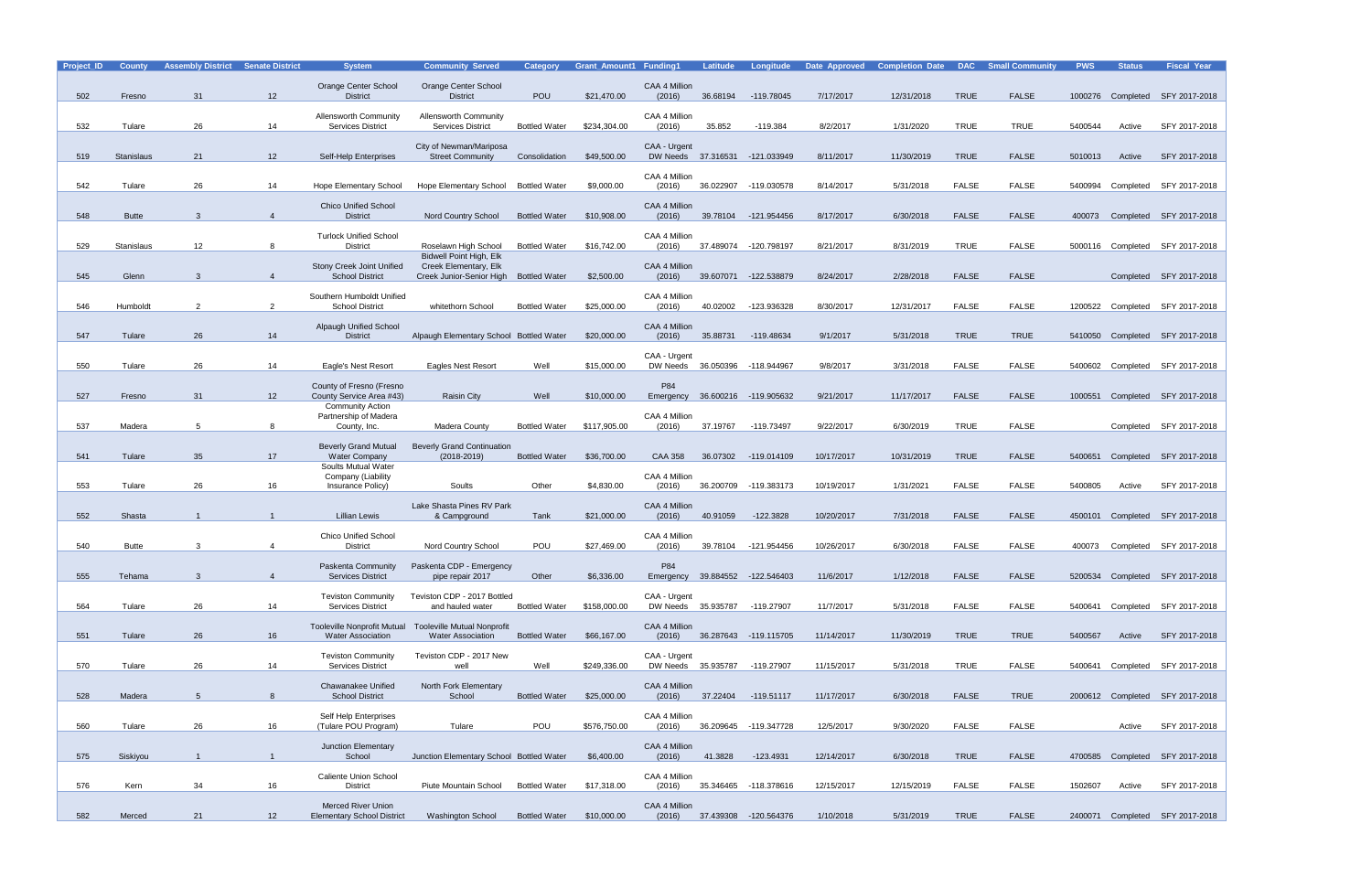| Project_ID | <b>County</b>     | <b>Assembly District</b> | <b>Senate District</b> | <b>System</b>                                                  | <b>Community Served</b>                                | <b>Category</b>      | <b>Grant Amount1 Funding1</b> |                                               | Latitude  | Longitude                       | Date Approved | <b>Completion Date DAC Small Community</b> |              |              | <b>PWS</b> | <b>Status</b> | <b>Fiscal Year</b>              |
|------------|-------------------|--------------------------|------------------------|----------------------------------------------------------------|--------------------------------------------------------|----------------------|-------------------------------|-----------------------------------------------|-----------|---------------------------------|---------------|--------------------------------------------|--------------|--------------|------------|---------------|---------------------------------|
| 502        | Fresno            | 31                       | 12                     | Orange Center School<br><b>District</b>                        | Orange Center School<br><b>District</b>                | <b>POU</b>           | \$21,470.00                   | CAA 4 Million<br>(2016)                       | 36.68194  | -119.78045                      | 7/17/2017     | 12/31/2018                                 | <b>TRUE</b>  | <b>FALSE</b> |            |               | 1000276 Completed SFY 2017-2018 |
|            |                   |                          |                        | Allensworth Community                                          | <b>Allensworth Community</b>                           |                      |                               | CAA 4 Million                                 |           |                                 |               |                                            |              |              |            |               |                                 |
| 532        | Tulare            | 26                       | 14                     | <b>Services District</b>                                       | <b>Services District</b>                               | <b>Bottled Water</b> | \$234,304.00                  | (2016)                                        | 35.852    | $-119.384$                      | 8/2/2017      | 1/31/2020                                  | <b>TRUE</b>  | <b>TRUE</b>  | 5400544    | Active        | SFY 2017-2018                   |
| 519        | <b>Stanislaus</b> | 21                       | 12                     | Self-Help Enterprises                                          | City of Newman/Mariposa<br><b>Street Community</b>     | Consolidation        | \$49,500.00                   | CAA - Urgent                                  |           | DW Needs 37.316531 -121.033949  | 8/11/2017     | 11/30/2019                                 | <b>TRUE</b>  | <b>FALSE</b> | 5010013    | Active        | SFY 2017-2018                   |
|            |                   |                          |                        |                                                                |                                                        |                      |                               | CAA 4 Million                                 |           |                                 |               |                                            |              |              |            |               |                                 |
| 542        | Tulare            | 26                       | 14                     | <b>Hope Elementary School</b>                                  | Hope Elementary School Bottled Water                   |                      | \$9,000.00                    | (2016)                                        |           | 36.022907 -119.030578           | 8/14/2017     | 5/31/2018                                  | <b>FALSE</b> | <b>FALSE</b> | 5400994    |               | Completed SFY 2017-2018         |
| 548        | <b>Butte</b>      | 3                        | $\overline{4}$         | <b>Chico Unified School</b><br><b>District</b>                 | Nord Country School                                    | <b>Bottled Water</b> | \$10,908.00                   | CAA 4 Million<br>(2016)                       | 39.78104  | -121.954456                     | 8/17/2017     | 6/30/2018                                  | <b>FALSE</b> | <b>FALSE</b> | 400073     |               | Completed SFY 2017-2018         |
|            |                   |                          |                        | <b>Turlock Unified School</b>                                  |                                                        |                      |                               | CAA 4 Million                                 |           |                                 |               |                                            |              |              |            |               |                                 |
| 529        | Stanislaus        | 12                       | 8                      | <b>District</b>                                                | Roselawn High School<br><b>Bidwell Point High, Elk</b> | <b>Bottled Water</b> | \$16,742.00                   | (2016)                                        | 37.489074 | -120.798197                     | 8/21/2017     | 8/31/2019                                  | <b>TRUE</b>  | <b>FALSE</b> |            |               | 5000116 Completed SFY 2017-2018 |
| 545        | Glenn             | 3                        | $\overline{4}$         | Stony Creek Joint Unified<br><b>School District</b>            | Creek Elementary, Elk<br>Creek Junior-Senior High      | <b>Bottled Water</b> | \$2,500.00                    | CAA 4 Million<br>(2016)                       |           | 39.607071 -122.538879           | 8/24/2017     | 2/28/2018                                  | <b>FALSE</b> | <b>FALSE</b> |            |               | Completed SFY 2017-2018         |
|            |                   |                          |                        | Southern Humboldt Unified                                      |                                                        |                      |                               | CAA 4 Million                                 |           |                                 |               |                                            |              |              |            |               |                                 |
| 546        | Humboldt          | 2                        | 2                      | <b>School District</b>                                         | whitethorn School                                      | <b>Bottled Water</b> | \$25,000.00                   | (2016)                                        | 40.02002  | -123.936328                     | 8/30/2017     | 12/31/2017                                 | <b>FALSE</b> | <b>FALSE</b> |            |               | 1200522 Completed SFY 2017-2018 |
| 547        | Tulare            | 26                       | 14                     | <b>Alpaugh Unified School</b><br><b>District</b>               | Alpaugh Elementary School Bottled Water                |                      | \$20,000.00                   | CAA 4 Million<br>(2016)                       | 35.88731  | -119.48634                      | 9/1/2017      | 5/31/2018                                  | <b>TRUE</b>  | <b>TRUE</b>  |            |               | 5410050 Completed SFY 2017-2018 |
|            |                   | 26                       | 14                     |                                                                |                                                        | Well                 | \$15,000.00                   | CAA - Urgent                                  |           |                                 | 9/8/2017      |                                            | <b>FALSE</b> | <b>FALSE</b> | 5400602    |               |                                 |
| 550        | Tulare            |                          |                        | Eagle's Nest Resort<br>County of Fresno (Fresno                | <b>Eagles Nest Resort</b>                              |                      |                               | DW Needs<br>P84                               | 36.050396 | -118.944967                     |               | 3/31/2018                                  |              |              |            |               | Completed SFY 2017-2018         |
| 527        | Fresno            | 31                       | 12                     | County Service Area #43)<br><b>Community Action</b>            | <b>Raisin City</b>                                     | Well                 | \$10,000.00                   | Emergency                                     |           | 36.600216 -119.905632           | 9/21/2017     | 11/17/2017                                 | <b>FALSE</b> | <b>FALSE</b> | 1000551    |               | Completed SFY 2017-2018         |
| 537        | Madera            | 5                        | 8                      | Partnership of Madera<br>County, Inc.                          | Madera County                                          | <b>Bottled Water</b> | \$117,905.00                  | CAA 4 Million<br>(2016)                       | 37.19767  | -119.73497                      | 9/22/2017     | 6/30/2019                                  | <b>TRUE</b>  | <b>FALSE</b> |            |               | Completed SFY 2017-2018         |
|            |                   |                          |                        | <b>Beverly Grand Mutual</b>                                    | <b>Beverly Grand Continuation</b>                      |                      |                               |                                               |           |                                 |               |                                            |              |              |            |               |                                 |
| 541        | Tulare            | 35                       | 17                     | <b>Water Company</b><br>Soults Mutual Water                    | $(2018 - 2019)$                                        | <b>Bottled Water</b> | \$36,700.00                   | <b>CAA 358</b>                                | 36.07302  | -119.014109                     | 10/17/2017    | 10/31/2019                                 | <b>TRUE</b>  | <b>FALSE</b> | 5400651    |               | Completed SFY 2017-2018         |
| 553        | Tulare            | 26                       | 16                     | Company (Liability<br>Insurance Policy)                        | Soults                                                 | Other                | \$4,830.00                    | CAA 4 Million<br>(2016)                       | 36.200709 | -119.383173                     | 10/19/2017    | 1/31/2021                                  | <b>FALSE</b> | <b>FALSE</b> | 5400805    | Active        | SFY 2017-2018                   |
|            |                   |                          |                        |                                                                | Lake Shasta Pines RV Park                              |                      |                               | CAA 4 Million                                 |           |                                 |               |                                            |              |              |            |               |                                 |
| 552        | Shasta            |                          |                        | Lillian Lewis                                                  | & Campground                                           | Tank                 | \$21,000.00                   | (2016)                                        | 40.91059  | $-122.3828$                     | 10/20/2017    | 7/31/2018                                  | <b>FALSE</b> | <b>FALSE</b> |            |               | 4500101 Completed SFY 2017-2018 |
| 540        | <b>Butte</b>      | 3                        | 4                      | <b>Chico Unified School</b><br><b>District</b>                 | Nord Country School                                    | POU                  | \$27,469.00                   | CAA 4 Million<br>(2016)                       | 39.78104  | -121.954456                     | 10/26/2017    | 6/30/2018                                  | <b>FALSE</b> | <b>FALSE</b> |            |               | 400073 Completed SFY 2017-2018  |
|            |                   |                          |                        | Paskenta Community                                             | Paskenta CDP - Emergency                               |                      |                               | P84                                           |           |                                 |               |                                            |              |              |            |               |                                 |
| 555        | Tehama            | 3                        | $\overline{4}$         | <b>Services District</b>                                       | pipe repair 2017                                       | Other                | \$6,336.00                    |                                               |           | Emergency 39.884552 -122.546403 | 11/6/2017     | 1/12/2018                                  | <b>FALSE</b> | <b>FALSE</b> |            |               | 5200534 Completed SFY 2017-2018 |
| 564        | Tulare            | 26                       | 14                     | <b>Teviston Community</b><br><b>Services District</b>          | Teviston CDP - 2017 Bottled<br>and hauled water        | <b>Bottled Water</b> | \$158,000.00                  | CAA - Urgent<br>DW Needs 35.935787 -119.27907 |           |                                 | 11/7/2017     | 5/31/2018                                  | <b>FALSE</b> | FALSE        |            |               | 5400641 Completed SFY 2017-2018 |
|            |                   |                          |                        | <b>Tooleville Nonprofit Mutual</b>                             | <b>Tooleville Mutual Nonprofit</b>                     |                      |                               | CAA 4 Million                                 |           |                                 |               |                                            |              |              |            |               |                                 |
| 551        | Tulare            | 26                       | 16                     | <b>Water Association</b>                                       | <b>Water Association</b>                               | <b>Bottled Water</b> | \$66,167.00                   | (2016)                                        |           | 36.287643 -119.115705           | 11/14/2017    | 11/30/2019                                 | <b>TRUE</b>  | <b>TRUE</b>  | 5400567    | Active        | SFY 2017-2018                   |
| 570        | Tulare            | 26                       | 14                     | <b>Teviston Community</b><br><b>Services District</b>          | Teviston CDP - 2017 New<br>well                        | Well                 | \$249,336.00                  | CAA - Urgent<br>DW Needs 35.935787            |           | -119.27907                      | 11/15/2017    | 5/31/2018                                  | <b>TRUE</b>  | <b>FALSE</b> |            |               | 5400641 Completed SFY 2017-2018 |
|            |                   |                          |                        | Chawanakee Unified                                             | North Fork Elementary                                  |                      |                               | CAA 4 Million                                 |           |                                 |               |                                            |              |              |            |               |                                 |
| 528        | Madera            | $5\overline{)}$          | 8                      | <b>School District</b>                                         | School                                                 | <b>Bottled Water</b> | \$25,000.00                   | (2016)                                        |           | 37.22404 -119.51117             | 11/17/2017    | 6/30/2018                                  | <b>FALSE</b> | <b>TRUE</b>  |            |               | 2000612 Completed SFY 2017-2018 |
| 560        | Tulare            | 26                       | 16                     | Self Help Enterprises<br>(Tulare POU Program)                  | Tulare                                                 | POU                  | \$576,750.00                  | CAA 4 Million<br>(2016)                       |           | 36.209645 -119.347728           | 12/5/2017     | 9/30/2020                                  | <b>FALSE</b> | <b>FALSE</b> |            | Active        | SFY 2017-2018                   |
| 575        | Siskiyou          |                          | $\mathbf{1}$           | Junction Elementary<br>School                                  | Junction Elementary School Bottled Water               |                      | \$6,400.00                    | CAA 4 Million<br>(2016)                       | 41.3828   | -123.4931                       | 12/14/2017    | 6/30/2018                                  | <b>TRUE</b>  | <b>FALSE</b> |            |               | 4700585 Completed SFY 2017-2018 |
|            |                   |                          |                        | <b>Caliente Union School</b>                                   |                                                        |                      |                               | CAA 4 Million                                 |           |                                 |               |                                            |              |              |            |               |                                 |
| 576        | Kern              | 34                       | 16                     | <b>District</b>                                                | Piute Mountain School                                  | <b>Bottled Water</b> | \$17,318.00                   | (2016)                                        |           | 35.346465 -118.378616           | 12/15/2017    | 12/15/2019                                 | <b>FALSE</b> | <b>FALSE</b> | 1502607    | Active        | SFY 2017-2018                   |
| 582        | Merced            | 21                       | 12                     | <b>Merced River Union</b><br><b>Elementary School District</b> | <b>Washington School</b>                               | <b>Bottled Water</b> | \$10,000.00                   | CAA 4 Million<br>(2016)                       |           | 37.439308 -120.564376           | 1/10/2018     | 5/31/2019                                  | <b>TRUE</b>  | <b>FALSE</b> |            |               | 2400071 Completed SFY 2017-2018 |
|            |                   |                          |                        |                                                                |                                                        |                      |                               |                                               |           |                                 |               |                                            |              |              |            |               |                                 |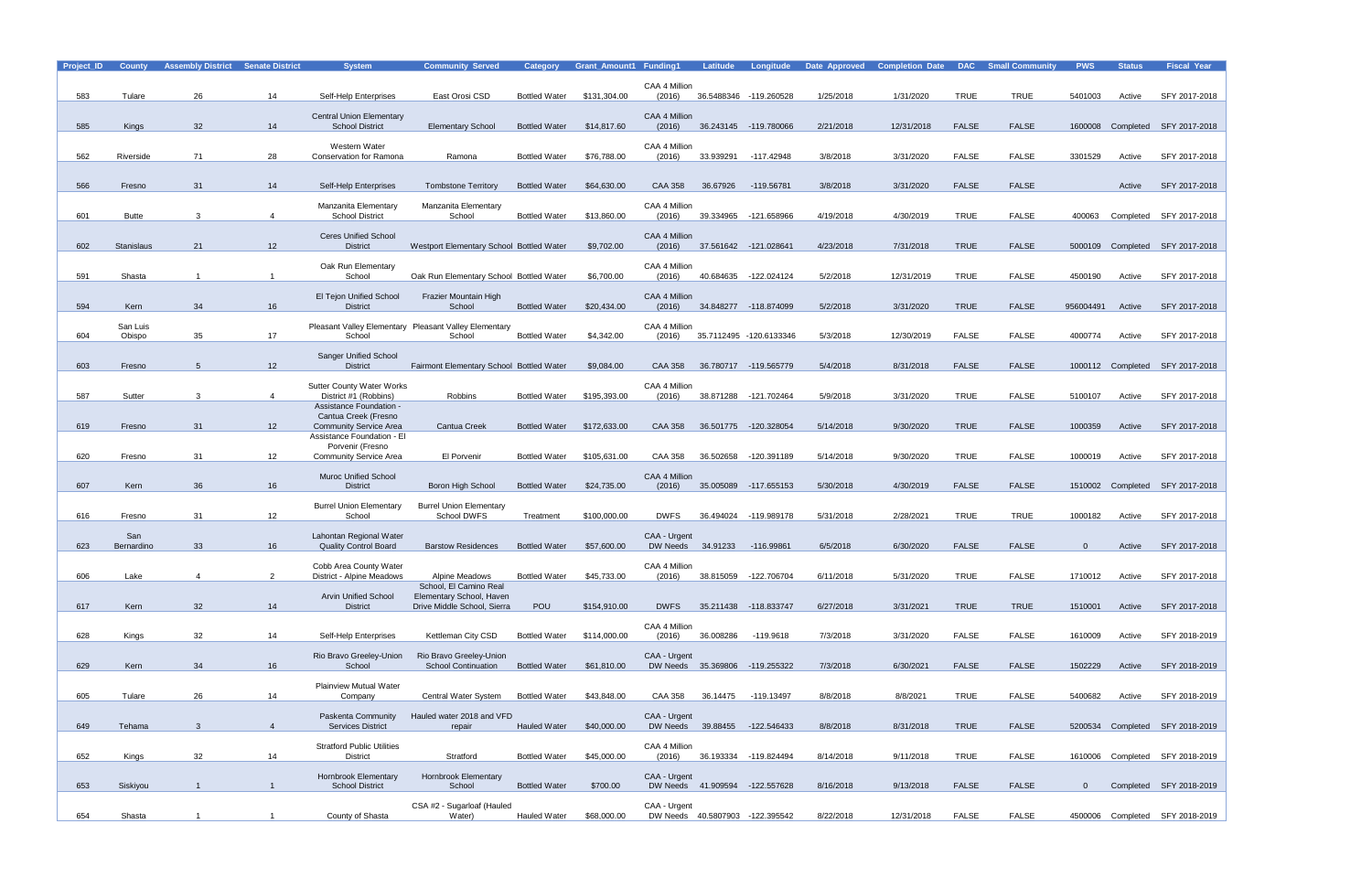| Project_ID | <b>County</b>     | <b>Assembly District</b> | <b>Senate District</b> | <b>System</b>                                               | <b>Community Served</b>                               | <b>Category</b>      | <b>Grant Amount1 Funding1</b> |                | <b>Latitude</b>                 | Longitude               | Date Approved | <b>Completion Date</b> | <b>DAC</b>   | <b>Small Community</b> | <b>PWS</b>     | <b>Status</b>     | <b>Fiscal Year</b>              |
|------------|-------------------|--------------------------|------------------------|-------------------------------------------------------------|-------------------------------------------------------|----------------------|-------------------------------|----------------|---------------------------------|-------------------------|---------------|------------------------|--------------|------------------------|----------------|-------------------|---------------------------------|
|            |                   |                          |                        |                                                             |                                                       |                      |                               | CAA 4 Million  |                                 |                         |               |                        |              |                        |                |                   |                                 |
| 583        | Tulare            | 26                       | 14                     | Self-Help Enterprises                                       | East Orosi CSD                                        | <b>Bottled Water</b> | \$131,304.00                  | (2016)         |                                 | 36.5488346 -119.260528  | 1/25/2018     | 1/31/2020              | <b>TRUE</b>  | <b>TRUE</b>            | 5401003        | Active            | SFY 2017-2018                   |
|            |                   |                          |                        | <b>Central Union Elementary</b>                             |                                                       |                      |                               | CAA 4 Million  |                                 |                         |               |                        |              |                        |                |                   |                                 |
| 585        | Kings             | 32                       | 14                     | <b>School District</b>                                      | <b>Elementary School</b>                              | <b>Bottled Water</b> | \$14,817.60                   | (2016)         |                                 | 36.243145 -119.780066   | 2/21/2018     | 12/31/2018             | <b>FALSE</b> | <b>FALSE</b>           | 1600008        | Completed         | SFY 2017-2018                   |
|            |                   |                          |                        | Western Water                                               |                                                       |                      |                               | CAA 4 Million  |                                 |                         |               |                        |              |                        |                |                   |                                 |
| 562        | Riverside         | 71                       | 28                     | <b>Conservation for Ramona</b>                              | Ramona                                                | <b>Bottled Water</b> | \$76,788.00                   | (2016)         | 33.939291                       | -117.42948              | 3/8/2018      | 3/31/2020              | <b>FALSE</b> | <b>FALSE</b>           | 3301529        | Active            | SFY 2017-2018                   |
|            |                   |                          |                        |                                                             |                                                       |                      |                               |                |                                 |                         |               |                        |              |                        |                |                   |                                 |
| 566        | Fresno            | 31                       | 14                     | Self-Help Enterprises                                       | <b>Tombstone Territory</b>                            | <b>Bottled Water</b> | \$64,630.00                   | <b>CAA 358</b> | 36.67926                        | -119.56781              | 3/8/2018      | 3/31/2020              | <b>FALSE</b> | <b>FALSE</b>           |                | Active            | SFY 2017-2018                   |
|            |                   |                          |                        | Manzanita Elementary                                        | Manzanita Elementary                                  |                      |                               | CAA 4 Million  |                                 |                         |               |                        |              |                        |                |                   |                                 |
| 601        | <b>Butte</b>      | 3                        | 4                      | <b>School District</b>                                      | School                                                | <b>Bottled Water</b> | \$13,860.00                   | (2016)         |                                 | 39.334965 -121.658966   | 4/19/2018     | 4/30/2019              | <b>TRUE</b>  | <b>FALSE</b>           | 400063         | Completed         | SFY 2017-2018                   |
|            |                   |                          |                        | <b>Ceres Unified School</b>                                 |                                                       |                      |                               | CAA 4 Million  |                                 |                         |               |                        |              |                        |                |                   |                                 |
| 602        | <b>Stanislaus</b> | 21                       | 12 <sup>2</sup>        | <b>District</b>                                             | Westport Elementary School Bottled Water              |                      | \$9,702.00                    | (2016)         | 37.561642 -121.028641           |                         | 4/23/2018     | 7/31/2018              | <b>TRUE</b>  | <b>FALSE</b>           | 5000109        |                   | Completed SFY 2017-2018         |
|            |                   |                          |                        | Oak Run Elementary                                          |                                                       |                      |                               | CAA 4 Million  |                                 |                         |               |                        |              |                        |                |                   |                                 |
| 591        | Shasta            | $\overline{\mathbf{1}}$  |                        | School                                                      | Oak Run Elementary School Bottled Water               |                      | \$6,700.00                    | (2016)         | 40.684635                       | -122.024124             | 5/2/2018      | 12/31/2019             | <b>TRUE</b>  | <b>FALSE</b>           | 4500190        | Active            | SFY 2017-2018                   |
|            |                   |                          |                        | El Tejon Unified School                                     | Frazier Mountain High                                 |                      |                               | CAA 4 Million  |                                 |                         |               |                        |              |                        |                |                   |                                 |
| 594        | Kern              | 34                       | 16                     | <b>District</b>                                             | School                                                | <b>Bottled Water</b> | \$20,434.00                   | (2016)         |                                 | 34.848277 -118.874099   | 5/2/2018      | 3/31/2020              | <b>TRUE</b>  | <b>FALSE</b>           | 956004491      | Active            | SFY 2017-2018                   |
|            | San Luis          |                          |                        |                                                             | Pleasant Valley Elementary Pleasant Valley Elementary |                      |                               | CAA 4 Million  |                                 |                         |               |                        |              |                        |                |                   |                                 |
| 604        | Obispo            | 35                       | 17                     | School                                                      | School                                                | <b>Bottled Water</b> | \$4,342.00                    | (2016)         |                                 | 35.7112495 -120.6133346 | 5/3/2018      | 12/30/2019             | <b>FALSE</b> | <b>FALSE</b>           | 4000774        | Active            | SFY 2017-2018                   |
|            |                   |                          |                        | <b>Sanger Unified School</b>                                |                                                       |                      |                               |                |                                 |                         |               |                        |              |                        |                |                   |                                 |
| 603        | Fresno            | $\overline{5}$           | 12 <sup>2</sup>        | <b>District</b>                                             | Fairmont Elementary School Bottled Water              |                      | \$9,084.00                    | <b>CAA 358</b> |                                 | 36.780717 -119.565779   | 5/4/2018      | 8/31/2018              | <b>FALSE</b> | <b>FALSE</b>           |                | 1000112 Completed | SFY 2017-2018                   |
|            |                   |                          |                        | <b>Sutter County Water Works</b>                            |                                                       |                      |                               | CAA 4 Million  |                                 |                         |               |                        |              |                        |                |                   |                                 |
| 587        | Sutter            | 3                        | $\overline{4}$         | District #1 (Robbins)<br>Assistance Foundation -            | Robbins                                               | <b>Bottled Water</b> | \$195,393.00                  | (2016)         | 38.871288                       | -121.702464             | 5/9/2018      | 3/31/2020              | <b>TRUE</b>  | <b>FALSE</b>           | 5100107        | Active            | SFY 2017-2018                   |
|            |                   |                          |                        | Cantua Creek (Fresno                                        |                                                       |                      |                               |                |                                 |                         |               |                        |              |                        |                |                   |                                 |
| 619        | Fresno            | 31                       | 12                     | <b>Community Service Area</b><br>Assistance Foundation - El | <b>Cantua Creek</b>                                   | <b>Bottled Water</b> | \$172,633.00                  | <b>CAA 358</b> |                                 | 36.501775 -120.328054   | 5/14/2018     | 9/30/2020              | <b>TRUE</b>  | <b>FALSE</b>           | 1000359        | Active            | SFY 2017-2018                   |
|            |                   |                          |                        | Porvenir (Fresno                                            |                                                       |                      |                               |                |                                 |                         |               |                        |              |                        |                |                   |                                 |
| 620        | Fresno            | 31                       | 12                     | Community Service Area                                      | El Porvenir                                           | <b>Bottled Water</b> | \$105,631.00                  | <b>CAA 358</b> | 36.502658                       | -120.391189             | 5/14/2018     | 9/30/2020              | <b>TRUE</b>  | <b>FALSE</b>           | 1000019        | Active            | SFY 2017-2018                   |
|            |                   |                          |                        | <b>Muroc Unified School</b>                                 |                                                       |                      |                               | CAA 4 Million  |                                 |                         |               |                        |              |                        |                |                   |                                 |
| 607        | Kern              | 36                       | 16                     | <b>District</b>                                             | Boron High School                                     | <b>Bottled Water</b> | \$24,735.00                   | (2016)         |                                 | 35.005089 -117.655153   | 5/30/2018     | 4/30/2019              | <b>FALSE</b> | <b>FALSE</b>           | 1510002        | Completed         | SFY 2017-2018                   |
|            |                   |                          |                        | <b>Burrel Union Elementary</b>                              | <b>Burrel Union Elementary</b>                        |                      |                               |                |                                 |                         |               |                        |              |                        |                |                   |                                 |
| 616        | Fresno            | 31                       | 12                     | School                                                      | School DWFS                                           | Treatment            | \$100,000.00                  | <b>DWFS</b>    | 36.494024                       | -119.989178             | 5/31/2018     | 2/28/2021              | <b>TRUE</b>  | <b>TRUE</b>            | 1000182        | Active            | SFY 2017-2018                   |
|            | San               |                          |                        | Lahontan Regional Water                                     |                                                       |                      |                               | CAA - Urgent   |                                 |                         |               |                        |              |                        |                |                   |                                 |
| 623        | Bernardino        | 33                       | 16                     | <b>Quality Control Board</b>                                | <b>Barstow Residences</b>                             | <b>Bottled Water</b> | \$57,600.00                   |                | DW Needs 34.91233               | -116.99861              | 6/5/2018      | 6/30/2020              | <b>FALSE</b> | <b>FALSE</b>           | $\Omega$       | Active            | SFY 2017-2018                   |
|            |                   |                          |                        | Cobb Area County Water                                      |                                                       |                      |                               | CAA 4 Million  |                                 |                         |               |                        |              |                        |                |                   |                                 |
| 606        | Lake              | 4                        | $\overline{2}$         | District - Alpine Meadows                                   | Alpine Meadows<br>School, El Camino Real              | <b>Bottled Water</b> | \$45,733.00                   | (2016)         |                                 | 38.815059 -122.706704   | 6/11/2018     | 5/31/2020              | <b>TRUE</b>  | <b>FALSE</b>           | 1710012        | Active            | SFY 2017-2018                   |
|            |                   |                          |                        | <b>Arvin Unified School</b>                                 | Elementary School, Haven                              |                      |                               |                |                                 |                         |               |                        |              |                        |                |                   |                                 |
| 617        | Kern              | 32                       | 14                     | <b>District</b>                                             | Drive Middle School, Sierra                           | POU                  | \$154,910.00                  | <b>DWFS</b>    |                                 | 35.211438 -118.833747   | 6/27/2018     | 3/31/2021              | <b>TRUE</b>  | <b>TRUE</b>            | 1510001        | Active            | SFY 2017-2018                   |
|            |                   |                          |                        |                                                             |                                                       |                      |                               | CAA 4 Million  |                                 |                         |               |                        |              |                        |                |                   |                                 |
| 628        | Kings             | 32                       | 14                     | Self-Help Enterprises                                       | Kettleman City CSD                                    | <b>Bottled Water</b> | \$114,000.00                  | (2016)         | 36.008286                       | -119.9618               | 7/3/2018      | 3/31/2020              | <b>FALSE</b> | FALSE                  | 1610009        | Active            | SFY 2018-2019                   |
|            |                   |                          |                        | Rio Bravo Greeley-Union                                     | Rio Bravo Greeley-Union<br><b>School Continuation</b> |                      |                               | CAA - Urgent   | DW Needs 35.369806 -119.255322  |                         | 7/3/2018      |                        | <b>FALSE</b> | <b>FALSE</b>           | 1502229        |                   | SFY 2018-2019                   |
| 629        | Kern              | 34                       | 16                     | School                                                      |                                                       | <b>Bottled Water</b> | \$61,810.00                   |                |                                 |                         |               | 6/30/2021              |              |                        |                | Active            |                                 |
|            |                   |                          |                        | <b>Plainview Mutual Water</b>                               |                                                       |                      |                               |                |                                 |                         |               |                        |              |                        |                |                   |                                 |
| 605        | Tulare            | 26                       | 14                     | Company                                                     | Central Water System                                  | <b>Bottled Water</b> | \$43,848.00                   | <b>CAA 358</b> | 36.14475                        | -119.13497              | 8/8/2018      | 8/8/2021               | <b>TRUE</b>  | FALSE                  | 5400682        | Active            | SFY 2018-2019                   |
|            |                   |                          |                        | Paskenta Community                                          | Hauled water 2018 and VFD                             |                      |                               | CAA - Urgent   |                                 |                         |               |                        |              |                        |                |                   |                                 |
| 649        | Tehama            | $\mathbf{3}$             | $\overline{4}$         | <b>Services District</b>                                    | repair                                                | <b>Hauled Water</b>  | \$40,000.00                   |                | DW Needs 39.88455 -122.546433   |                         | 8/8/2018      | 8/31/2018              | <b>TRUE</b>  | <b>FALSE</b>           |                |                   | 5200534 Completed SFY 2018-2019 |
|            |                   |                          |                        | <b>Stratford Public Utilities</b>                           |                                                       |                      |                               | CAA 4 Million  |                                 |                         |               |                        |              |                        |                |                   |                                 |
| 652        | Kings             | 32                       | 14                     | <b>District</b>                                             | Stratford                                             | <b>Bottled Water</b> | \$45,000.00                   | (2016)         |                                 | 36.193334 -119.824494   | 8/14/2018     | 9/11/2018              | <b>TRUE</b>  | FALSE                  |                |                   | 1610006 Completed SFY 2018-2019 |
|            |                   |                          |                        | Hornbrook Elementary                                        | <b>Hornbrook Elementary</b>                           |                      |                               | CAA - Urgent   |                                 |                         |               |                        |              |                        |                |                   |                                 |
| 653        | Siskiyou          | $\overline{1}$           | $\mathbf{1}$           | <b>School District</b>                                      | School                                                | <b>Bottled Water</b> | \$700.00                      |                | DW Needs 41.909594 -122.557628  |                         | 8/16/2018     | 9/13/2018              | <b>FALSE</b> | <b>FALSE</b>           | $\overline{0}$ |                   | Completed SFY 2018-2019         |
|            |                   |                          |                        |                                                             | CSA #2 - Sugarloaf (Hauled                            |                      |                               | CAA - Urgent   |                                 |                         |               |                        |              |                        |                |                   |                                 |
| 654        | Shasta            | $\overline{1}$           | $\mathbf{1}$           | County of Shasta                                            | Water)                                                | <b>Hauled Water</b>  | \$68,000.00                   |                | DW Needs 40.5807903 -122.395542 |                         | 8/22/2018     | 12/31/2018             | FALSE        | FALSE                  |                |                   | 4500006 Completed SFY 2018-2019 |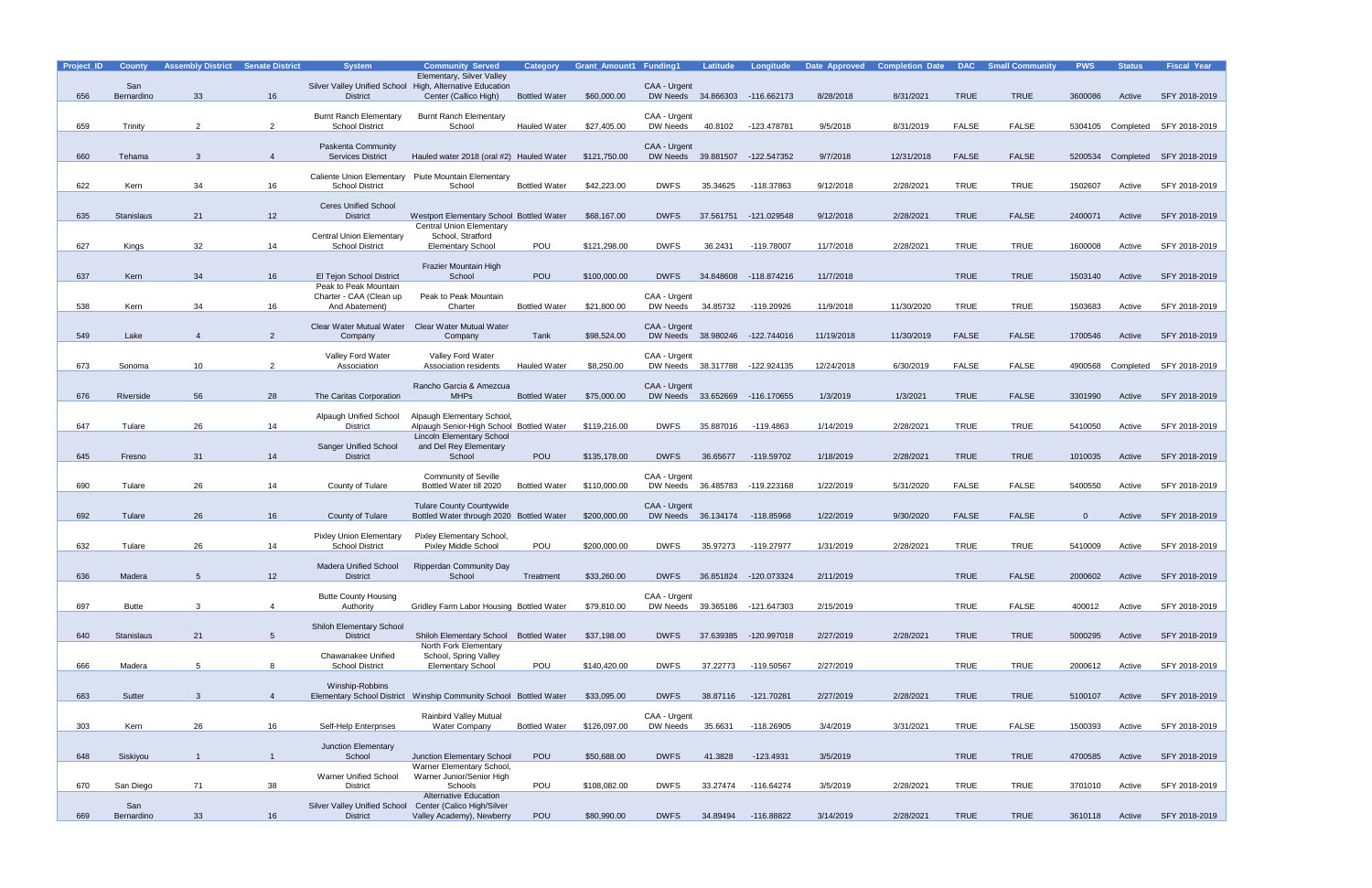| Project_ID | <b>County</b>     | <b>Assembly District Senate District</b> |                | <b>System</b>                                                               | <b>Community Served</b><br>Elementary, Silver Valley                         | Category             | <b>Grant_Amount1 Funding1</b> |                                    | Latitude  | Longitude                      | Date Approved | <b>Completion Date DAC Small Community</b> |              |              | <b>PWS</b> | <b>Status</b> | <b>Fiscal Year</b>              |
|------------|-------------------|------------------------------------------|----------------|-----------------------------------------------------------------------------|------------------------------------------------------------------------------|----------------------|-------------------------------|------------------------------------|-----------|--------------------------------|---------------|--------------------------------------------|--------------|--------------|------------|---------------|---------------------------------|
| 656        | San<br>Bernardino | 33                                       | 16             | Silver Valley Unified School High, Alternative Education<br><b>District</b> | Center (Callico High)                                                        | <b>Bottled Water</b> | \$60,000.00                   | CAA - Urgent                       |           | DW Needs 34.866303 -116.662173 | 8/28/2018     | 8/31/2021                                  | <b>TRUE</b>  | <b>TRUE</b>  | 3600086    | Active        | SFY 2018-2019                   |
|            |                   |                                          |                | <b>Burnt Ranch Elementary</b>                                               | <b>Burnt Ranch Elementary</b>                                                |                      |                               | CAA - Urgent                       |           |                                |               |                                            |              |              |            |               |                                 |
| 659        | Trinity           | $\overline{2}$                           | 2              | <b>School District</b>                                                      | School                                                                       | Hauled Water         | \$27,405.00                   | DW Needs                           | 40.8102   | -123.478781                    | 9/5/2018      | 8/31/2019                                  | <b>FALSE</b> | <b>FALSE</b> |            |               | 5304105 Completed SFY 2018-2019 |
|            |                   |                                          |                | Paskenta Community                                                          |                                                                              |                      |                               | CAA - Urgent                       |           |                                |               |                                            |              |              |            |               |                                 |
| 660        | Tehama            | 3                                        | $\overline{4}$ | <b>Services District</b>                                                    | Hauled water 2018 (oral #2) Hauled Water                                     |                      | \$121,750.00                  |                                    |           | DW Needs 39.881507 -122.547352 | 9/7/2018      | 12/31/2018                                 | <b>FALSE</b> | <b>FALSE</b> | 5200534    |               | Completed SFY 2018-2019         |
| 622        | Kern              | 34                                       | 16             | <b>School District</b>                                                      | Caliente Union Elementary Piute Mountain Elementary<br>School                | <b>Bottled Water</b> | \$42,223.00                   | <b>DWFS</b>                        | 35.34625  | -118.37863                     | 9/12/2018     | 2/28/2021                                  | <b>TRUE</b>  | <b>TRUE</b>  | 1502607    | Active        | SFY 2018-2019                   |
|            |                   |                                          |                | <b>Ceres Unified School</b>                                                 |                                                                              |                      |                               |                                    |           |                                |               |                                            |              |              |            |               |                                 |
| 635        | Stanislaus        | 21                                       | 12             | <b>District</b>                                                             | Westport Elementary School Bottled Water<br><b>Central Union Elementary</b>  |                      | \$68,167.00                   | <b>DWFS</b>                        |           | 37.561751 -121.029548          | 9/12/2018     | 2/28/2021                                  | <b>TRUE</b>  | <b>FALSE</b> | 2400071    | Active        | SFY 2018-2019                   |
| 627        | Kings             | 32                                       | 14             | <b>Central Union Elementary</b><br><b>School District</b>                   | School, Stratford<br><b>Elementary School</b>                                | POU                  | \$121,298.00                  | <b>DWFS</b>                        | 36.2431   | -119.78007                     | 11/7/2018     | 2/28/2021                                  | <b>TRUE</b>  | <b>TRUE</b>  | 1600008    | Active        | SFY 2018-2019                   |
|            |                   |                                          |                |                                                                             | Frazier Mountain High                                                        |                      |                               |                                    |           |                                |               |                                            |              |              |            |               |                                 |
| 637        | Kern              | 34                                       | 16             | El Tejon School District<br>Peak to Peak Mountain                           | School                                                                       | <b>POU</b>           | \$100,000.00                  | <b>DWFS</b>                        | 34.848608 | -118.874216                    | 11/7/2018     |                                            | <b>TRUE</b>  | <b>TRUE</b>  | 1503140    | Active        | SFY 2018-2019                   |
|            |                   |                                          |                | Charter - CAA (Clean up                                                     | Peak to Peak Mountain                                                        |                      |                               | CAA - Urgent                       |           |                                |               |                                            |              |              |            |               | SFY 2018-2019                   |
| 538        | Kern              | 34                                       | 16             | And Abatement)                                                              | Charter                                                                      | <b>Bottled Water</b> | \$21,800.00                   | DW Needs                           | 34.85732  | -119.20926                     | 11/9/2018     | 11/30/2020                                 | <b>TRUE</b>  | <b>TRUE</b>  | 1503683    | Active        |                                 |
| 549        | Lake              |                                          | $\overline{2}$ | Clear Water Mutual Water<br>Company                                         | <b>Clear Water Mutual Water</b><br>Company                                   | Tank                 | \$98,524.00                   | CAA - Urgent                       |           | DW Needs 38.980246 -122.744016 | 11/19/2018    | 11/30/2019                                 | <b>FALSE</b> | <b>FALSE</b> | 1700546    | Active        | SFY 2018-2019                   |
|            |                   |                                          |                | Valley Ford Water                                                           | Valley Ford Water                                                            |                      |                               | CAA - Urgent                       |           |                                |               |                                            |              |              |            |               |                                 |
| 673        | Sonoma            | 10                                       | $\overline{2}$ | Association                                                                 | Association residents                                                        | <b>Hauled Water</b>  | \$8,250.00                    | DW Needs 38.317788                 |           | -122.924135                    | 12/24/2018    | 6/30/2019                                  | <b>FALSE</b> | <b>FALSE</b> | 4900568    |               | Completed SFY 2018-2019         |
| 676        | Riverside         | 56                                       | 28             | The Caritas Corporation                                                     | Rancho Garcia & Amezcua<br><b>MHPs</b>                                       | <b>Bottled Water</b> | \$75,000.00                   | CAA - Urgent                       |           | DW Needs 33.652669 -116.170655 | 1/3/2019      | 1/3/2021                                   | <b>TRUE</b>  | <b>FALSE</b> | 3301990    | Active        | SFY 2018-2019                   |
|            |                   |                                          |                | Alpaugh Unified School                                                      | Alpaugh Elementary School,                                                   |                      |                               |                                    |           |                                |               |                                            |              |              |            |               |                                 |
| 647        | Tulare            | 26                                       | 14             | <b>District</b>                                                             | Alpaugh Senior-High School Bottled Water<br><b>Lincoln Elementary School</b> |                      | \$119,216.00                  | <b>DWFS</b>                        | 35.887016 | -119.4863                      | 1/14/2019     | 2/28/2021                                  | <b>TRUE</b>  | <b>TRUE</b>  | 5410050    | Active        | SFY 2018-2019                   |
|            |                   |                                          |                | <b>Sanger Unified School</b>                                                | and Del Rey Elementary                                                       |                      |                               |                                    |           |                                |               |                                            |              |              |            |               |                                 |
| 645        | Fresno            | 31                                       | 14             | <b>District</b>                                                             | School                                                                       | <b>POU</b>           | \$135,178.00                  | <b>DWFS</b>                        | 36.65677  | -119.59702                     | 1/18/2019     | 2/28/2021                                  | <b>TRUE</b>  | <b>TRUE</b>  | 1010035    | Active        | SFY 2018-2019                   |
| 690        | Tulare            | 26                                       | 14             | County of Tulare                                                            | <b>Community of Seville</b><br>Bottled Water till 2020                       | <b>Bottled Water</b> | \$110,000.00                  | CAA - Urgent<br>DW Needs 36.485783 |           | -119.223168                    | 1/22/2019     | 5/31/2020                                  | <b>FALSE</b> | <b>FALSE</b> | 5400550    | Active        | SFY 2018-2019                   |
|            |                   |                                          |                |                                                                             | <b>Tulare County Countywide</b>                                              |                      |                               | CAA - Urgent                       |           |                                |               |                                            |              |              |            |               |                                 |
| 692        | Tulare            | 26                                       | 16             | County of Tulare                                                            | Bottled Water through 2020 Bottled Water                                     |                      | \$200,000.00                  |                                    |           | DW Needs 36.134174 -118.85968  | 1/22/2019     | 9/30/2020                                  | <b>FALSE</b> | <b>FALSE</b> | $\Omega$   | Active        | SFY 2018-2019                   |
| 632        | Tulare            | 26                                       | 14             | <b>Pixley Union Elementary</b><br><b>School District</b>                    | Pixley Elementary School,<br><b>Pixley Middle School</b>                     | POU                  | \$200,000.00                  | <b>DWFS</b>                        | 35.97273  | -119.27977                     | 1/31/2019     | 2/28/2021                                  | <b>TRUE</b>  | <b>TRUE</b>  | 5410009    | Active        | SFY 2018-2019                   |
|            |                   |                                          |                | <b>Madera Unified School</b>                                                | <b>Ripperdan Community Day</b>                                               |                      |                               |                                    |           |                                |               |                                            |              |              |            |               |                                 |
| 636        | Madera            | 5                                        | 12             | <b>District</b>                                                             | School                                                                       | Treatment            | \$33,260.00                   | <b>DWFS</b>                        |           | 36.851824 -120.073324          | 2/11/2019     |                                            | <b>TRUE</b>  | <b>FALSE</b> | 2000602    | Active        | SFY 2018-2019                   |
| 697        | <b>Butte</b>      | 3                                        | 4              | <b>Butte County Housing</b>                                                 |                                                                              |                      | \$79,810.00                   | CAA - Urgent                       |           | DW Needs 39.365186 -121.647303 | 2/15/2019     |                                            | <b>TRUE</b>  | FALSE        | 400012     | Active        | SFY 2018-2019                   |
|            |                   |                                          |                | Authority                                                                   | Gridley Farm Labor Housing Bottled Water                                     |                      |                               |                                    |           |                                |               |                                            |              |              |            |               |                                 |
| 640        | Stanislaus        | 21                                       | 5              | <b>Shiloh Elementary School</b><br><b>District</b>                          | Shiloh Elementary School Bottled Water                                       |                      | \$37,198.00                   | <b>DWFS</b>                        |           | 37.639385 -120.997018          | 2/27/2019     | 2/28/2021                                  | <b>TRUE</b>  | <b>TRUE</b>  | 5000295    | Active        | SFY 2018-2019                   |
|            |                   |                                          |                | Chawanakee Unified                                                          | North Fork Elementary<br>School, Spring Valley                               |                      |                               |                                    |           |                                |               |                                            |              |              |            |               |                                 |
| 666        | Madera            | 5                                        | 8              | <b>School District</b>                                                      | <b>Elementary School</b>                                                     | POU                  | \$140,420.00                  | <b>DWFS</b>                        | 37.22773  | -119.50567                     | 2/27/2019     |                                            | <b>TRUE</b>  | <b>TRUE</b>  | 2000612    | Active        | SFY 2018-2019                   |
| 683        | Sutter            | 3                                        | $\overline{4}$ | Winship-Robbins                                                             | Elementary School District Winship Community School Bottled Water            |                      | \$33,095.00                   | <b>DWFS</b>                        |           | 38.87116 -121.70281            | 2/27/2019     | 2/28/2021                                  | <b>TRUE</b>  | <b>TRUE</b>  | 5100107    | Active        | SFY 2018-2019                   |
|            |                   |                                          |                |                                                                             | <b>Rainbird Valley Mutual</b>                                                |                      |                               | CAA - Urgent                       |           |                                |               |                                            |              |              |            |               |                                 |
| 303        | Kern              | 26                                       | 16             | Self-Help Enterprises                                                       | <b>Water Company</b>                                                         | <b>Bottled Water</b> | \$126,097.00                  | DW Needs                           | 35.6631   | -118.26905                     | 3/4/2019      | 3/31/2021                                  | <b>TRUE</b>  | <b>FALSE</b> | 1500393    | Active        | SFY 2018-2019                   |
| 648        | Siskiyou          |                                          | $\mathbf{1}$   | Junction Elementary<br>School                                               | Junction Elementary School                                                   | <b>POU</b>           | \$50,688.00                   | <b>DWFS</b>                        | 41.3828   | $-123.4931$                    | 3/5/2019      |                                            | <b>TRUE</b>  | <b>TRUE</b>  | 4700585    | Active        | SFY 2018-2019                   |
|            |                   |                                          |                |                                                                             | Warner Elementary School,                                                    |                      |                               |                                    |           |                                |               |                                            |              |              |            |               |                                 |
| 670        | San Diego         | 71                                       | 38             | <b>Warner Unified School</b><br><b>District</b>                             | Warner Junior/Senior High<br>Schools                                         | POU                  | \$108,082.00                  | <b>DWFS</b>                        | 33.27474  | -116.64274                     | 3/5/2019      | 2/28/2021                                  | <b>TRUE</b>  | TRUE         | 3701010    | Active        | SFY 2018-2019                   |
|            | San               |                                          |                | <b>Silver Valley Unified School</b>                                         | <b>Alternative Education</b><br>Center (Calico High/Silver                   |                      |                               |                                    |           |                                |               |                                            |              |              |            |               |                                 |
| 669        | Bernardino        | 33                                       | 16             | <b>District</b>                                                             | Valley Academy), Newberry                                                    | POU                  | \$80,990.00                   | <b>DWFS</b>                        | 34.89494  | $-116.88822$                   | 3/14/2019     | 2/28/2021                                  | <b>TRUE</b>  | <b>TRUE</b>  | 3610118    | Active        | SFY 2018-2019                   |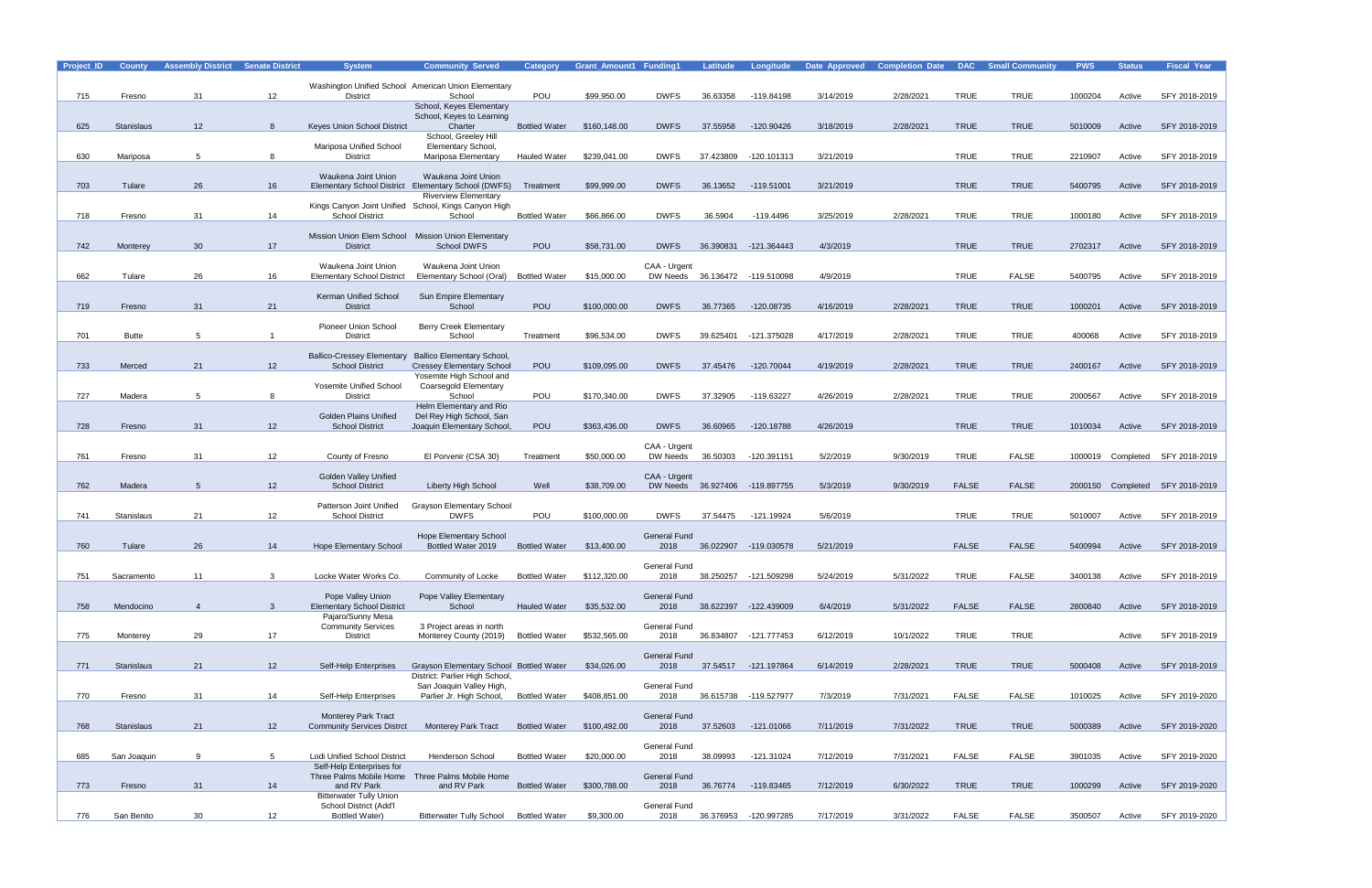| Project_ID | <b>County</b>     | <b>Assembly District Senate District</b> |                 | <b>System</b>                                                    | <b>Community Served</b>                             | <b>Category</b>      | <b>Grant Amount1 Funding1</b> |                             | <b>Latitude</b> | Longitude                      | Date Approved | <b>Completion Date</b> |              | <b>DAC</b> Small Community | <b>PWS</b> | <b>Status</b> | <b>Fiscal Year</b>              |
|------------|-------------------|------------------------------------------|-----------------|------------------------------------------------------------------|-----------------------------------------------------|----------------------|-------------------------------|-----------------------------|-----------------|--------------------------------|---------------|------------------------|--------------|----------------------------|------------|---------------|---------------------------------|
|            |                   |                                          |                 |                                                                  |                                                     |                      |                               |                             |                 |                                |               |                        |              |                            |            |               |                                 |
|            |                   |                                          |                 |                                                                  | Washington Unified School American Union Elementary |                      |                               |                             |                 |                                |               |                        |              |                            |            |               |                                 |
| 715        | Fresno            | 31                                       | 12 <sup>2</sup> | <b>District</b>                                                  | School                                              | POU                  | \$99,950.00                   | <b>DWFS</b>                 | 36.63358        | -119.84198                     | 3/14/2019     | 2/28/2021              | TRUE         | <b>TRUE</b>                | 1000204    | Active        | SFY 2018-2019                   |
|            |                   |                                          |                 |                                                                  | School, Keyes Elementary                            |                      |                               |                             |                 |                                |               |                        |              |                            |            |               |                                 |
|            |                   |                                          | 8               |                                                                  | School, Keyes to Learning                           | <b>Bottled Water</b> |                               |                             |                 |                                |               |                        |              |                            |            |               | SFY 2018-2019                   |
| 625        | Stanislaus        | 12 <sup>2</sup>                          |                 | Keyes Union School District                                      | Charter<br>School, Greeley Hill                     |                      | \$160,148.00                  | <b>DWFS</b>                 | 37.55958        | -120.90426                     | 3/18/2019     | 2/28/2021              | <b>TRUE</b>  | <b>TRUE</b>                | 5010009    | Active        |                                 |
|            |                   |                                          |                 | Mariposa Unified School                                          | Elementary School,                                  |                      |                               |                             |                 |                                |               |                        |              |                            |            |               |                                 |
| 630        | Mariposa          | 5                                        | 8               | <b>District</b>                                                  | Mariposa Elementary                                 | <b>Hauled Water</b>  | \$239,041.00                  | <b>DWFS</b>                 | 37.423809       | -120.101313                    | 3/21/2019     |                        | <b>TRUE</b>  | <b>TRUE</b>                | 2210907    | Active        | SFY 2018-2019                   |
|            |                   |                                          |                 |                                                                  |                                                     |                      |                               |                             |                 |                                |               |                        |              |                            |            |               |                                 |
|            |                   |                                          |                 | Waukena Joint Union                                              | Waukena Joint Union                                 |                      |                               |                             |                 |                                |               |                        |              |                            |            |               |                                 |
| 703        | Tulare            | 26                                       | 16              |                                                                  | Elementary School District Elementary School (DWFS) | Treatment            | \$99,999.00                   | <b>DWFS</b>                 | 36.13652        | -119.51001                     | 3/21/2019     |                        | <b>TRUE</b>  | <b>TRUE</b>                | 5400795    | Active        | SFY 2018-2019                   |
|            |                   |                                          |                 |                                                                  | <b>Riverview Elementary</b>                         |                      |                               |                             |                 |                                |               |                        |              |                            |            |               |                                 |
|            |                   |                                          |                 | Kings Canyon Joint Unified                                       | School, Kings Canyon High                           |                      |                               | <b>DWFS</b>                 | 36.5904         |                                |               |                        | <b>TRUE</b>  | <b>TRUE</b>                |            |               |                                 |
| 718        | Fresno            | 31                                       | 14              | <b>School District</b>                                           | School                                              | <b>Bottled Water</b> | \$66,866.00                   |                             |                 | -119.4496                      | 3/25/2019     | 2/28/2021              |              |                            | 1000180    | Active        | SFY 2018-2019                   |
|            |                   |                                          |                 | Mission Union Elem School Mission Union Elementary               |                                                     |                      |                               |                             |                 |                                |               |                        |              |                            |            |               |                                 |
| 742        | Monterey          | 30                                       | 17              | <b>District</b>                                                  | School DWFS                                         | POU                  | \$58,731.00                   | <b>DWFS</b>                 |                 | 36.390831 -121.364443          | 4/3/2019      |                        | <b>TRUE</b>  | <b>TRUE</b>                | 2702317    | Active        | SFY 2018-2019                   |
|            |                   |                                          |                 |                                                                  |                                                     |                      |                               |                             |                 |                                |               |                        |              |                            |            |               |                                 |
|            |                   |                                          |                 | Waukena Joint Union                                              | Waukena Joint Union                                 |                      |                               | CAA - Urgent                |                 |                                |               |                        |              |                            |            |               |                                 |
| 662        | Tulare            | 26                                       | 16              | <b>Elementary School District</b>                                | Elementary School (Oral)                            | <b>Bottled Water</b> | \$15,000.00                   |                             |                 | DW Needs 36.136472 -119.510098 | 4/9/2019      |                        | <b>TRUE</b>  | <b>FALSE</b>               | 5400795    | Active        | SFY 2018-2019                   |
|            |                   |                                          |                 |                                                                  |                                                     |                      |                               |                             |                 |                                |               |                        |              |                            |            |               |                                 |
| 719        | Fresno            | 31                                       | 21              | Kerman Unified School<br><b>District</b>                         | Sun Empire Elementary<br>School                     | POU                  | \$100,000.00                  | <b>DWFS</b>                 | 36.77365        | -120.08735                     | 4/16/2019     | 2/28/2021              | <b>TRUE</b>  | <b>TRUE</b>                | 1000201    | Active        | SFY 2018-2019                   |
|            |                   |                                          |                 |                                                                  |                                                     |                      |                               |                             |                 |                                |               |                        |              |                            |            |               |                                 |
|            |                   |                                          |                 | <b>Pioneer Union School</b>                                      | <b>Berry Creek Elementary</b>                       |                      |                               |                             |                 |                                |               |                        |              |                            |            |               |                                 |
| 701        | <b>Butte</b>      | 5                                        |                 | <b>District</b>                                                  | School                                              | Treatment            | \$96,534.00                   | <b>DWFS</b>                 | 39.625401       | -121.375028                    | 4/17/2019     | 2/28/2021              | <b>TRUE</b>  | <b>TRUE</b>                | 400068     | Active        | SFY 2018-2019                   |
|            |                   |                                          |                 |                                                                  |                                                     |                      |                               |                             |                 |                                |               |                        |              |                            |            |               |                                 |
|            |                   |                                          |                 | <b>Ballico-Cressey Elementary</b>                                | <b>Ballico Elementary School,</b>                   |                      |                               |                             |                 |                                |               |                        |              |                            |            |               |                                 |
| 733        | Merced            | 21                                       | 12 <sup>2</sup> | <b>School District</b>                                           | <b>Cressey Elementary School</b>                    | POU                  | \$109,095.00                  | <b>DWFS</b>                 | 37.45476        | -120.70044                     | 4/19/2019     | 2/28/2021              | <b>TRUE</b>  | <b>TRUE</b>                | 2400167    | Active        | SFY 2018-2019                   |
|            |                   |                                          |                 |                                                                  | Yosemite High School and                            |                      |                               |                             |                 |                                |               |                        |              |                            |            |               |                                 |
| 727        | Madera            | 5                                        | 8               | Yosemite Unified School<br><b>District</b>                       | Coarsegold Elementary<br>School                     | POU                  | \$170,340.00                  | <b>DWFS</b>                 | 37.32905        | -119.63227                     | 4/26/2019     | 2/28/2021              | <b>TRUE</b>  | <b>TRUE</b>                | 2000567    | Active        | SFY 2018-2019                   |
|            |                   |                                          |                 |                                                                  | Helm Elementary and Rio                             |                      |                               |                             |                 |                                |               |                        |              |                            |            |               |                                 |
|            |                   |                                          |                 | <b>Golden Plains Unified</b>                                     | Del Rey High School, San                            |                      |                               |                             |                 |                                |               |                        |              |                            |            |               |                                 |
| 728        | Fresno            | 31                                       | 12              | <b>School District</b>                                           | Joaquin Elementary School,                          | POU                  | \$363,436.00                  | <b>DWFS</b>                 | 36.60965        | -120.18788                     | 4/26/2019     |                        | <b>TRUE</b>  | <b>TRUE</b>                | 1010034    | Active        | SFY 2018-2019                   |
|            |                   |                                          |                 |                                                                  |                                                     |                      |                               |                             |                 |                                |               |                        |              |                            |            |               |                                 |
|            |                   |                                          |                 |                                                                  |                                                     |                      |                               | CAA - Urgent                |                 |                                |               |                        |              |                            |            |               |                                 |
| 761        | Fresno            | 31                                       | 12              | County of Fresno                                                 | El Porvenir (CSA 30)                                | Treatment            | \$50,000.00                   | DW Needs                    | 36.50303        | -120.391151                    | 5/2/2019      | 9/30/2019              | <b>TRUE</b>  | <b>FALSE</b>               |            |               | 1000019 Completed SFY 2018-2019 |
|            |                   |                                          |                 |                                                                  |                                                     |                      |                               |                             |                 |                                |               |                        |              |                            |            |               |                                 |
| 762        | Madera            | 5                                        |                 | <b>Golden Valley Unified</b><br><b>School District</b>           | Liberty High School                                 | Well                 | \$38,709.00                   | CAA - Urgent                |                 | DW Needs 36.927406 -119.897755 | 5/3/2019      | 9/30/2019              | <b>FALSE</b> | <b>FALSE</b>               |            |               | Completed SFY 2018-2019         |
|            |                   |                                          | 12              |                                                                  |                                                     |                      |                               |                             |                 |                                |               |                        |              |                            | 2000150    |               |                                 |
|            |                   |                                          |                 | Patterson Joint Unified                                          | Grayson Elementary School                           |                      |                               |                             |                 |                                |               |                        |              |                            |            |               |                                 |
| 741        | <b>Stanislaus</b> | 21                                       | 12              | <b>School District</b>                                           | <b>DWFS</b>                                         | POU                  | \$100,000.00                  | <b>DWFS</b>                 | 37.54475        | -121.19924                     | 5/6/2019      |                        | <b>TRUE</b>  | <b>TRUE</b>                | 5010007    | Active        | SFY 2018-2019                   |
|            |                   |                                          |                 |                                                                  |                                                     |                      |                               |                             |                 |                                |               |                        |              |                            |            |               |                                 |
|            |                   |                                          |                 |                                                                  | <b>Hope Elementary School</b>                       |                      |                               | <b>General Fund</b>         |                 |                                |               |                        |              |                            |            |               |                                 |
| 760        | Tulare            | 26                                       | 14              | <b>Hope Elementary School</b>                                    | Bottled Water 2019                                  | <b>Bottled Water</b> | \$13,400.00                   | 2018                        |                 | 36.022907 -119.030578          | 5/21/2019     |                        | <b>FALSE</b> | <b>FALSE</b>               | 5400994    | Active        | SFY 2018-2019                   |
|            |                   |                                          |                 |                                                                  |                                                     |                      |                               | General Fund                |                 |                                |               |                        |              |                            |            |               |                                 |
| 751        | Sacramento        | 11                                       | 3               | Locke Water Works Co.                                            | Community of Locke                                  | <b>Bottled Water</b> | \$112,320.00                  | 2018                        |                 | 38.250257 -121.509298          | 5/24/2019     | 5/31/2022              | <b>TRUE</b>  | <b>FALSE</b>               | 3400138    | Active        | SFY 2018-2019                   |
|            |                   |                                          |                 |                                                                  |                                                     |                      |                               |                             |                 |                                |               |                        |              |                            |            |               |                                 |
|            |                   |                                          |                 | Pope Valley Union                                                | Pope Valley Elementary                              |                      |                               | <b>General Fund</b>         |                 |                                |               |                        |              |                            |            |               |                                 |
| 758        | Mendocino         | $\overline{4}$                           | $\mathbf{3}$    | <b>Elementary School District</b>                                | School                                              | <b>Hauled Water</b>  | \$35,532.00                   | 2018                        |                 | 38.622397 -122.439009          | 6/4/2019      | 5/31/2022              | <b>FALSE</b> | <b>FALSE</b>               | 2800840    | Active        | SFY 2018-2019                   |
|            |                   |                                          |                 | Pajaro/Sunny Mesa                                                |                                                     |                      |                               |                             |                 |                                |               |                        |              |                            |            |               |                                 |
|            |                   |                                          |                 | <b>Community Services</b>                                        | 3 Project areas in north                            |                      |                               | <b>General Fund</b>         |                 |                                |               |                        |              |                            |            |               |                                 |
| 775        | Monterey          | 29                                       | 17              | <b>District</b>                                                  | Monterey County (2019)                              | <b>Bottled Water</b> | \$532,565.00                  | 2018                        |                 | 36.834807 -121.777453          | 6/12/2019     | 10/1/2022              | <b>TRUE</b>  | <b>TRUE</b>                |            | Active        | SFY 2018-2019                   |
|            |                   |                                          |                 |                                                                  |                                                     |                      |                               |                             |                 |                                |               |                        |              |                            |            |               |                                 |
| 771        | <b>Stanislaus</b> | 21                                       | 12              | Self-Help Enterprises                                            | Grayson Elementary School Bottled Water             |                      | \$34,026.00                   | <b>General Fund</b><br>2018 |                 | 37.54517 -121.197864           | 6/14/2019     | 2/28/2021              | <b>TRUE</b>  | <b>TRUE</b>                | 5000408    | Active        | SFY 2018-2019                   |
|            |                   |                                          |                 |                                                                  | District: Parlier High School,                      |                      |                               |                             |                 |                                |               |                        |              |                            |            |               |                                 |
|            |                   |                                          |                 |                                                                  | San Joaquin Valley High,                            |                      |                               | <b>General Fund</b>         |                 |                                |               |                        |              |                            |            |               |                                 |
| 770        | Fresno            | 31                                       | 14              | Self-Help Enterprises                                            | Parlier Jr. High School,                            | <b>Bottled Water</b> | \$408,851.00                  | 2018                        |                 | 36.615738 -119.527977          | 7/3/2019      | 7/31/2021              | <b>FALSE</b> | <b>FALSE</b>               | 1010025    | Active        | SFY 2019-2020                   |
|            |                   |                                          |                 |                                                                  |                                                     |                      |                               |                             |                 |                                |               |                        |              |                            |            |               |                                 |
|            |                   |                                          |                 | <b>Monterey Park Tract</b>                                       |                                                     |                      |                               | <b>General Fund</b>         |                 |                                |               |                        |              |                            |            |               |                                 |
| 768        | <b>Stanislaus</b> | 21                                       | 12 <sup>2</sup> | <b>Community Services Distrct</b>                                | <b>Monterey Park Tract</b>                          | <b>Bottled Water</b> | \$100,492.00                  | 2018                        | 37.52603        | -121.01066                     | 7/11/2019     | 7/31/2022              | <b>TRUE</b>  | <b>TRUE</b>                | 5000389    | Active        | SFY 2019-2020                   |
|            |                   |                                          |                 |                                                                  |                                                     |                      |                               |                             |                 |                                |               |                        |              |                            |            |               |                                 |
|            |                   |                                          |                 |                                                                  |                                                     |                      |                               | General Fund                |                 |                                |               |                        |              |                            |            |               |                                 |
| 685        | San Joaquin       | 9                                        | $5\overline{5}$ | <b>Lodi Unified School District</b><br>Self-Help Enterprises for | Henderson School                                    | <b>Bottled Water</b> | \$20,000.00                   | 2018                        | 38.09993        | -121.31024                     | 7/12/2019     | 7/31/2021              | <b>FALSE</b> | <b>FALSE</b>               | 3901035    | Active        | SFY 2019-2020                   |
|            |                   |                                          |                 |                                                                  | Three Palms Mobile Home  Three Palms Mobile Home    |                      |                               | <b>General Fund</b>         |                 |                                |               |                        |              |                            |            |               |                                 |
| 773        | Fresno            | 31                                       | 14              | and RV Park                                                      | and RV Park                                         | <b>Bottled Water</b> | \$300,788.00                  | 2018                        |                 | 36.76774 -119.83465            | 7/12/2019     | 6/30/2022              | <b>TRUE</b>  | <b>TRUE</b>                | 1000299    | Active        | SFY 2019-2020                   |
|            |                   |                                          |                 | <b>Bitterwater Tully Union</b>                                   |                                                     |                      |                               |                             |                 |                                |               |                        |              |                            |            |               |                                 |
|            |                   |                                          |                 | School District (Add'l                                           |                                                     |                      |                               | <b>General Fund</b>         |                 |                                |               |                        |              |                            |            |               |                                 |
| 776        | San Benito        | 30                                       | 12 <sup>2</sup> | <b>Bottled Water)</b>                                            | Bitterwater Tully School Bottled Water              |                      | \$9,300.00                    | 2018                        |                 | 36.376953 -120.997285          | 7/17/2019     | 3/31/2022              | <b>FALSE</b> | <b>FALSE</b>               | 3500507    | Active        | SFY 2019-2020                   |

| <b>Community</b> | <b>PWS</b> | <b>Status</b> | <b>Fiscal Year</b>                |
|------------------|------------|---------------|-----------------------------------|
|                  |            |               |                                   |
| TRUE             | 1000204    | Active        | SFY 2018-2019                     |
|                  |            |               |                                   |
| <b>TRUE</b>      | 5010009    | Active        | SFY 2018-2019                     |
|                  |            |               |                                   |
| TRUE             | 2210907    | Active        | SFY 2018-2019                     |
|                  |            |               |                                   |
| TRUE             | 5400795    | Active        | SFY 2018-2019                     |
|                  |            |               |                                   |
| <b>TRUE</b>      | 1000180    | Active        | SFY 2018-2019                     |
|                  |            |               |                                   |
| <b>TRUE</b>      | 2702317    | Active        | SFY 2018-2019                     |
|                  |            |               |                                   |
| FALSE            | 5400795    | Active        | SFY 2018-2019                     |
|                  |            |               |                                   |
| <b>TRUE</b>      | 1000201    | Active        | SFY 2018-2019                     |
|                  |            |               |                                   |
| <b>TRUE</b>      | 400068     | Active        | SFY 2018-2019                     |
|                  |            |               |                                   |
| <b>TRUE</b>      | 2400167    | Active        | SFY 2018-2019                     |
|                  |            |               |                                   |
| TRUE             | 2000567    | Active        | SFY 2018-2019                     |
|                  |            |               |                                   |
| TRUE             | 1010034    | Active        | SFY 2018-2019                     |
|                  |            |               |                                   |
| FALSE            | 1000019    | Completed     | SFY 2018-2019                     |
|                  |            |               |                                   |
| <b>FALSE</b>     | 2000150    | Completed     | SFY 2018-2019                     |
|                  |            |               |                                   |
| <b>TRUE</b>      | 5010007    | Active        | SFY 2018-2019                     |
|                  |            |               |                                   |
| <b>FALSE</b>     | 5400994    | Active        | SFY 2018-2019                     |
|                  |            |               |                                   |
| FALSE            |            |               | 3400138 Active SFY 2018-2019      |
|                  |            |               |                                   |
|                  |            |               |                                   |
|                  |            |               |                                   |
| TRUE             |            |               | Active SFY 2018-2019              |
|                  |            |               |                                   |
|                  |            |               | TRUE 5000408 Active SFY 2018-2019 |
|                  |            |               |                                   |
| FALSE            | 1010025    | Active        | SFY 2019-2020                     |
|                  |            |               |                                   |
| TRUE             |            |               | 5000389 Active SFY 2019-2020      |
|                  |            |               |                                   |
| FALSE            |            |               | 3901035 Active SFY 2019-2020      |
|                  |            |               |                                   |
| <b>TRUE</b>      |            |               | 1000299 Active SFY 2019-2020      |
|                  |            |               |                                   |
| FALSE            |            |               | 3500507 Active SFY 2019-2020      |